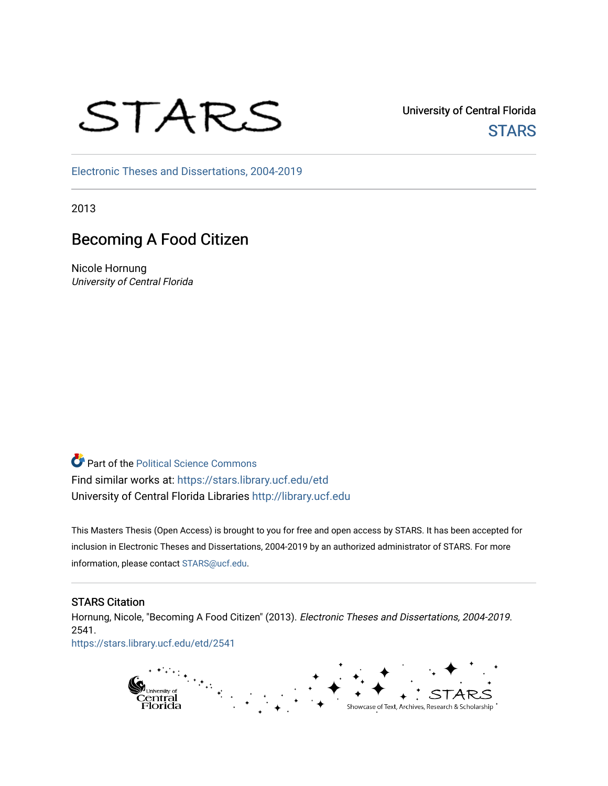# STARS

University of Central Florida **STARS** 

[Electronic Theses and Dissertations, 2004-2019](https://stars.library.ucf.edu/etd) 

2013

# Becoming A Food Citizen

Nicole Hornung University of Central Florida

Part of the [Political Science Commons](http://network.bepress.com/hgg/discipline/386?utm_source=stars.library.ucf.edu%2Fetd%2F2541&utm_medium=PDF&utm_campaign=PDFCoverPages)  Find similar works at: <https://stars.library.ucf.edu/etd> University of Central Florida Libraries [http://library.ucf.edu](http://library.ucf.edu/) 

This Masters Thesis (Open Access) is brought to you for free and open access by STARS. It has been accepted for inclusion in Electronic Theses and Dissertations, 2004-2019 by an authorized administrator of STARS. For more information, please contact [STARS@ucf.edu.](mailto:STARS@ucf.edu)

## STARS Citation

Hornung, Nicole, "Becoming A Food Citizen" (2013). Electronic Theses and Dissertations, 2004-2019. 2541.

[https://stars.library.ucf.edu/etd/2541](https://stars.library.ucf.edu/etd/2541?utm_source=stars.library.ucf.edu%2Fetd%2F2541&utm_medium=PDF&utm_campaign=PDFCoverPages) 

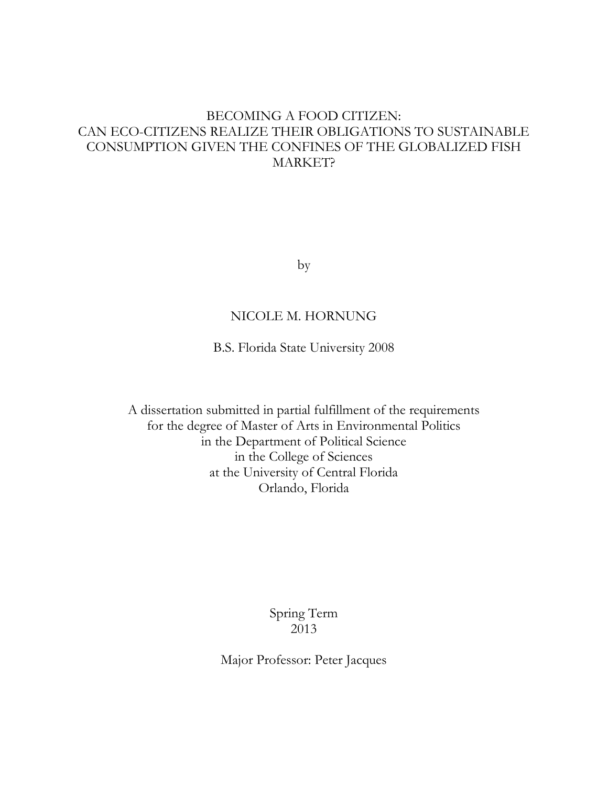# BECOMING A FOOD CITIZEN: CAN ECO-CITIZENS REALIZE THEIR OBLIGATIONS TO SUSTAINABLE CONSUMPTION GIVEN THE CONFINES OF THE GLOBALIZED FISH MARKET?

by

# NICOLE M. HORNUNG

B.S. Florida State University 2008

A dissertation submitted in partial fulfillment of the requirements for the degree of Master of Arts in Environmental Politics in the Department of Political Science in the College of Sciences at the University of Central Florida Orlando, Florida

> Spring Term 2013

Major Professor: Peter Jacques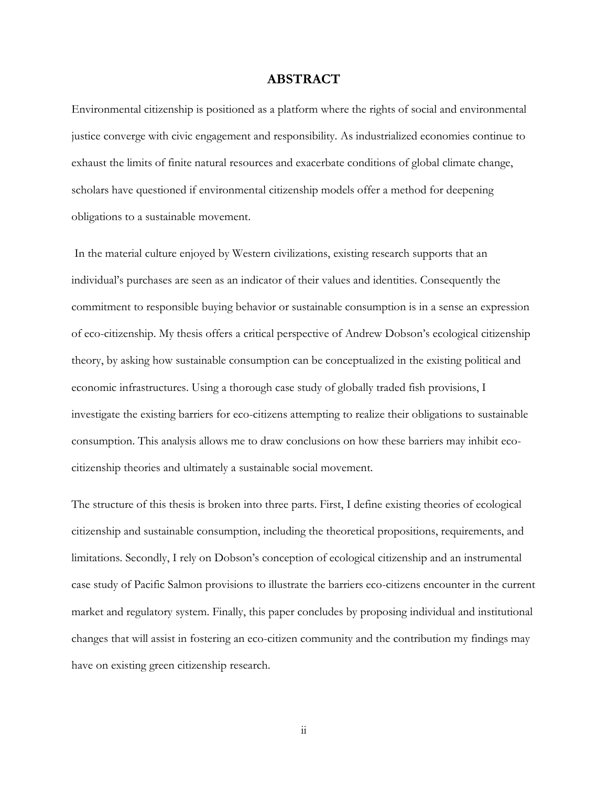# **ABSTRACT**

Environmental citizenship is positioned as a platform where the rights of social and environmental justice converge with civic engagement and responsibility. As industrialized economies continue to exhaust the limits of finite natural resources and exacerbate conditions of global climate change, scholars have questioned if environmental citizenship models offer a method for deepening obligations to a sustainable movement.

In the material culture enjoyed by Western civilizations, existing research supports that an individual's purchases are seen as an indicator of their values and identities. Consequently the commitment to responsible buying behavior or sustainable consumption is in a sense an expression of eco-citizenship. My thesis offers a critical perspective of Andrew Dobson's ecological citizenship theory, by asking how sustainable consumption can be conceptualized in the existing political and economic infrastructures. Using a thorough case study of globally traded fish provisions, I investigate the existing barriers for eco-citizens attempting to realize their obligations to sustainable consumption. This analysis allows me to draw conclusions on how these barriers may inhibit ecocitizenship theories and ultimately a sustainable social movement.

The structure of this thesis is broken into three parts. First, I define existing theories of ecological citizenship and sustainable consumption, including the theoretical propositions, requirements, and limitations. Secondly, I rely on Dobson's conception of ecological citizenship and an instrumental case study of Pacific Salmon provisions to illustrate the barriers eco-citizens encounter in the current market and regulatory system. Finally, this paper concludes by proposing individual and institutional changes that will assist in fostering an eco-citizen community and the contribution my findings may have on existing green citizenship research.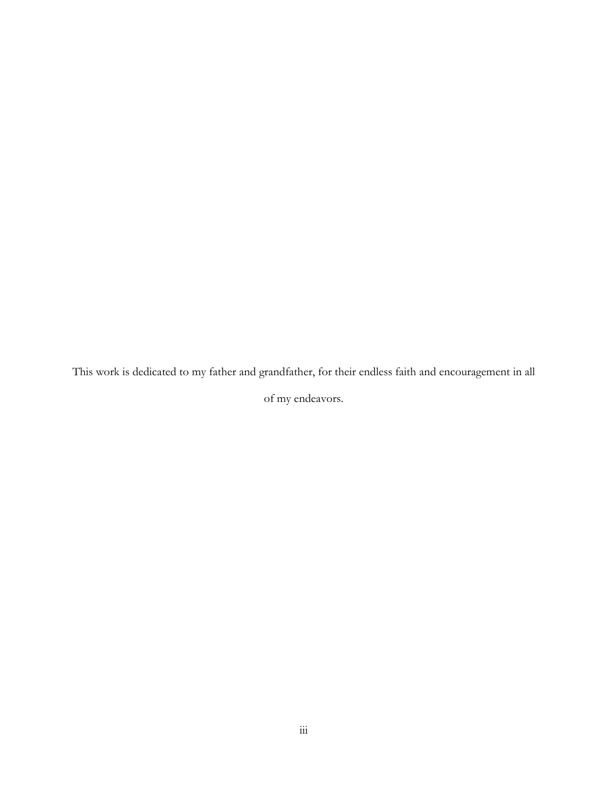This work is dedicated to my father and grandfather, for their endless faith and encouragement in all

of my endeavors.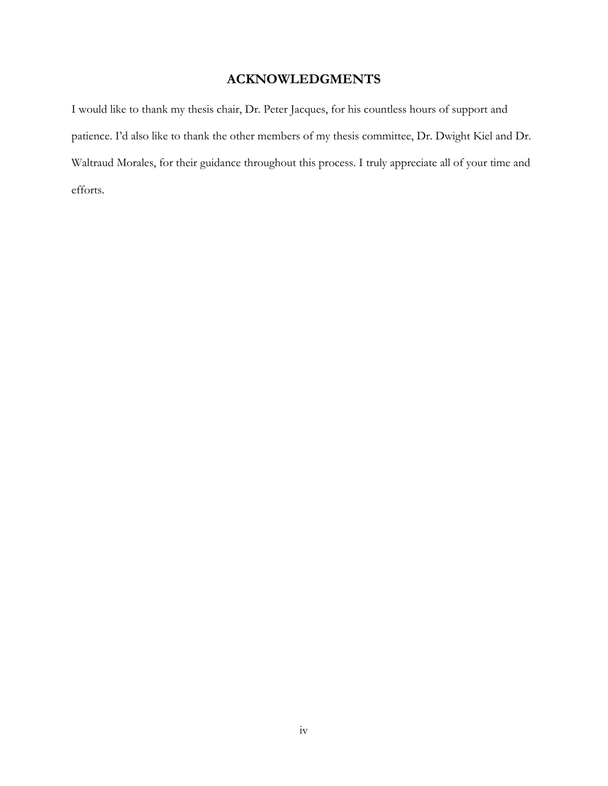# **ACKNOWLEDGMENTS**

I would like to thank my thesis chair, Dr. Peter Jacques, for his countless hours of support and patience. I'd also like to thank the other members of my thesis committee, Dr. Dwight Kiel and Dr. Waltraud Morales, for their guidance throughout this process. I truly appreciate all of your time and efforts.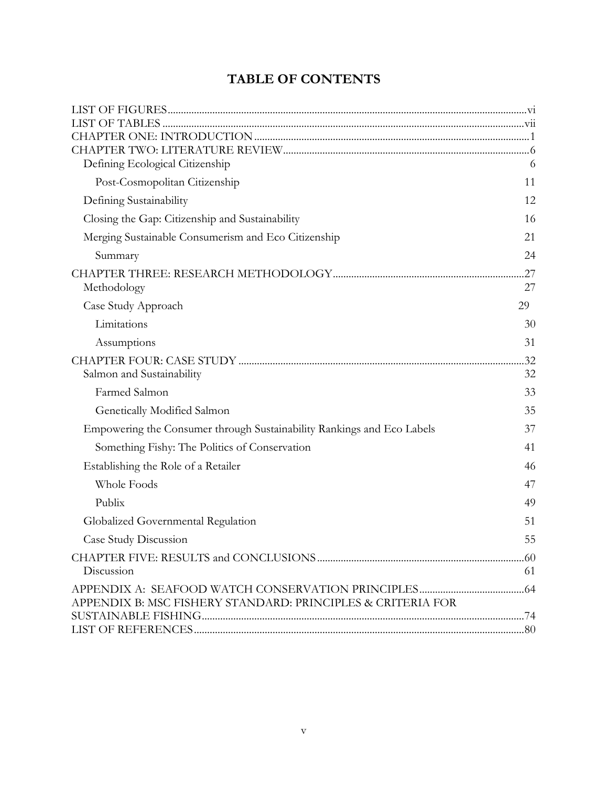# **TABLE OF CONTENTS**

| 6   |
|-----|
| 11  |
| 12  |
| 16  |
| 21  |
| 24  |
| .27 |
| 27  |
| 29  |
| 30  |
| 31  |
| .32 |
| 32  |
| 33  |
| 35  |
| 37  |
| 41  |
| 46  |
| 47  |
| 49  |
| 51  |
| 55  |
|     |
| 61  |
|     |
|     |
|     |
|     |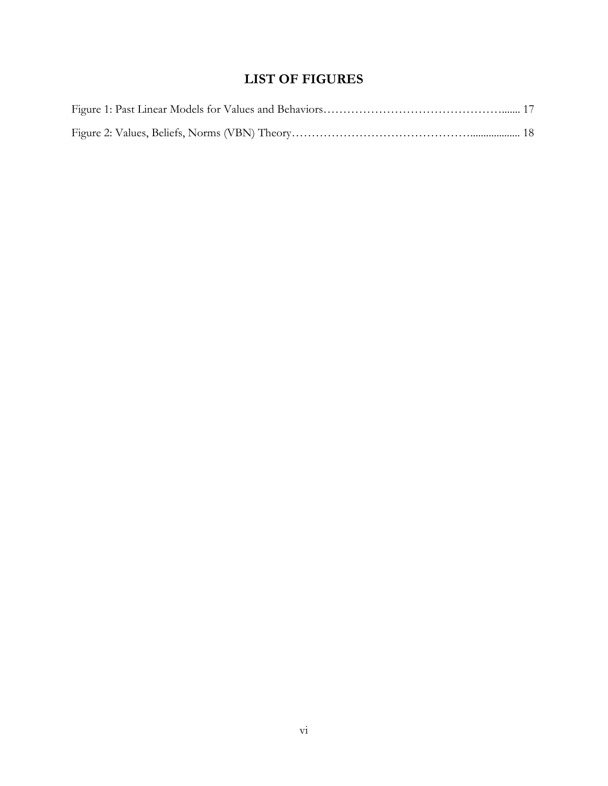# **LIST OF FIGURES**

<span id="page-6-0"></span>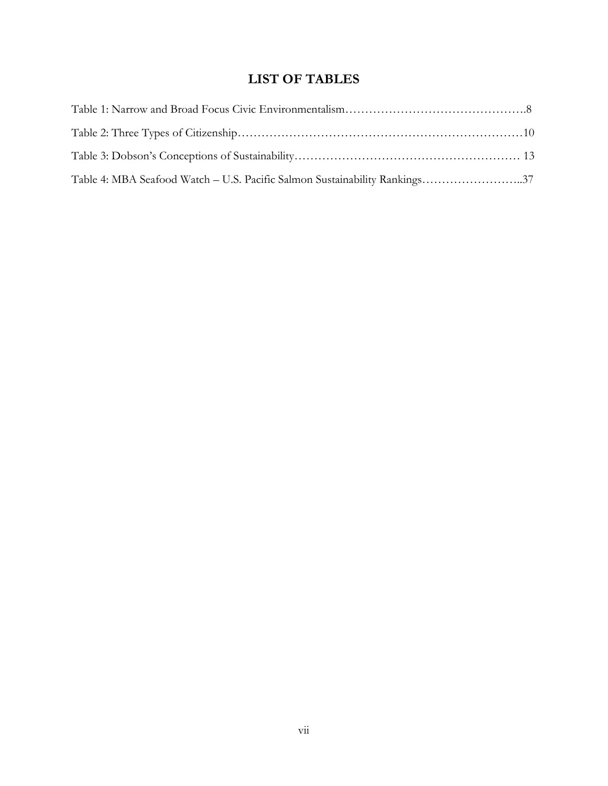# **LIST OF TABLES**

<span id="page-7-0"></span>

| Table 4: MBA Seafood Watch – U.S. Pacific Salmon Sustainability Rankings37 |  |
|----------------------------------------------------------------------------|--|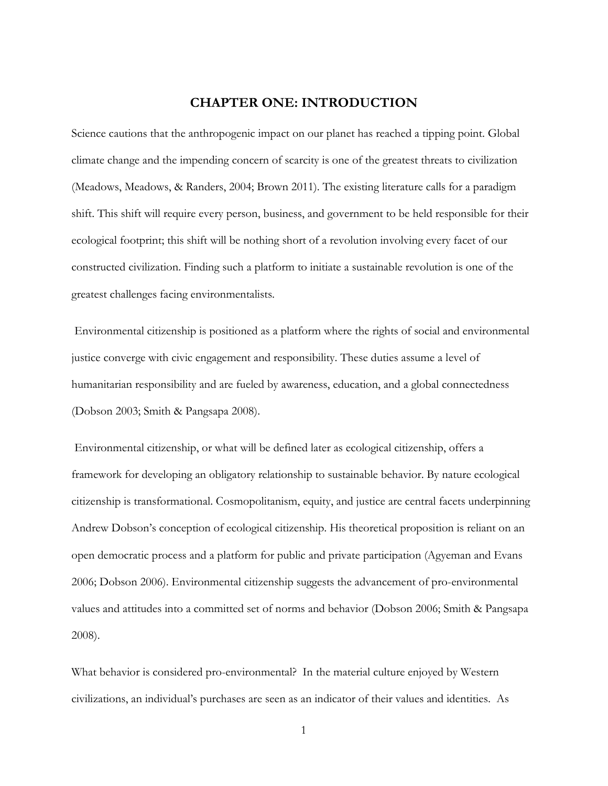## **CHAPTER ONE: INTRODUCTION**

<span id="page-8-0"></span>Science cautions that the anthropogenic impact on our planet has reached a tipping point. Global climate change and the impending concern of scarcity is one of the greatest threats to civilization (Meadows, Meadows, & Randers, 2004; Brown 2011). The existing literature calls for a paradigm shift. This shift will require every person, business, and government to be held responsible for their ecological footprint; this shift will be nothing short of a revolution involving every facet of our constructed civilization. Finding such a platform to initiate a sustainable revolution is one of the greatest challenges facing environmentalists.

Environmental citizenship is positioned as a platform where the rights of social and environmental justice converge with civic engagement and responsibility. These duties assume a level of humanitarian responsibility and are fueled by awareness, education, and a global connectedness (Dobson 2003; Smith & Pangsapa 2008).

Environmental citizenship, or what will be defined later as ecological citizenship, offers a framework for developing an obligatory relationship to sustainable behavior. By nature ecological citizenship is transformational. Cosmopolitanism, equity, and justice are central facets underpinning Andrew Dobson's conception of ecological citizenship. His theoretical proposition is reliant on an open democratic process and a platform for public and private participation (Agyeman and Evans 2006; Dobson 2006). Environmental citizenship suggests the advancement of pro-environmental values and attitudes into a committed set of norms and behavior (Dobson 2006; Smith & Pangsapa 2008).

What behavior is considered pro-environmental? In the material culture enjoyed by Western civilizations, an individual's purchases are seen as an indicator of their values and identities. As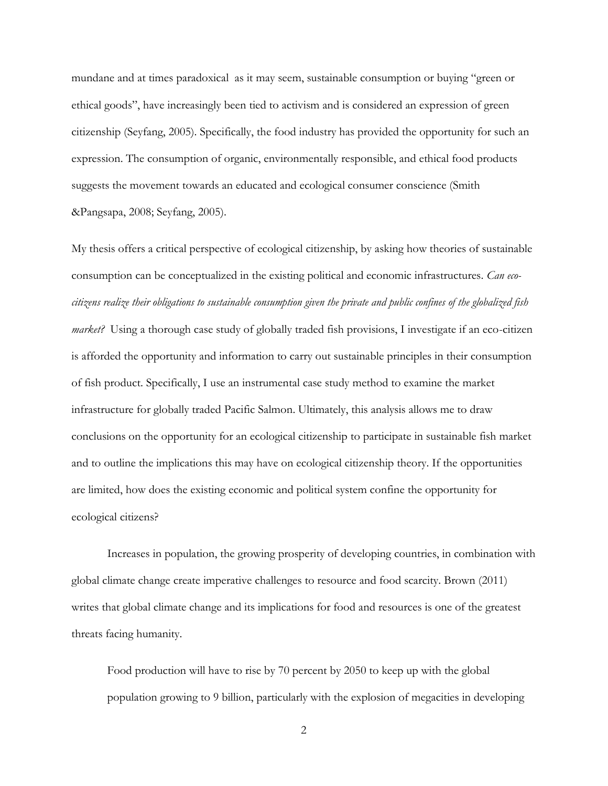mundane and at times paradoxical as it may seem, sustainable consumption or buying "green or ethical goods", have increasingly been tied to activism and is considered an expression of green citizenship (Seyfang, 2005). Specifically, the food industry has provided the opportunity for such an expression. The consumption of organic, environmentally responsible, and ethical food products suggests the movement towards an educated and ecological consumer conscience (Smith &Pangsapa, 2008; Seyfang, 2005).

My thesis offers a critical perspective of ecological citizenship, by asking how theories of sustainable consumption can be conceptualized in the existing political and economic infrastructures. *Can ecocitizens realize their obligations to sustainable consumption given the private and public confines of the globalized fish market?* Using a thorough case study of globally traded fish provisions, I investigate if an eco-citizen is afforded the opportunity and information to carry out sustainable principles in their consumption of fish product. Specifically, I use an instrumental case study method to examine the market infrastructure for globally traded Pacific Salmon. Ultimately, this analysis allows me to draw conclusions on the opportunity for an ecological citizenship to participate in sustainable fish market and to outline the implications this may have on ecological citizenship theory. If the opportunities are limited, how does the existing economic and political system confine the opportunity for ecological citizens?

Increases in population, the growing prosperity of developing countries, in combination with global climate change create imperative challenges to resource and food scarcity. Brown (2011) writes that global climate change and its implications for food and resources is one of the greatest threats facing humanity.

Food production will have to rise by 70 percent by 2050 to keep up with the global population growing to 9 billion, particularly with the explosion of megacities in developing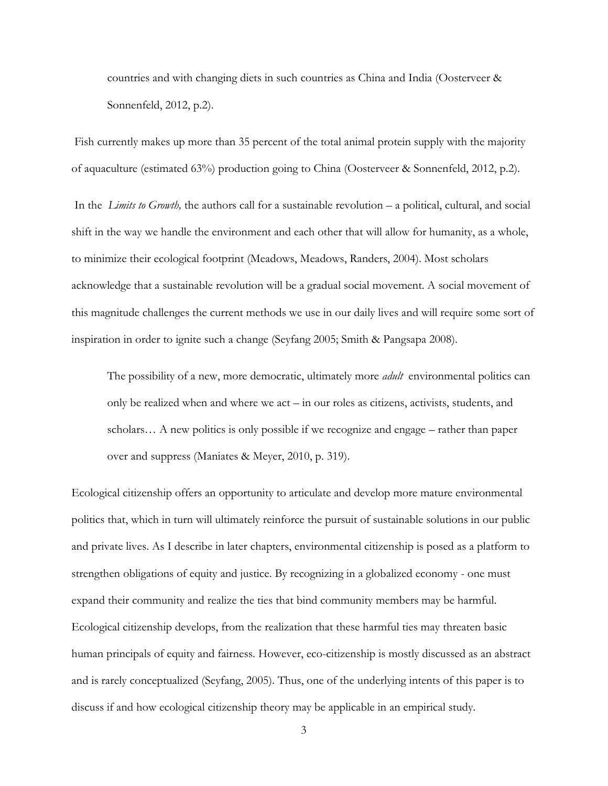countries and with changing diets in such countries as China and India (Oosterveer & Sonnenfeld, 2012, p.2).

Fish currently makes up more than 35 percent of the total animal protein supply with the majority of aquaculture (estimated 63%) production going to China (Oosterveer & Sonnenfeld, 2012, p.2).

In the *Limits to Growth,* the authors call for a sustainable revolution – a political, cultural, and social shift in the way we handle the environment and each other that will allow for humanity, as a whole, to minimize their ecological footprint (Meadows, Meadows, Randers, 2004). Most scholars acknowledge that a sustainable revolution will be a gradual social movement. A social movement of this magnitude challenges the current methods we use in our daily lives and will require some sort of inspiration in order to ignite such a change (Seyfang 2005; Smith & Pangsapa 2008).

The possibility of a new, more democratic, ultimately more *adult* environmental politics can only be realized when and where we act – in our roles as citizens, activists, students, and scholars… A new politics is only possible if we recognize and engage – rather than paper over and suppress (Maniates & Meyer, 2010, p. 319).

Ecological citizenship offers an opportunity to articulate and develop more mature environmental politics that, which in turn will ultimately reinforce the pursuit of sustainable solutions in our public and private lives. As I describe in later chapters, environmental citizenship is posed as a platform to strengthen obligations of equity and justice. By recognizing in a globalized economy - one must expand their community and realize the ties that bind community members may be harmful. Ecological citizenship develops, from the realization that these harmful ties may threaten basic human principals of equity and fairness. However, eco-citizenship is mostly discussed as an abstract and is rarely conceptualized (Seyfang, 2005). Thus, one of the underlying intents of this paper is to discuss if and how ecological citizenship theory may be applicable in an empirical study.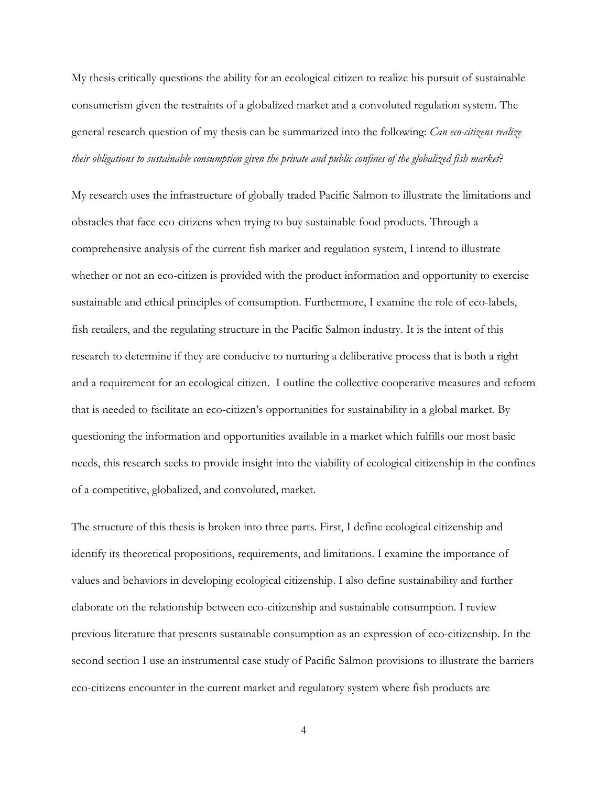My thesis critically questions the ability for an ecological citizen to realize his pursuit of sustainable consumerism given the restraints of a globalized market and a convoluted regulation system. The general research question of my thesis can be summarized into the following: *Can eco-citizens realize their obligations to sustainable consumption given the private and public confines of the globalized fish market*?

My research uses the infrastructure of globally traded Pacific Salmon to illustrate the limitations and obstacles that face eco-citizens when trying to buy sustainable food products. Through a comprehensive analysis of the current fish market and regulation system, I intend to illustrate whether or not an eco-citizen is provided with the product information and opportunity to exercise sustainable and ethical principles of consumption. Furthermore, I examine the role of eco-labels, fish retailers, and the regulating structure in the Pacific Salmon industry. It is the intent of this research to determine if they are conducive to nurturing a deliberative process that is both a right and a requirement for an ecological citizen. I outline the collective cooperative measures and reform that is needed to facilitate an eco-citizen's opportunities for sustainability in a global market. By questioning the information and opportunities available in a market which fulfills our most basic needs, this research seeks to provide insight into the viability of ecological citizenship in the confines of a competitive, globalized, and convoluted, market.

The structure of this thesis is broken into three parts. First, I define ecological citizenship and identify its theoretical propositions, requirements, and limitations. I examine the importance of values and behaviors in developing ecological citizenship. I also define sustainability and further elaborate on the relationship between eco-citizenship and sustainable consumption. I review previous literature that presents sustainable consumption as an expression of eco-citizenship. In the second section I use an instrumental case study of Pacific Salmon provisions to illustrate the barriers eco-citizens encounter in the current market and regulatory system where fish products are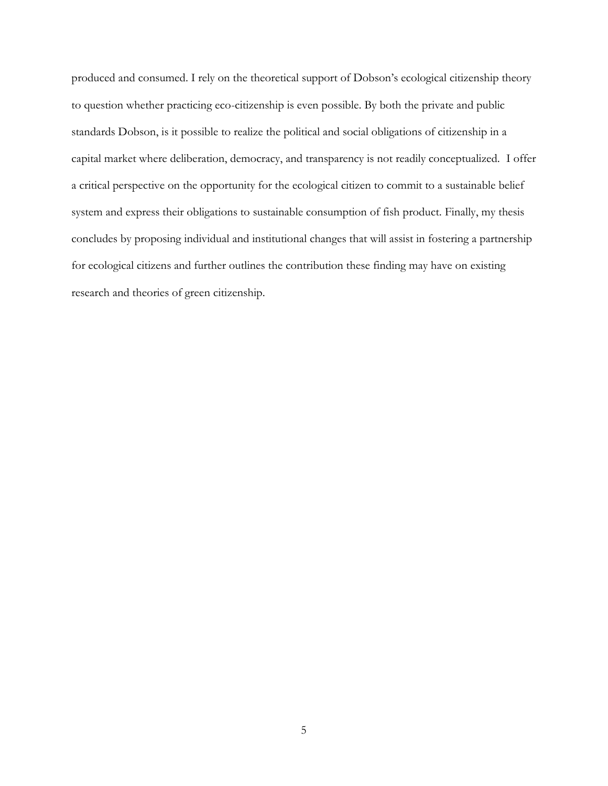produced and consumed. I rely on the theoretical support of Dobson's ecological citizenship theory to question whether practicing eco-citizenship is even possible. By both the private and public standards Dobson, is it possible to realize the political and social obligations of citizenship in a capital market where deliberation, democracy, and transparency is not readily conceptualized. I offer a critical perspective on the opportunity for the ecological citizen to commit to a sustainable belief system and express their obligations to sustainable consumption of fish product. Finally, my thesis concludes by proposing individual and institutional changes that will assist in fostering a partnership for ecological citizens and further outlines the contribution these finding may have on existing research and theories of green citizenship.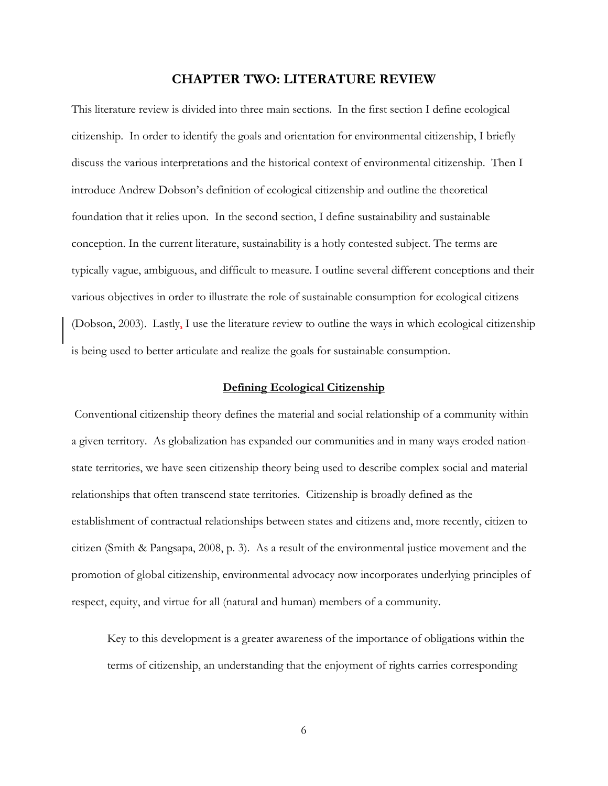# **CHAPTER TWO: LITERATURE REVIEW**

<span id="page-13-0"></span>This literature review is divided into three main sections. In the first section I define ecological citizenship. In order to identify the goals and orientation for environmental citizenship, I briefly discuss the various interpretations and the historical context of environmental citizenship. Then I introduce Andrew Dobson's definition of ecological citizenship and outline the theoretical foundation that it relies upon. In the second section, I define sustainability and sustainable conception. In the current literature, sustainability is a hotly contested subject. The terms are typically vague, ambiguous, and difficult to measure. I outline several different conceptions and their various objectives in order to illustrate the role of sustainable consumption for ecological citizens (Dobson, 2003). Lastly, I use the literature review to outline the ways in which ecological citizenship is being used to better articulate and realize the goals for sustainable consumption.

## **Defining Ecological Citizenship**

<span id="page-13-1"></span>Conventional citizenship theory defines the material and social relationship of a community within a given territory. As globalization has expanded our communities and in many ways eroded nationstate territories, we have seen citizenship theory being used to describe complex social and material relationships that often transcend state territories. Citizenship is broadly defined as the establishment of contractual relationships between states and citizens and, more recently, citizen to citizen (Smith & Pangsapa, 2008, p. 3). As a result of the environmental justice movement and the promotion of global citizenship, environmental advocacy now incorporates underlying principles of respect, equity, and virtue for all (natural and human) members of a community.

Key to this development is a greater awareness of the importance of obligations within the terms of citizenship, an understanding that the enjoyment of rights carries corresponding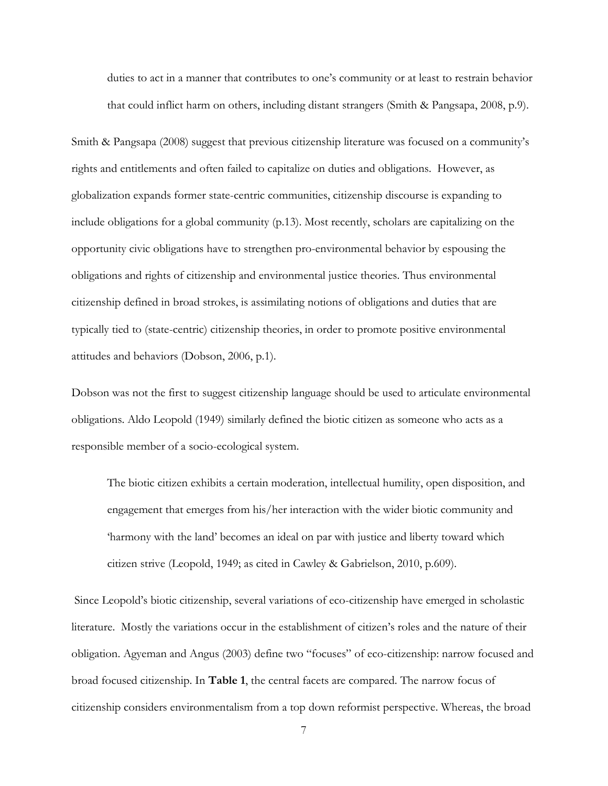duties to act in a manner that contributes to one's community or at least to restrain behavior that could inflict harm on others, including distant strangers (Smith & Pangsapa, 2008, p.9).

Smith & Pangsapa (2008) suggest that previous citizenship literature was focused on a community's rights and entitlements and often failed to capitalize on duties and obligations. However, as globalization expands former state-centric communities, citizenship discourse is expanding to include obligations for a global community (p.13). Most recently, scholars are capitalizing on the opportunity civic obligations have to strengthen pro-environmental behavior by espousing the obligations and rights of citizenship and environmental justice theories. Thus environmental citizenship defined in broad strokes, is assimilating notions of obligations and duties that are typically tied to (state-centric) citizenship theories, in order to promote positive environmental attitudes and behaviors (Dobson, 2006, p.1).

Dobson was not the first to suggest citizenship language should be used to articulate environmental obligations. Aldo Leopold (1949) similarly defined the biotic citizen as someone who acts as a responsible member of a socio-ecological system.

The biotic citizen exhibits a certain moderation, intellectual humility, open disposition, and engagement that emerges from his/her interaction with the wider biotic community and 'harmony with the land' becomes an ideal on par with justice and liberty toward which citizen strive (Leopold, 1949; as cited in Cawley & Gabrielson, 2010, p.609).

Since Leopold's biotic citizenship, several variations of eco-citizenship have emerged in scholastic literature. Mostly the variations occur in the establishment of citizen's roles and the nature of their obligation. Agyeman and Angus (2003) define two "focuses" of eco-citizenship: narrow focused and broad focused citizenship. In **Table 1**, the central facets are compared. The narrow focus of citizenship considers environmentalism from a top down reformist perspective. Whereas, the broad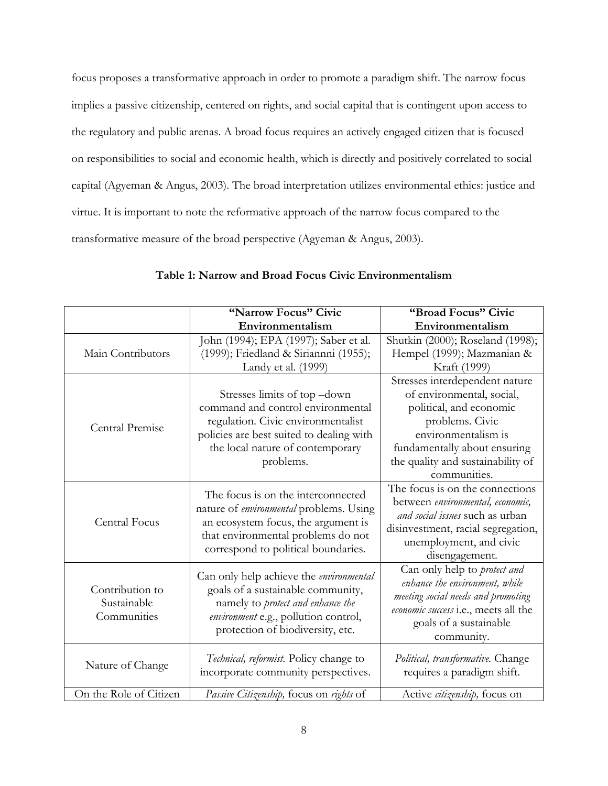focus proposes a transformative approach in order to promote a paradigm shift. The narrow focus implies a passive citizenship, centered on rights, and social capital that is contingent upon access to the regulatory and public arenas. A broad focus requires an actively engaged citizen that is focused on responsibilities to social and economic health, which is directly and positively correlated to social capital (Agyeman & Angus, 2003). The broad interpretation utilizes environmental ethics: justice and virtue. It is important to note the reformative approach of the narrow focus compared to the transformative measure of the broad perspective (Agyeman & Angus, 2003).

<span id="page-15-0"></span>

|                                               | "Narrow Focus" Civic                                                                                                                                                                                     | "Broad Focus" Civic                                                                                                                                                                                                   |  |
|-----------------------------------------------|----------------------------------------------------------------------------------------------------------------------------------------------------------------------------------------------------------|-----------------------------------------------------------------------------------------------------------------------------------------------------------------------------------------------------------------------|--|
|                                               | Environmentalism                                                                                                                                                                                         | Environmentalism                                                                                                                                                                                                      |  |
| Main Contributors                             | John (1994); EPA (1997); Saber et al.<br>(1999); Friedland & Siriannni (1955);                                                                                                                           | Shutkin (2000); Roseland (1998);<br>Hempel (1999); Mazmanian &                                                                                                                                                        |  |
|                                               | Landy et al. (1999)                                                                                                                                                                                      | Kraft (1999)                                                                                                                                                                                                          |  |
| Central Premise                               | Stresses limits of top -down<br>command and control environmental<br>regulation. Civic environmentalist<br>policies are best suited to dealing with<br>the local nature of contemporary<br>problems.     | Stresses interdependent nature<br>of environmental, social,<br>political, and economic<br>problems. Civic<br>environmentalism is<br>fundamentally about ensuring<br>the quality and sustainability of<br>communities. |  |
| Central Focus                                 | The focus is on the interconnected<br>nature of <i>environmental</i> problems. Using<br>an ecosystem focus, the argument is<br>that environmental problems do not<br>correspond to political boundaries. | The focus is on the connections<br>between environmental, economic,<br>and social issues such as urban<br>disinvestment, racial segregation,<br>unemployment, and civic<br>disengagement.                             |  |
| Contribution to<br>Sustainable<br>Communities | Can only help achieve the environmental<br>goals of a sustainable community,<br>namely to protect and enhance the<br>environment e.g., pollution control,<br>protection of biodiversity, etc.            | Can only help to <i>protect and</i><br>enhance the environment, while<br>meeting social needs and promoting<br>economic success i.e., meets all the<br>goals of a sustainable<br>community.                           |  |
| Nature of Change                              | Technical, reformist. Policy change to<br>incorporate community perspectives.                                                                                                                            | Political, transformative. Change<br>requires a paradigm shift.                                                                                                                                                       |  |
| On the Role of Citizen                        | Passive Citizenship, focus on rights of                                                                                                                                                                  | Active citizenship, focus on                                                                                                                                                                                          |  |

# **Table 1: Narrow and Broad Focus Civic Environmentalism**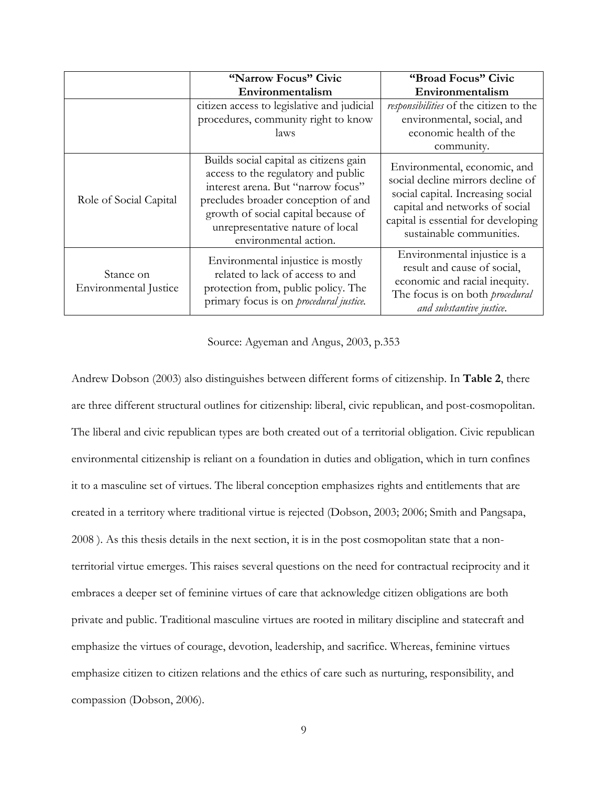|                                    | "Narrow Focus" Civic                                                                                                                                                                                                                                           | "Broad Focus" Civic                                                                                                                                                                                         |
|------------------------------------|----------------------------------------------------------------------------------------------------------------------------------------------------------------------------------------------------------------------------------------------------------------|-------------------------------------------------------------------------------------------------------------------------------------------------------------------------------------------------------------|
|                                    | Environmentalism                                                                                                                                                                                                                                               | Environmentalism                                                                                                                                                                                            |
|                                    | citizen access to legislative and judicial<br>procedures, community right to know                                                                                                                                                                              | responsibilities of the citizen to the<br>environmental, social, and                                                                                                                                        |
|                                    | laws                                                                                                                                                                                                                                                           | economic health of the<br>community.                                                                                                                                                                        |
| Role of Social Capital             | Builds social capital as citizens gain<br>access to the regulatory and public<br>interest arena. But "narrow focus"<br>precludes broader conception of and<br>growth of social capital because of<br>unrepresentative nature of local<br>environmental action. | Environmental, economic, and<br>social decline mirrors decline of<br>social capital. Increasing social<br>capital and networks of social<br>capital is essential for developing<br>sustainable communities. |
| Stance on<br>Environmental Justice | Environmental injustice is mostly<br>related to lack of access to and<br>protection from, public policy. The<br>primary focus is on <i>procedural justice</i> .                                                                                                | Environmental injustice is a<br>result and cause of social,<br>economic and racial inequity.<br>The focus is on both <i>procedural</i><br>and substantive justice.                                          |

Source: Agyeman and Angus, 2003, p.353

Andrew Dobson (2003) also distinguishes between different forms of citizenship. In **Table 2**, there are three different structural outlines for citizenship: liberal, civic republican, and post-cosmopolitan. The liberal and civic republican types are both created out of a territorial obligation. Civic republican environmental citizenship is reliant on a foundation in duties and obligation, which in turn confines it to a masculine set of virtues. The liberal conception emphasizes rights and entitlements that are created in a territory where traditional virtue is rejected (Dobson, 2003; 2006; Smith and Pangsapa, 2008 ). As this thesis details in the next section, it is in the post cosmopolitan state that a nonterritorial virtue emerges. This raises several questions on the need for contractual reciprocity and it embraces a deeper set of feminine virtues of care that acknowledge citizen obligations are both private and public. Traditional masculine virtues are rooted in military discipline and statecraft and emphasize the virtues of courage, devotion, leadership, and sacrifice. Whereas, feminine virtues emphasize citizen to citizen relations and the ethics of care such as nurturing, responsibility, and compassion (Dobson, 2006).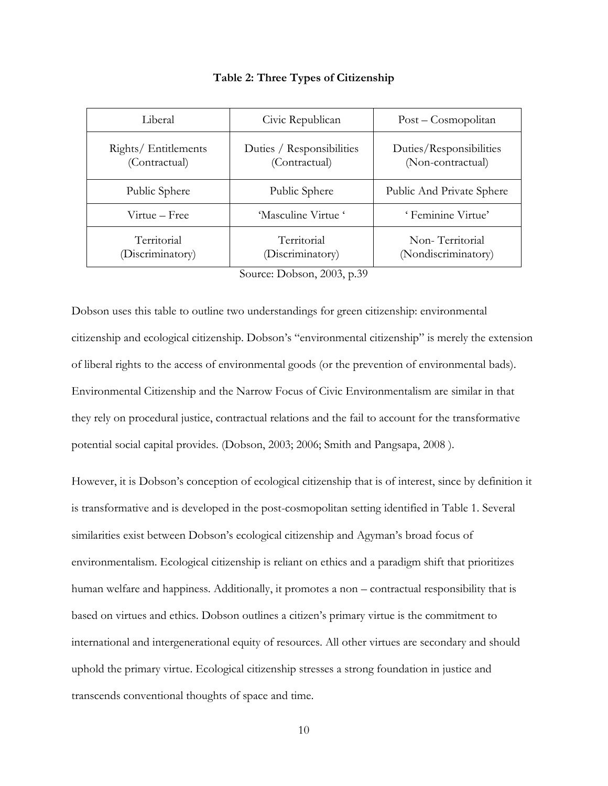<span id="page-17-0"></span>

| Liberal                               | Civic Republican                           | Post – Cosmopolitan                          |
|---------------------------------------|--------------------------------------------|----------------------------------------------|
| Rights/ Entitlements<br>(Contractual) | Duties / Responsibilities<br>(Contractual) | Duties/Responsibilities<br>(Non-contractual) |
| Public Sphere                         | Public Sphere                              | Public And Private Sphere                    |
| 'Masculine Virtue'<br>Virtue – Free   |                                            | 'Feminine Virtue'                            |
| Territorial<br>(Discriminatory)       | Territorial<br>(Discriminatory)            | Non-Territorial<br>(Nondiscriminatory)       |

#### **Table 2: Three Types of Citizenship**

Source: Dobson, 2003, p.39

Dobson uses this table to outline two understandings for green citizenship: environmental citizenship and ecological citizenship. Dobson's "environmental citizenship" is merely the extension of liberal rights to the access of environmental goods (or the prevention of environmental bads). Environmental Citizenship and the Narrow Focus of Civic Environmentalism are similar in that they rely on procedural justice, contractual relations and the fail to account for the transformative potential social capital provides. (Dobson, 2003; 2006; Smith and Pangsapa, 2008 ).

However, it is Dobson's conception of ecological citizenship that is of interest, since by definition it is transformative and is developed in the post-cosmopolitan setting identified in Table 1. Several similarities exist between Dobson's ecological citizenship and Agyman's broad focus of environmentalism. Ecological citizenship is reliant on ethics and a paradigm shift that prioritizes human welfare and happiness. Additionally, it promotes a non – contractual responsibility that is based on virtues and ethics. Dobson outlines a citizen's primary virtue is the commitment to international and intergenerational equity of resources. All other virtues are secondary and should uphold the primary virtue. Ecological citizenship stresses a strong foundation in justice and transcends conventional thoughts of space and time.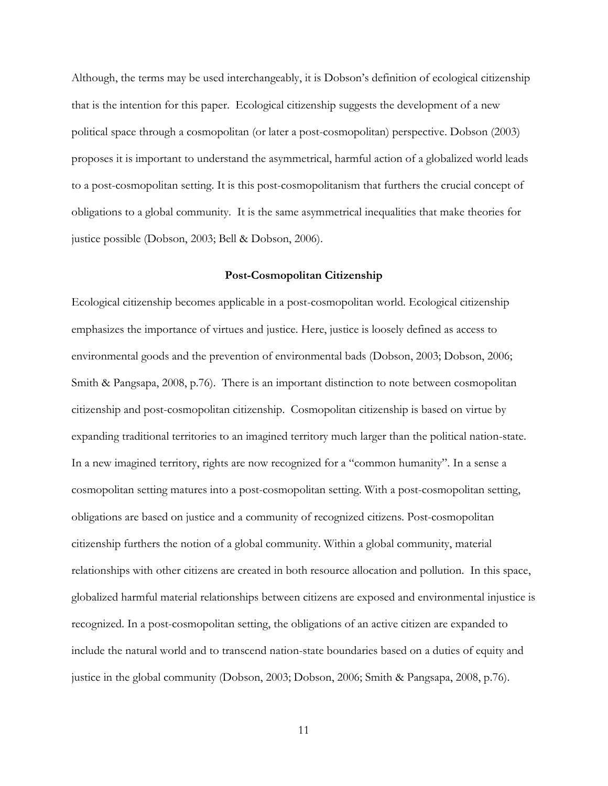Although, the terms may be used interchangeably, it is Dobson's definition of ecological citizenship that is the intention for this paper. Ecological citizenship suggests the development of a new political space through a cosmopolitan (or later a post-cosmopolitan) perspective. Dobson (2003) proposes it is important to understand the asymmetrical, harmful action of a globalized world leads to a post-cosmopolitan setting. It is this post-cosmopolitanism that furthers the crucial concept of obligations to a global community. It is the same asymmetrical inequalities that make theories for justice possible (Dobson, 2003; Bell & Dobson, 2006).

#### **Post-Cosmopolitan Citizenship**

<span id="page-18-0"></span>Ecological citizenship becomes applicable in a post-cosmopolitan world. Ecological citizenship emphasizes the importance of virtues and justice. Here, justice is loosely defined as access to environmental goods and the prevention of environmental bads (Dobson, 2003; Dobson, 2006; Smith & Pangsapa, 2008, p.76). There is an important distinction to note between cosmopolitan citizenship and post-cosmopolitan citizenship. Cosmopolitan citizenship is based on virtue by expanding traditional territories to an imagined territory much larger than the political nation-state. In a new imagined territory, rights are now recognized for a "common humanity". In a sense a cosmopolitan setting matures into a post-cosmopolitan setting. With a post-cosmopolitan setting, obligations are based on justice and a community of recognized citizens. Post-cosmopolitan citizenship furthers the notion of a global community. Within a global community, material relationships with other citizens are created in both resource allocation and pollution. In this space, globalized harmful material relationships between citizens are exposed and environmental injustice is recognized. In a post-cosmopolitan setting, the obligations of an active citizen are expanded to include the natural world and to transcend nation-state boundaries based on a duties of equity and justice in the global community (Dobson, 2003; Dobson, 2006; Smith & Pangsapa, 2008, p.76).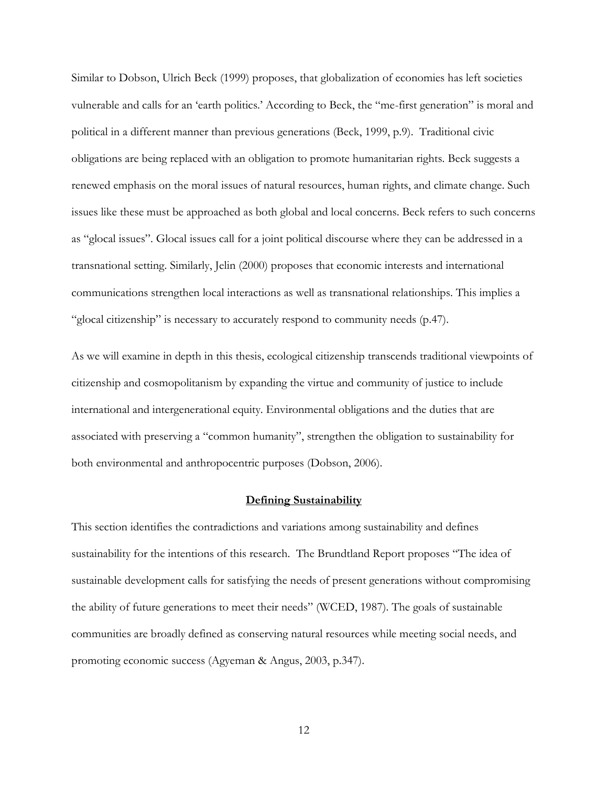Similar to Dobson, Ulrich Beck (1999) proposes, that globalization of economies has left societies vulnerable and calls for an 'earth politics.' According to Beck, the "me-first generation" is moral and political in a different manner than previous generations (Beck, 1999, p.9). Traditional civic obligations are being replaced with an obligation to promote humanitarian rights. Beck suggests a renewed emphasis on the moral issues of natural resources, human rights, and climate change. Such issues like these must be approached as both global and local concerns. Beck refers to such concerns as "glocal issues". Glocal issues call for a joint political discourse where they can be addressed in a transnational setting. Similarly, Jelin (2000) proposes that economic interests and international communications strengthen local interactions as well as transnational relationships. This implies a "glocal citizenship" is necessary to accurately respond to community needs (p.47).

As we will examine in depth in this thesis, ecological citizenship transcends traditional viewpoints of citizenship and cosmopolitanism by expanding the virtue and community of justice to include international and intergenerational equity. Environmental obligations and the duties that are associated with preserving a "common humanity", strengthen the obligation to sustainability for both environmental and anthropocentric purposes (Dobson, 2006).

#### **Defining Sustainability**

<span id="page-19-0"></span>This section identifies the contradictions and variations among sustainability and defines sustainability for the intentions of this research. The Brundtland Report proposes "The idea of sustainable development calls for satisfying the needs of present generations without compromising the ability of future generations to meet their needs" (WCED, 1987). The goals of sustainable communities are broadly defined as conserving natural resources while meeting social needs, and promoting economic success (Agyeman & Angus, 2003, p.347).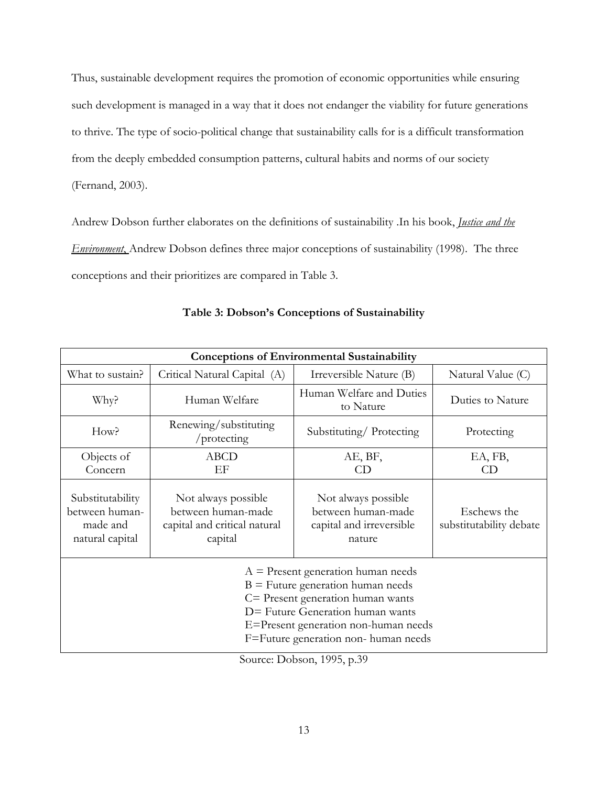Thus, sustainable development requires the promotion of economic opportunities while ensuring such development is managed in a way that it does not endanger the viability for future generations to thrive. The type of socio-political change that sustainability calls for is a difficult transformation from the deeply embedded consumption patterns, cultural habits and norms of our society (Fernand, 2003).

Andrew Dobson further elaborates on the definitions of sustainability .In his book, *Justice and the Environment*, Andrew Dobson defines three major conceptions of sustainability (1998). The three conceptions and their prioritizes are compared in Table 3.

<span id="page-20-0"></span>

| <b>Conceptions of Environmental Sustainability</b>                                                                                                                                                                                   |                                                                                      |                                                                                 |                                        |
|--------------------------------------------------------------------------------------------------------------------------------------------------------------------------------------------------------------------------------------|--------------------------------------------------------------------------------------|---------------------------------------------------------------------------------|----------------------------------------|
| What to sustain?                                                                                                                                                                                                                     | Critical Natural Capital (A)                                                         | Irreversible Nature (B)                                                         | Natural Value (C)                      |
| Why?                                                                                                                                                                                                                                 | Human Welfare                                                                        | Human Welfare and Duties<br>to Nature                                           | Duties to Nature                       |
| How?                                                                                                                                                                                                                                 | Renewing/substituting<br>/protecting                                                 | Substituting/Protecting                                                         | Protecting                             |
| Objects of                                                                                                                                                                                                                           | <b>ABCD</b>                                                                          | AE, BF,                                                                         | EA, FB,                                |
| Concern                                                                                                                                                                                                                              | EF                                                                                   | CD                                                                              | CD                                     |
| Substitutability<br>between human-<br>made and<br>natural capital                                                                                                                                                                    | Not always possible<br>between human-made<br>capital and critical natural<br>capital | Not always possible<br>between human-made<br>capital and irreversible<br>nature | Eschews the<br>substitutability debate |
| $A =$ Present generation human needs<br>$B =$ Future generation human needs<br>C= Present generation human wants<br>D= Future Generation human wants<br>E=Present generation non-human needs<br>F=Future generation non- human needs |                                                                                      |                                                                                 |                                        |

# **Table 3: Dobson's Conceptions of Sustainability**

Source: Dobson, 1995, p.39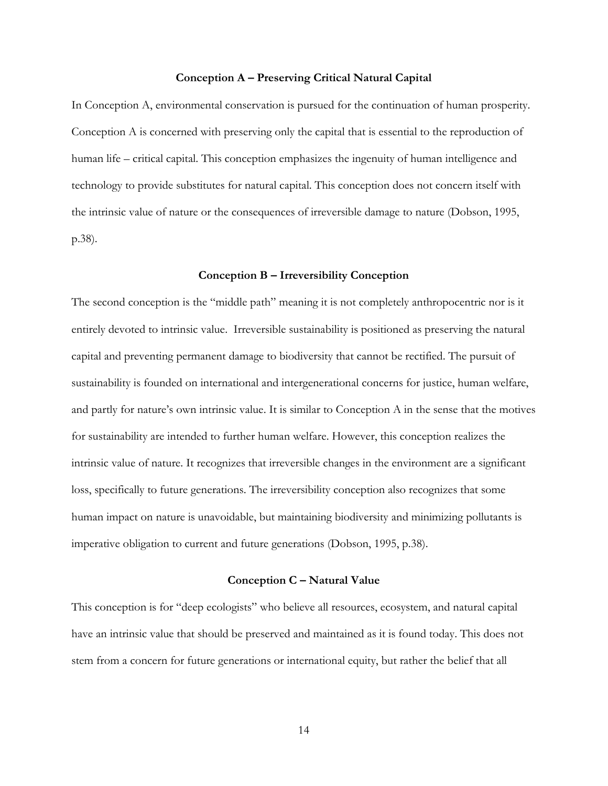#### **Conception A – Preserving Critical Natural Capital**

In Conception A, environmental conservation is pursued for the continuation of human prosperity. Conception A is concerned with preserving only the capital that is essential to the reproduction of human life – critical capital. This conception emphasizes the ingenuity of human intelligence and technology to provide substitutes for natural capital. This conception does not concern itself with the intrinsic value of nature or the consequences of irreversible damage to nature (Dobson, 1995, p.38).

#### **Conception B – Irreversibility Conception**

The second conception is the "middle path" meaning it is not completely anthropocentric nor is it entirely devoted to intrinsic value. Irreversible sustainability is positioned as preserving the natural capital and preventing permanent damage to biodiversity that cannot be rectified. The pursuit of sustainability is founded on international and intergenerational concerns for justice, human welfare, and partly for nature's own intrinsic value. It is similar to Conception A in the sense that the motives for sustainability are intended to further human welfare. However, this conception realizes the intrinsic value of nature. It recognizes that irreversible changes in the environment are a significant loss, specifically to future generations. The irreversibility conception also recognizes that some human impact on nature is unavoidable, but maintaining biodiversity and minimizing pollutants is imperative obligation to current and future generations (Dobson, 1995, p.38).

#### **Conception C – Natural Value**

This conception is for "deep ecologists" who believe all resources, ecosystem, and natural capital have an intrinsic value that should be preserved and maintained as it is found today. This does not stem from a concern for future generations or international equity, but rather the belief that all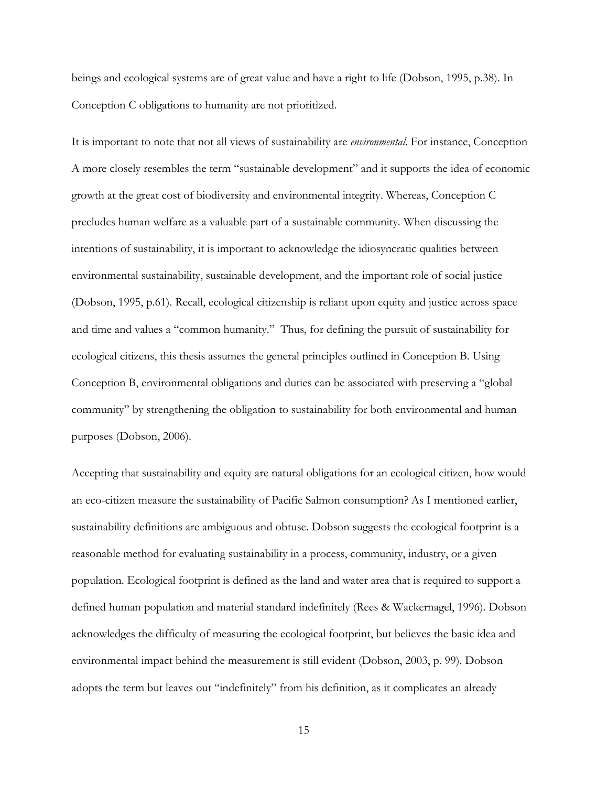beings and ecological systems are of great value and have a right to life (Dobson, 1995, p.38). In Conception C obligations to humanity are not prioritized.

It is important to note that not all views of sustainability are *environmental*. For instance, Conception A more closely resembles the term "sustainable development" and it supports the idea of economic growth at the great cost of biodiversity and environmental integrity. Whereas, Conception C precludes human welfare as a valuable part of a sustainable community. When discussing the intentions of sustainability, it is important to acknowledge the idiosyncratic qualities between environmental sustainability, sustainable development, and the important role of social justice (Dobson, 1995, p.61). Recall, ecological citizenship is reliant upon equity and justice across space and time and values a "common humanity." Thus, for defining the pursuit of sustainability for ecological citizens, this thesis assumes the general principles outlined in Conception B. Using Conception B, environmental obligations and duties can be associated with preserving a "global community" by strengthening the obligation to sustainability for both environmental and human purposes (Dobson, 2006).

Accepting that sustainability and equity are natural obligations for an ecological citizen, how would an eco-citizen measure the sustainability of Pacific Salmon consumption? As I mentioned earlier, sustainability definitions are ambiguous and obtuse. Dobson suggests the ecological footprint is a reasonable method for evaluating sustainability in a process, community, industry, or a given population. Ecological footprint is defined as the land and water area that is required to support a defined human population and material standard indefinitely (Rees & Wackernagel, 1996). Dobson acknowledges the difficulty of measuring the ecological footprint, but believes the basic idea and environmental impact behind the measurement is still evident (Dobson, 2003, p. 99). Dobson adopts the term but leaves out "indefinitely" from his definition, as it complicates an already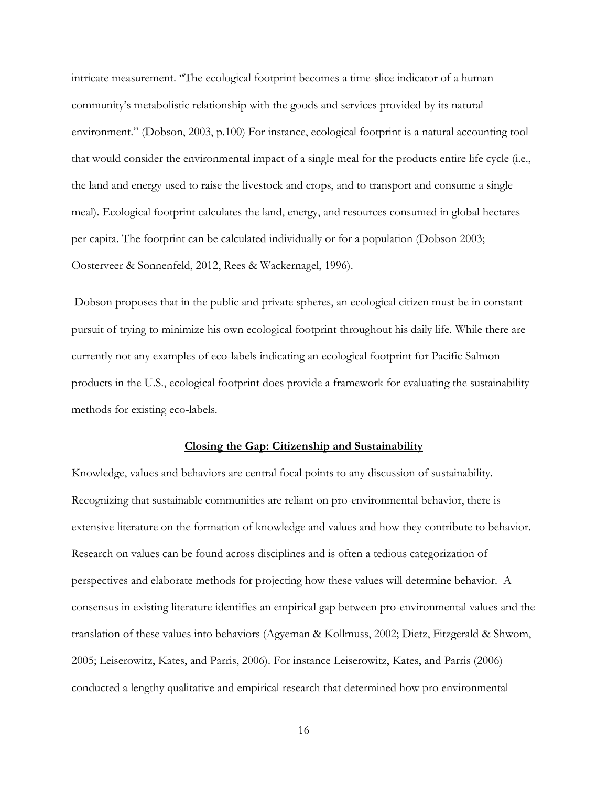intricate measurement. "The ecological footprint becomes a time-slice indicator of a human community's metabolistic relationship with the goods and services provided by its natural environment." (Dobson, 2003, p.100) For instance, ecological footprint is a natural accounting tool that would consider the environmental impact of a single meal for the products entire life cycle (i.e., the land and energy used to raise the livestock and crops, and to transport and consume a single meal). Ecological footprint calculates the land, energy, and resources consumed in global hectares per capita. The footprint can be calculated individually or for a population (Dobson 2003; Oosterveer & Sonnenfeld, 2012, Rees & Wackernagel, 1996).

Dobson proposes that in the public and private spheres, an ecological citizen must be in constant pursuit of trying to minimize his own ecological footprint throughout his daily life. While there are currently not any examples of eco-labels indicating an ecological footprint for Pacific Salmon products in the U.S., ecological footprint does provide a framework for evaluating the sustainability methods for existing eco-labels.

#### **Closing the Gap: Citizenship and Sustainability**

<span id="page-23-0"></span>Knowledge, values and behaviors are central focal points to any discussion of sustainability. Recognizing that sustainable communities are reliant on pro-environmental behavior, there is extensive literature on the formation of knowledge and values and how they contribute to behavior. Research on values can be found across disciplines and is often a tedious categorization of perspectives and elaborate methods for projecting how these values will determine behavior. A consensus in existing literature identifies an empirical gap between pro-environmental values and the translation of these values into behaviors (Agyeman & Kollmuss, 2002; Dietz, Fitzgerald & Shwom, 2005; Leiserowitz, Kates, and Parris, 2006). For instance Leiserowitz, Kates, and Parris (2006) conducted a lengthy qualitative and empirical research that determined how pro environmental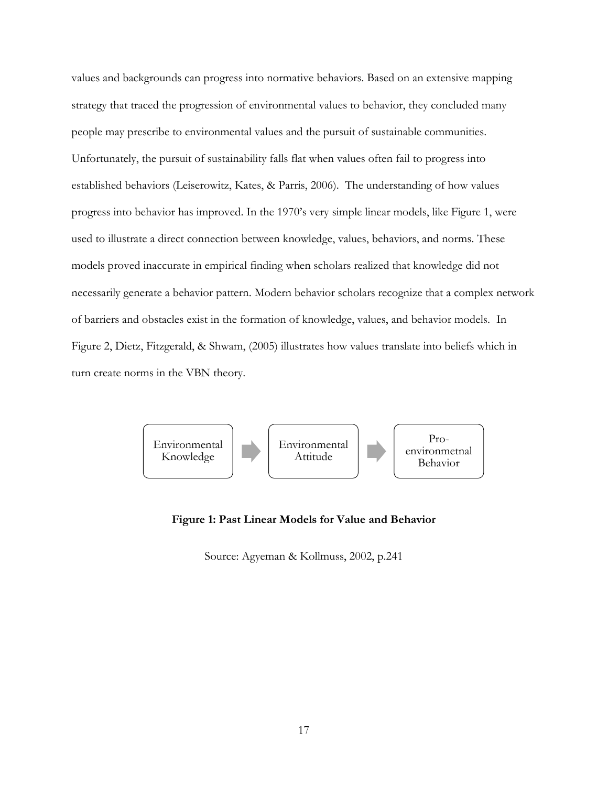values and backgrounds can progress into normative behaviors. Based on an extensive mapping strategy that traced the progression of environmental values to behavior, they concluded many people may prescribe to environmental values and the pursuit of sustainable communities. Unfortunately, the pursuit of sustainability falls flat when values often fail to progress into established behaviors (Leiserowitz, Kates, & Parris, 2006). The understanding of how values progress into behavior has improved. In the 1970's very simple linear models, like Figure 1, were used to illustrate a direct connection between knowledge, values, behaviors, and norms. These models proved inaccurate in empirical finding when scholars realized that knowledge did not necessarily generate a behavior pattern. Modern behavior scholars recognize that a complex network of barriers and obstacles exist in the formation of knowledge, values, and behavior models. In Figure 2, Dietz, Fitzgerald, & Shwam, (2005) illustrates how values translate into beliefs which in turn create norms in the VBN theory.



## <span id="page-24-0"></span>**Figure 1: Past Linear Models for Value and Behavior**

Source: Agyeman & Kollmuss, 2002, p.241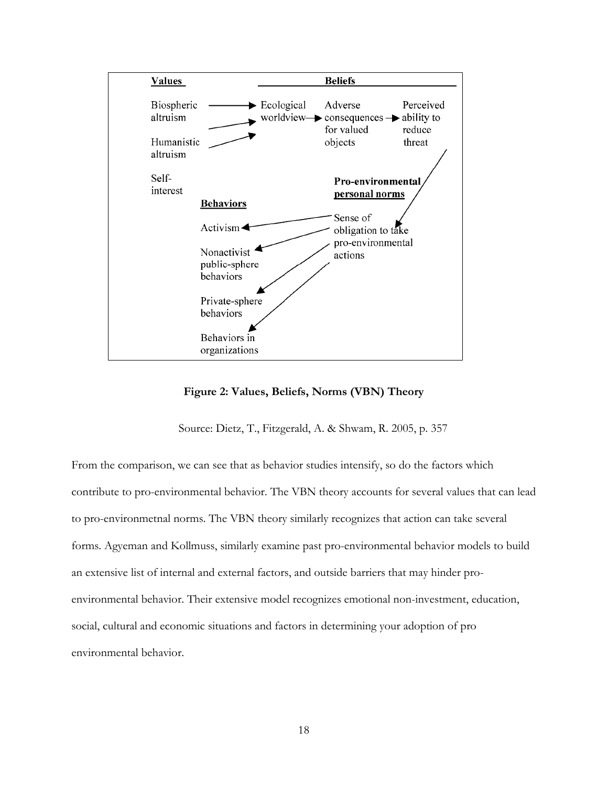

**Figure 2: Values, Beliefs, Norms (VBN) Theory**

Source: Dietz, T., Fitzgerald, A. & Shwam, R. 2005, p. 357

<span id="page-25-0"></span>From the comparison, we can see that as behavior studies intensify, so do the factors which contribute to pro-environmental behavior. The VBN theory accounts for several values that can lead to pro-environmetnal norms. The VBN theory similarly recognizes that action can take several forms. Agyeman and Kollmuss, similarly examine past pro-environmental behavior models to build an extensive list of internal and external factors, and outside barriers that may hinder proenvironmental behavior. Their extensive model recognizes emotional non-investment, education, social, cultural and economic situations and factors in determining your adoption of pro environmental behavior.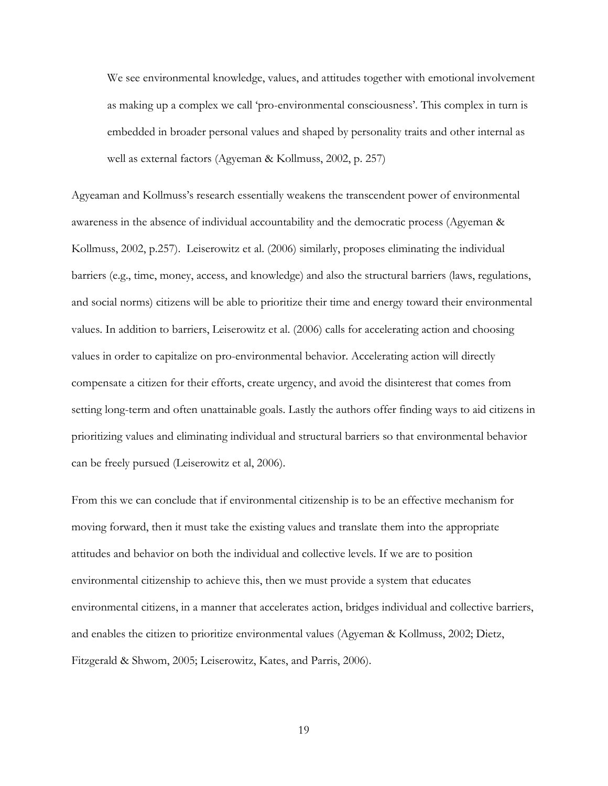We see environmental knowledge, values, and attitudes together with emotional involvement as making up a complex we call 'pro-environmental consciousness'. This complex in turn is embedded in broader personal values and shaped by personality traits and other internal as well as external factors (Agyeman & Kollmuss, 2002, p. 257)

Agyeaman and Kollmuss's research essentially weakens the transcendent power of environmental awareness in the absence of individual accountability and the democratic process (Agyeman & Kollmuss, 2002, p.257). Leiserowitz et al. (2006) similarly, proposes eliminating the individual barriers (e.g., time, money, access, and knowledge) and also the structural barriers (laws, regulations, and social norms) citizens will be able to prioritize their time and energy toward their environmental values. In addition to barriers, Leiserowitz et al. (2006) calls for accelerating action and choosing values in order to capitalize on pro-environmental behavior. Accelerating action will directly compensate a citizen for their efforts, create urgency, and avoid the disinterest that comes from setting long-term and often unattainable goals. Lastly the authors offer finding ways to aid citizens in prioritizing values and eliminating individual and structural barriers so that environmental behavior can be freely pursued (Leiserowitz et al, 2006).

From this we can conclude that if environmental citizenship is to be an effective mechanism for moving forward, then it must take the existing values and translate them into the appropriate attitudes and behavior on both the individual and collective levels. If we are to position environmental citizenship to achieve this, then we must provide a system that educates environmental citizens, in a manner that accelerates action, bridges individual and collective barriers, and enables the citizen to prioritize environmental values (Agyeman & Kollmuss, 2002; Dietz, Fitzgerald & Shwom, 2005; Leiserowitz, Kates, and Parris, 2006).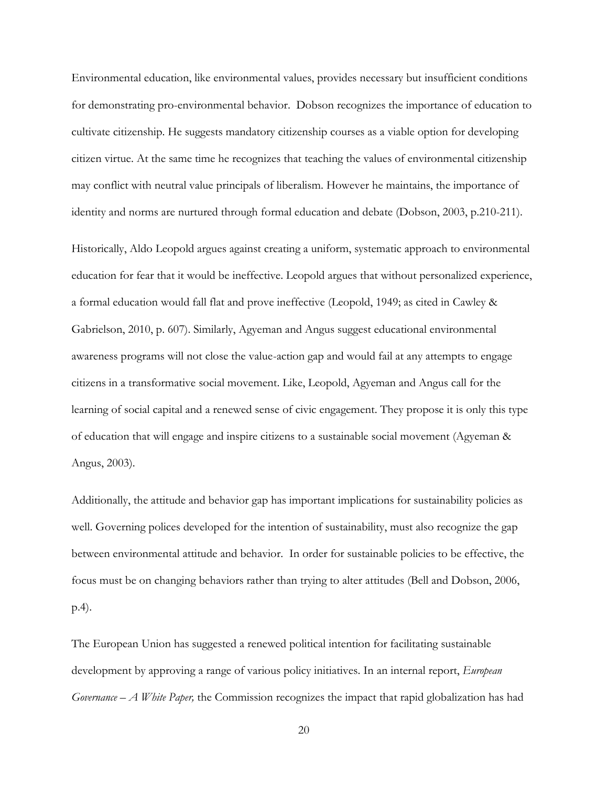Environmental education, like environmental values, provides necessary but insufficient conditions for demonstrating pro-environmental behavior. Dobson recognizes the importance of education to cultivate citizenship. He suggests mandatory citizenship courses as a viable option for developing citizen virtue. At the same time he recognizes that teaching the values of environmental citizenship may conflict with neutral value principals of liberalism. However he maintains, the importance of identity and norms are nurtured through formal education and debate (Dobson, 2003, p.210-211).

Historically, Aldo Leopold argues against creating a uniform, systematic approach to environmental education for fear that it would be ineffective. Leopold argues that without personalized experience, a formal education would fall flat and prove ineffective (Leopold, 1949; as cited in Cawley & Gabrielson, 2010, p. 607). Similarly, Agyeman and Angus suggest educational environmental awareness programs will not close the value-action gap and would fail at any attempts to engage citizens in a transformative social movement. Like, Leopold, Agyeman and Angus call for the learning of social capital and a renewed sense of civic engagement. They propose it is only this type of education that will engage and inspire citizens to a sustainable social movement (Agyeman & Angus, 2003).

Additionally, the attitude and behavior gap has important implications for sustainability policies as well. Governing polices developed for the intention of sustainability, must also recognize the gap between environmental attitude and behavior. In order for sustainable policies to be effective, the focus must be on changing behaviors rather than trying to alter attitudes (Bell and Dobson, 2006, p.4).

The European Union has suggested a renewed political intention for facilitating sustainable development by approving a range of various policy initiatives. In an internal report, *European Governance – A White Paper,* the Commission recognizes the impact that rapid globalization has had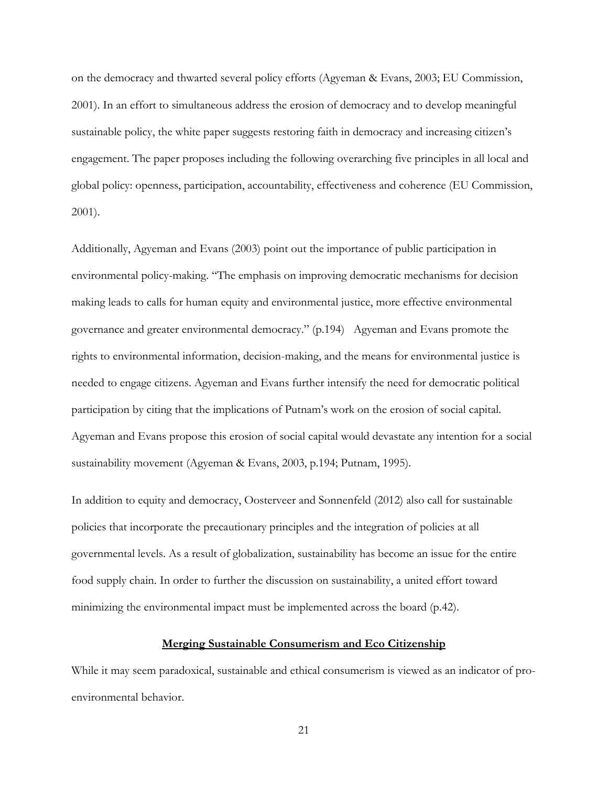on the democracy and thwarted several policy efforts (Agyeman & Evans, 2003; EU Commission, 2001). In an effort to simultaneous address the erosion of democracy and to develop meaningful sustainable policy, the white paper suggests restoring faith in democracy and increasing citizen's engagement. The paper proposes including the following overarching five principles in all local and global policy: openness, participation, accountability, effectiveness and coherence (EU Commission, 2001).

Additionally, Agyeman and Evans (2003) point out the importance of public participation in environmental policy-making. "The emphasis on improving democratic mechanisms for decision making leads to calls for human equity and environmental justice, more effective environmental governance and greater environmental democracy." (p.194) Agyeman and Evans promote the rights to environmental information, decision-making, and the means for environmental justice is needed to engage citizens. Agyeman and Evans further intensify the need for democratic political participation by citing that the implications of Putnam's work on the erosion of social capital. Agyeman and Evans propose this erosion of social capital would devastate any intention for a social sustainability movement (Agyeman & Evans, 2003, p.194; Putnam, 1995).

In addition to equity and democracy, Oosterveer and Sonnenfeld (2012) also call for sustainable policies that incorporate the precautionary principles and the integration of policies at all governmental levels. As a result of globalization, sustainability has become an issue for the entire food supply chain. In order to further the discussion on sustainability, a united effort toward minimizing the environmental impact must be implemented across the board (p.42).

# **Merging Sustainable Consumerism and Eco Citizenship**

<span id="page-28-0"></span>While it may seem paradoxical, sustainable and ethical consumerism is viewed as an indicator of proenvironmental behavior.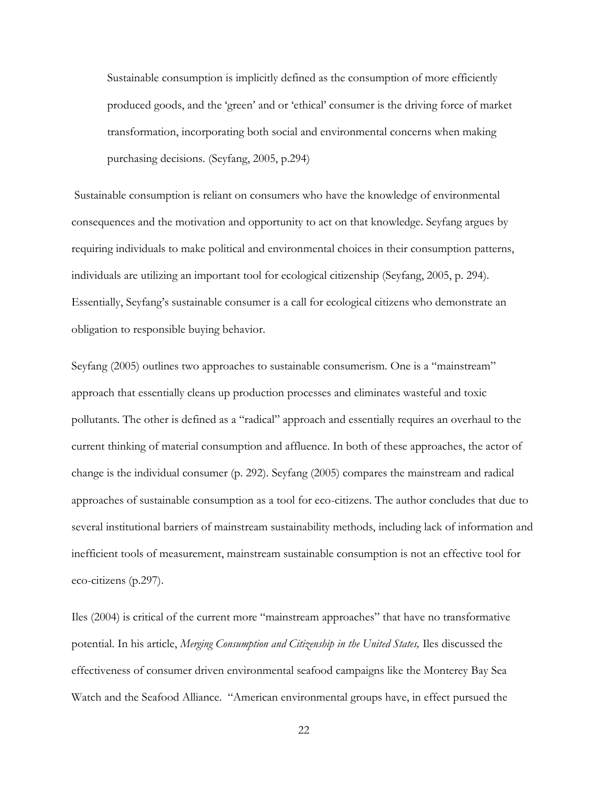Sustainable consumption is implicitly defined as the consumption of more efficiently produced goods, and the 'green' and or 'ethical' consumer is the driving force of market transformation, incorporating both social and environmental concerns when making purchasing decisions. (Seyfang, 2005, p.294)

Sustainable consumption is reliant on consumers who have the knowledge of environmental consequences and the motivation and opportunity to act on that knowledge. Seyfang argues by requiring individuals to make political and environmental choices in their consumption patterns, individuals are utilizing an important tool for ecological citizenship (Seyfang, 2005, p. 294). Essentially, Seyfang's sustainable consumer is a call for ecological citizens who demonstrate an obligation to responsible buying behavior.

Seyfang (2005) outlines two approaches to sustainable consumerism. One is a "mainstream" approach that essentially cleans up production processes and eliminates wasteful and toxic pollutants. The other is defined as a "radical" approach and essentially requires an overhaul to the current thinking of material consumption and affluence. In both of these approaches, the actor of change is the individual consumer (p. 292). Seyfang (2005) compares the mainstream and radical approaches of sustainable consumption as a tool for eco-citizens. The author concludes that due to several institutional barriers of mainstream sustainability methods, including lack of information and inefficient tools of measurement, mainstream sustainable consumption is not an effective tool for eco-citizens (p.297).

Iles (2004) is critical of the current more "mainstream approaches" that have no transformative potential. In his article, *Merging Consumption and Citizenship in the United States,* Iles discussed the effectiveness of consumer driven environmental seafood campaigns like the Monterey Bay Sea Watch and the Seafood Alliance. "American environmental groups have, in effect pursued the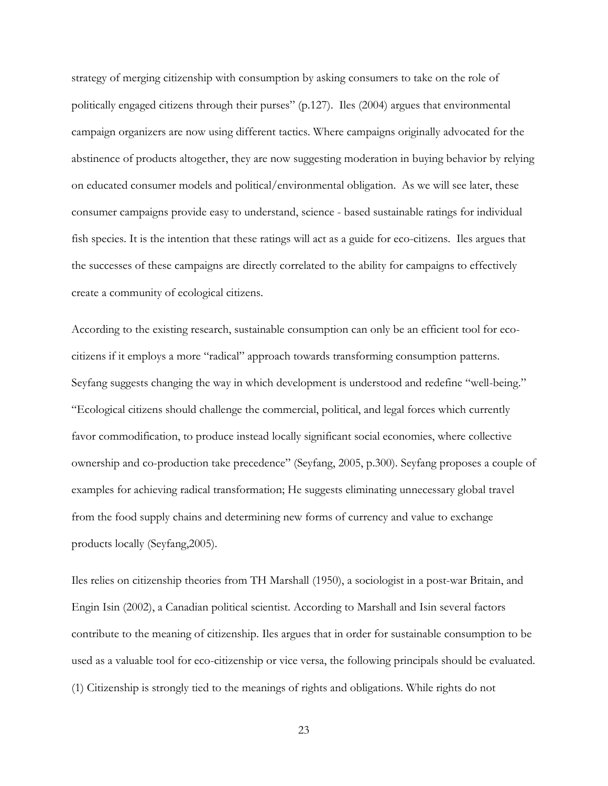strategy of merging citizenship with consumption by asking consumers to take on the role of politically engaged citizens through their purses" (p.127). Iles (2004) argues that environmental campaign organizers are now using different tactics. Where campaigns originally advocated for the abstinence of products altogether, they are now suggesting moderation in buying behavior by relying on educated consumer models and political/environmental obligation. As we will see later, these consumer campaigns provide easy to understand, science - based sustainable ratings for individual fish species. It is the intention that these ratings will act as a guide for eco-citizens. Iles argues that the successes of these campaigns are directly correlated to the ability for campaigns to effectively create a community of ecological citizens.

According to the existing research, sustainable consumption can only be an efficient tool for ecocitizens if it employs a more "radical" approach towards transforming consumption patterns. Seyfang suggests changing the way in which development is understood and redefine "well-being." "Ecological citizens should challenge the commercial, political, and legal forces which currently favor commodification, to produce instead locally significant social economies, where collective ownership and co-production take precedence" (Seyfang, 2005, p.300). Seyfang proposes a couple of examples for achieving radical transformation; He suggests eliminating unnecessary global travel from the food supply chains and determining new forms of currency and value to exchange products locally (Seyfang,2005).

Iles relies on citizenship theories from TH Marshall (1950), a sociologist in a post-war Britain, and Engin Isin (2002), a Canadian political scientist. According to Marshall and Isin several factors contribute to the meaning of citizenship. Iles argues that in order for sustainable consumption to be used as a valuable tool for eco-citizenship or vice versa, the following principals should be evaluated. (1) Citizenship is strongly tied to the meanings of rights and obligations. While rights do not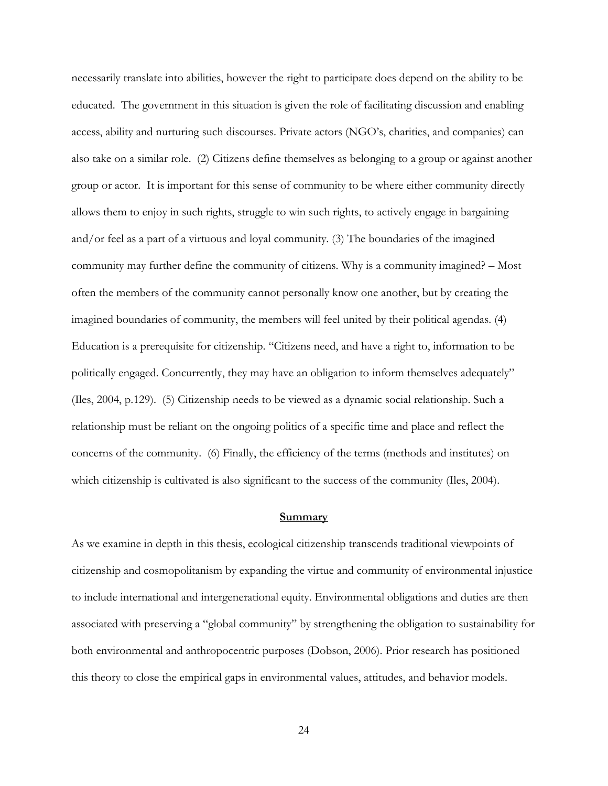necessarily translate into abilities, however the right to participate does depend on the ability to be educated. The government in this situation is given the role of facilitating discussion and enabling access, ability and nurturing such discourses. Private actors (NGO's, charities, and companies) can also take on a similar role. (2) Citizens define themselves as belonging to a group or against another group or actor. It is important for this sense of community to be where either community directly allows them to enjoy in such rights, struggle to win such rights, to actively engage in bargaining and/or feel as a part of a virtuous and loyal community. (3) The boundaries of the imagined community may further define the community of citizens. Why is a community imagined? – Most often the members of the community cannot personally know one another, but by creating the imagined boundaries of community, the members will feel united by their political agendas. (4) Education is a prerequisite for citizenship. "Citizens need, and have a right to, information to be politically engaged. Concurrently, they may have an obligation to inform themselves adequately" (Iles, 2004, p.129). (5) Citizenship needs to be viewed as a dynamic social relationship. Such a relationship must be reliant on the ongoing politics of a specific time and place and reflect the concerns of the community. (6) Finally, the efficiency of the terms (methods and institutes) on which citizenship is cultivated is also significant to the success of the community (Iles, 2004).

#### **Summary**

<span id="page-31-0"></span>As we examine in depth in this thesis, ecological citizenship transcends traditional viewpoints of citizenship and cosmopolitanism by expanding the virtue and community of environmental injustice to include international and intergenerational equity. Environmental obligations and duties are then associated with preserving a "global community" by strengthening the obligation to sustainability for both environmental and anthropocentric purposes (Dobson, 2006). Prior research has positioned this theory to close the empirical gaps in environmental values, attitudes, and behavior models.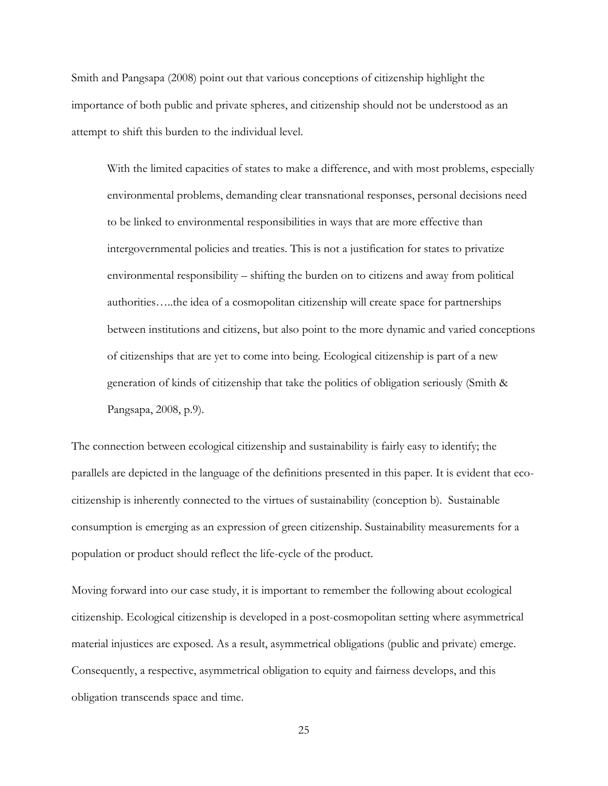Smith and Pangsapa (2008) point out that various conceptions of citizenship highlight the importance of both public and private spheres, and citizenship should not be understood as an attempt to shift this burden to the individual level.

With the limited capacities of states to make a difference, and with most problems, especially environmental problems, demanding clear transnational responses, personal decisions need to be linked to environmental responsibilities in ways that are more effective than intergovernmental policies and treaties. This is not a justification for states to privatize environmental responsibility – shifting the burden on to citizens and away from political authorities…..the idea of a cosmopolitan citizenship will create space for partnerships between institutions and citizens, but also point to the more dynamic and varied conceptions of citizenships that are yet to come into being. Ecological citizenship is part of a new generation of kinds of citizenship that take the politics of obligation seriously (Smith & Pangsapa, 2008, p.9).

The connection between ecological citizenship and sustainability is fairly easy to identify; the parallels are depicted in the language of the definitions presented in this paper. It is evident that ecocitizenship is inherently connected to the virtues of sustainability (conception b). Sustainable consumption is emerging as an expression of green citizenship. Sustainability measurements for a population or product should reflect the life-cycle of the product.

Moving forward into our case study, it is important to remember the following about ecological citizenship. Ecological citizenship is developed in a post-cosmopolitan setting where asymmetrical material injustices are exposed. As a result, asymmetrical obligations (public and private) emerge. Consequently, a respective, asymmetrical obligation to equity and fairness develops, and this obligation transcends space and time.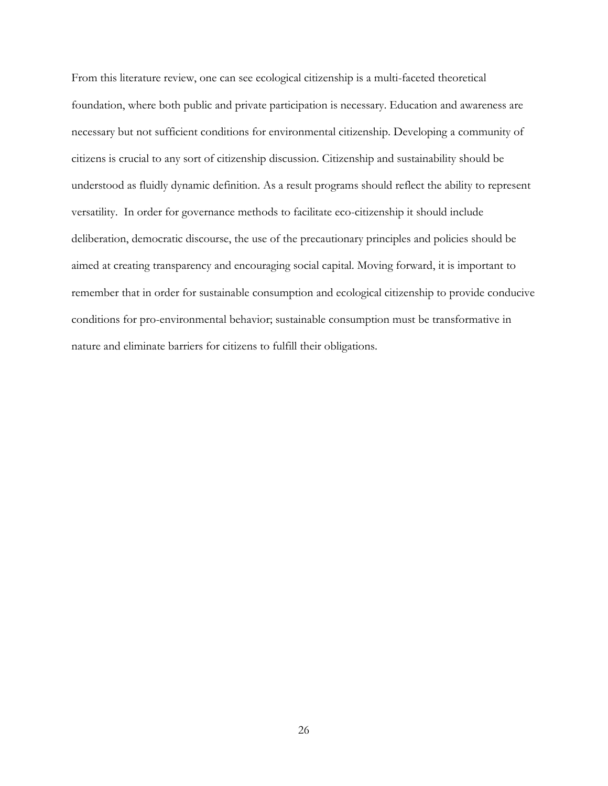From this literature review, one can see ecological citizenship is a multi-faceted theoretical foundation, where both public and private participation is necessary. Education and awareness are necessary but not sufficient conditions for environmental citizenship. Developing a community of citizens is crucial to any sort of citizenship discussion. Citizenship and sustainability should be understood as fluidly dynamic definition. As a result programs should reflect the ability to represent versatility. In order for governance methods to facilitate eco-citizenship it should include deliberation, democratic discourse, the use of the precautionary principles and policies should be aimed at creating transparency and encouraging social capital. Moving forward, it is important to remember that in order for sustainable consumption and ecological citizenship to provide conducive conditions for pro-environmental behavior; sustainable consumption must be transformative in nature and eliminate barriers for citizens to fulfill their obligations.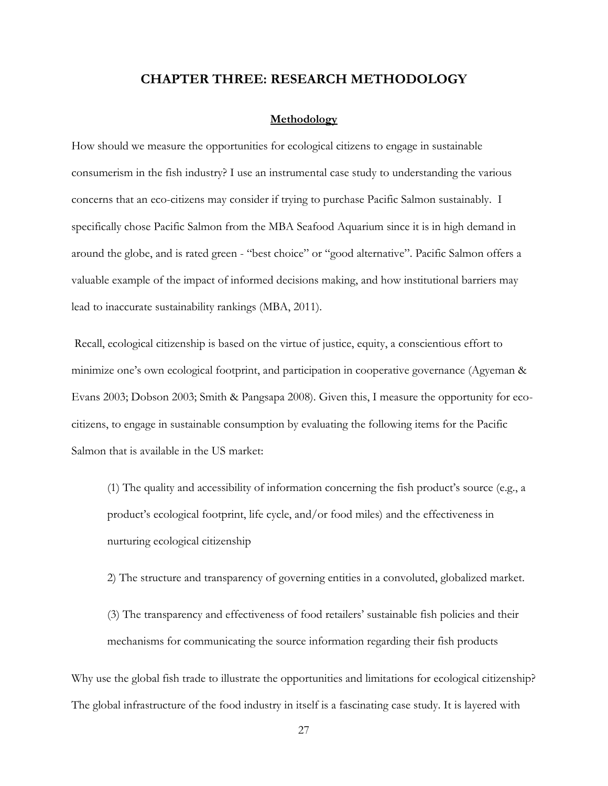# **CHAPTER THREE: RESEARCH METHODOLOGY**

#### **Methodology**

<span id="page-34-1"></span><span id="page-34-0"></span>How should we measure the opportunities for ecological citizens to engage in sustainable consumerism in the fish industry? I use an instrumental case study to understanding the various concerns that an eco-citizens may consider if trying to purchase Pacific Salmon sustainably. I specifically chose Pacific Salmon from the MBA Seafood Aquarium since it is in high demand in around the globe, and is rated green - "best choice" or "good alternative". Pacific Salmon offers a valuable example of the impact of informed decisions making, and how institutional barriers may lead to inaccurate sustainability rankings (MBA, 2011).

Recall, ecological citizenship is based on the virtue of justice, equity, a conscientious effort to minimize one's own ecological footprint, and participation in cooperative governance (Agyeman & Evans 2003; Dobson 2003; Smith & Pangsapa 2008). Given this, I measure the opportunity for ecocitizens, to engage in sustainable consumption by evaluating the following items for the Pacific Salmon that is available in the US market:

(1) The quality and accessibility of information concerning the fish product's source (e.g., a product's ecological footprint, life cycle, and/or food miles) and the effectiveness in nurturing ecological citizenship

2) The structure and transparency of governing entities in a convoluted, globalized market.

(3) The transparency and effectiveness of food retailers' sustainable fish policies and their mechanisms for communicating the source information regarding their fish products

Why use the global fish trade to illustrate the opportunities and limitations for ecological citizenship? The global infrastructure of the food industry in itself is a fascinating case study. It is layered with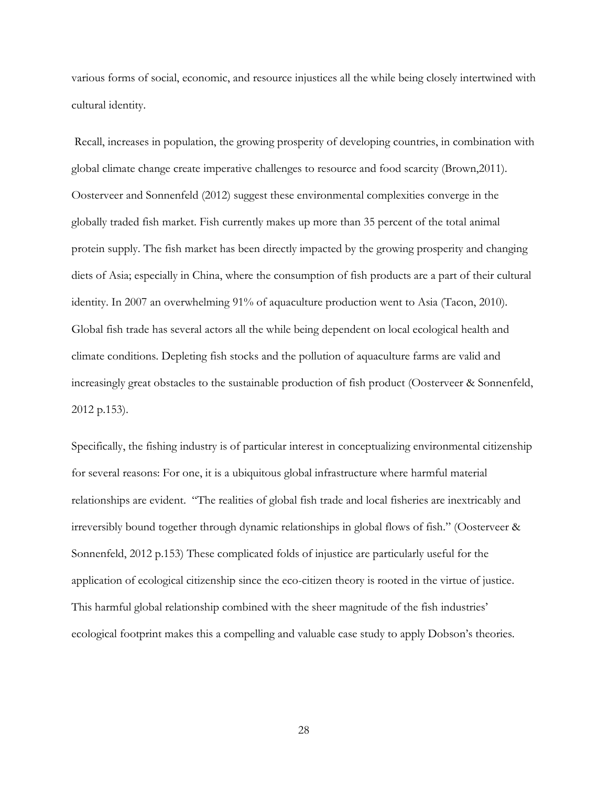various forms of social, economic, and resource injustices all the while being closely intertwined with cultural identity.

Recall, increases in population, the growing prosperity of developing countries, in combination with global climate change create imperative challenges to resource and food scarcity (Brown,2011). Oosterveer and Sonnenfeld (2012) suggest these environmental complexities converge in the globally traded fish market. Fish currently makes up more than 35 percent of the total animal protein supply. The fish market has been directly impacted by the growing prosperity and changing diets of Asia; especially in China, where the consumption of fish products are a part of their cultural identity. In 2007 an overwhelming 91% of aquaculture production went to Asia (Tacon, 2010). Global fish trade has several actors all the while being dependent on local ecological health and climate conditions. Depleting fish stocks and the pollution of aquaculture farms are valid and increasingly great obstacles to the sustainable production of fish product (Oosterveer & Sonnenfeld, 2012 p.153).

Specifically, the fishing industry is of particular interest in conceptualizing environmental citizenship for several reasons: For one, it is a ubiquitous global infrastructure where harmful material relationships are evident. "The realities of global fish trade and local fisheries are inextricably and irreversibly bound together through dynamic relationships in global flows of fish." (Oosterveer & Sonnenfeld, 2012 p.153) These complicated folds of injustice are particularly useful for the application of ecological citizenship since the eco-citizen theory is rooted in the virtue of justice. This harmful global relationship combined with the sheer magnitude of the fish industries' ecological footprint makes this a compelling and valuable case study to apply Dobson's theories.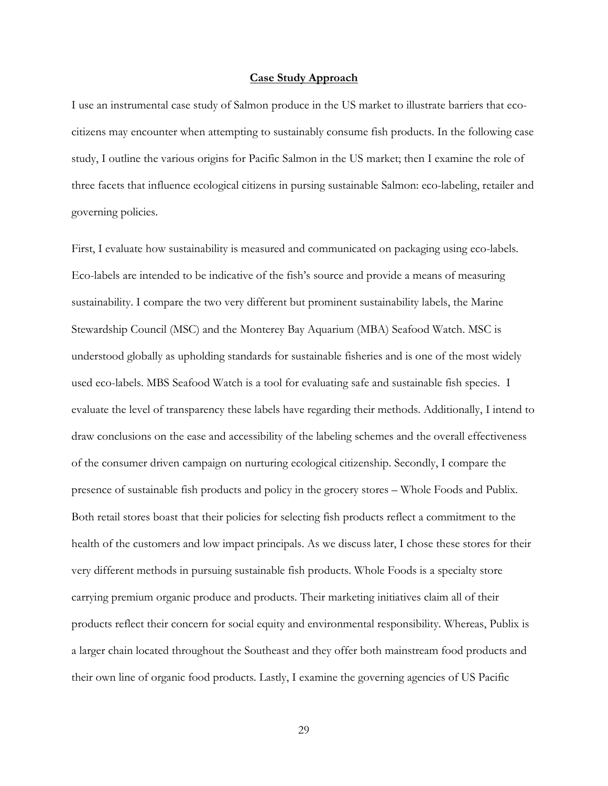#### **Case Study Approach**

I use an instrumental case study of Salmon produce in the US market to illustrate barriers that ecocitizens may encounter when attempting to sustainably consume fish products. In the following case study, I outline the various origins for Pacific Salmon in the US market; then I examine the role of three facets that influence ecological citizens in pursing sustainable Salmon: eco-labeling, retailer and governing policies.

First, I evaluate how sustainability is measured and communicated on packaging using eco-labels. Eco-labels are intended to be indicative of the fish's source and provide a means of measuring sustainability. I compare the two very different but prominent sustainability labels, the Marine Stewardship Council (MSC) and the Monterey Bay Aquarium (MBA) Seafood Watch. MSC is understood globally as upholding standards for sustainable fisheries and is one of the most widely used eco-labels. MBS Seafood Watch is a tool for evaluating safe and sustainable fish species. I evaluate the level of transparency these labels have regarding their methods. Additionally, I intend to draw conclusions on the ease and accessibility of the labeling schemes and the overall effectiveness of the consumer driven campaign on nurturing ecological citizenship. Secondly, I compare the presence of sustainable fish products and policy in the grocery stores – Whole Foods and Publix. Both retail stores boast that their policies for selecting fish products reflect a commitment to the health of the customers and low impact principals. As we discuss later, I chose these stores for their very different methods in pursuing sustainable fish products. Whole Foods is a specialty store carrying premium organic produce and products. Their marketing initiatives claim all of their products reflect their concern for social equity and environmental responsibility. Whereas, Publix is a larger chain located throughout the Southeast and they offer both mainstream food products and their own line of organic food products. Lastly, I examine the governing agencies of US Pacific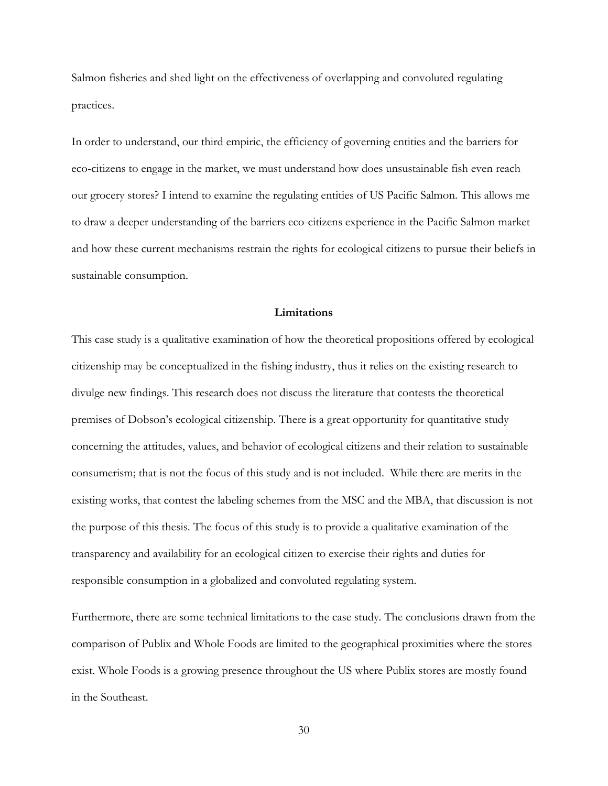Salmon fisheries and shed light on the effectiveness of overlapping and convoluted regulating practices.

In order to understand, our third empiric, the efficiency of governing entities and the barriers for eco-citizens to engage in the market, we must understand how does unsustainable fish even reach our grocery stores? I intend to examine the regulating entities of US Pacific Salmon. This allows me to draw a deeper understanding of the barriers eco-citizens experience in the Pacific Salmon market and how these current mechanisms restrain the rights for ecological citizens to pursue their beliefs in sustainable consumption.

### **Limitations**

This case study is a qualitative examination of how the theoretical propositions offered by ecological citizenship may be conceptualized in the fishing industry, thus it relies on the existing research to divulge new findings. This research does not discuss the literature that contests the theoretical premises of Dobson's ecological citizenship. There is a great opportunity for quantitative study concerning the attitudes, values, and behavior of ecological citizens and their relation to sustainable consumerism; that is not the focus of this study and is not included. While there are merits in the existing works, that contest the labeling schemes from the MSC and the MBA, that discussion is not the purpose of this thesis. The focus of this study is to provide a qualitative examination of the transparency and availability for an ecological citizen to exercise their rights and duties for responsible consumption in a globalized and convoluted regulating system.

Furthermore, there are some technical limitations to the case study. The conclusions drawn from the comparison of Publix and Whole Foods are limited to the geographical proximities where the stores exist. Whole Foods is a growing presence throughout the US where Publix stores are mostly found in the Southeast.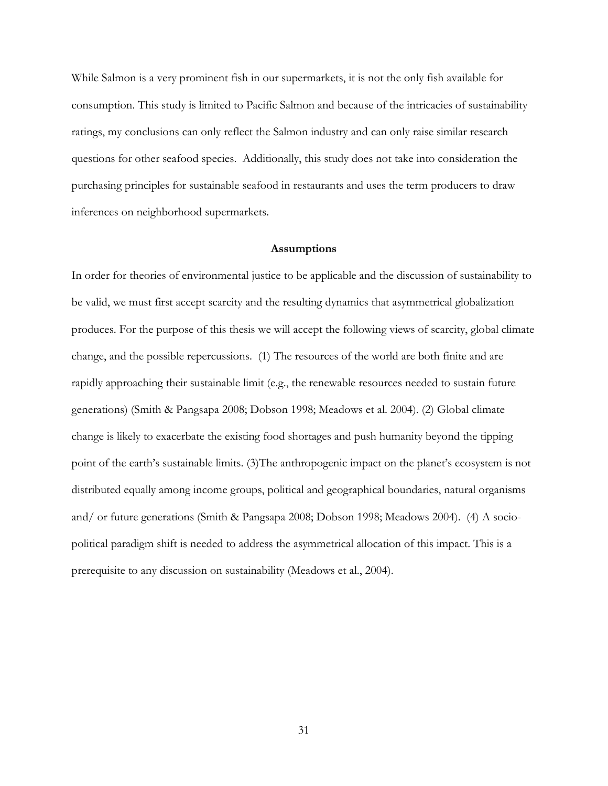While Salmon is a very prominent fish in our supermarkets, it is not the only fish available for consumption. This study is limited to Pacific Salmon and because of the intricacies of sustainability ratings, my conclusions can only reflect the Salmon industry and can only raise similar research questions for other seafood species. Additionally, this study does not take into consideration the purchasing principles for sustainable seafood in restaurants and uses the term producers to draw inferences on neighborhood supermarkets.

#### **Assumptions**

In order for theories of environmental justice to be applicable and the discussion of sustainability to be valid, we must first accept scarcity and the resulting dynamics that asymmetrical globalization produces. For the purpose of this thesis we will accept the following views of scarcity, global climate change, and the possible repercussions. (1) The resources of the world are both finite and are rapidly approaching their sustainable limit (e.g., the renewable resources needed to sustain future generations) (Smith & Pangsapa 2008; Dobson 1998; Meadows et al. 2004). (2) Global climate change is likely to exacerbate the existing food shortages and push humanity beyond the tipping point of the earth's sustainable limits. (3)The anthropogenic impact on the planet's ecosystem is not distributed equally among income groups, political and geographical boundaries, natural organisms and/ or future generations (Smith & Pangsapa 2008; Dobson 1998; Meadows 2004). (4) A sociopolitical paradigm shift is needed to address the asymmetrical allocation of this impact. This is a prerequisite to any discussion on sustainability (Meadows et al., 2004).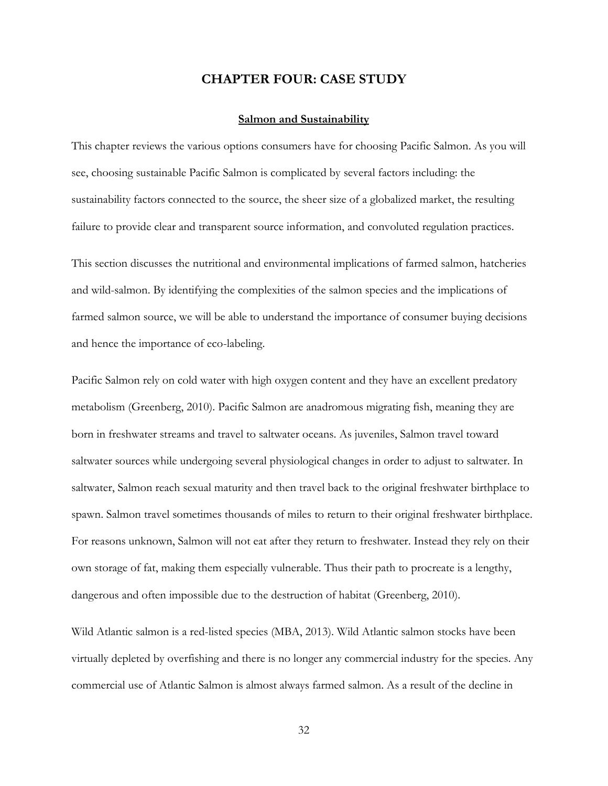# **CHAPTER FOUR: CASE STUDY**

#### **Salmon and Sustainability**

This chapter reviews the various options consumers have for choosing Pacific Salmon. As you will see, choosing sustainable Pacific Salmon is complicated by several factors including: the sustainability factors connected to the source, the sheer size of a globalized market, the resulting failure to provide clear and transparent source information, and convoluted regulation practices.

This section discusses the nutritional and environmental implications of farmed salmon, hatcheries and wild-salmon. By identifying the complexities of the salmon species and the implications of farmed salmon source, we will be able to understand the importance of consumer buying decisions and hence the importance of eco-labeling.

Pacific Salmon rely on cold water with high oxygen content and they have an excellent predatory metabolism (Greenberg, 2010). Pacific Salmon are anadromous migrating fish, meaning they are born in freshwater streams and travel to saltwater oceans. As juveniles, Salmon travel toward saltwater sources while undergoing several physiological changes in order to adjust to saltwater. In saltwater, Salmon reach sexual maturity and then travel back to the original freshwater birthplace to spawn. Salmon travel sometimes thousands of miles to return to their original freshwater birthplace. For reasons unknown, Salmon will not eat after they return to freshwater. Instead they rely on their own storage of fat, making them especially vulnerable. Thus their path to procreate is a lengthy, dangerous and often impossible due to the destruction of habitat (Greenberg, 2010).

Wild Atlantic salmon is a red-listed species (MBA, 2013). Wild Atlantic salmon stocks have been virtually depleted by overfishing and there is no longer any commercial industry for the species. Any commercial use of Atlantic Salmon is almost always farmed salmon. As a result of the decline in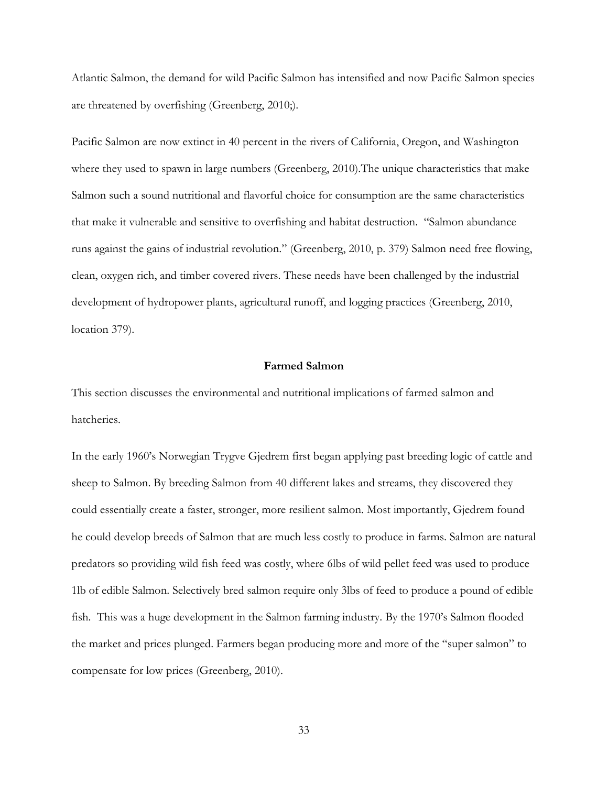Atlantic Salmon, the demand for wild Pacific Salmon has intensified and now Pacific Salmon species are threatened by overfishing (Greenberg, 2010;).

Pacific Salmon are now extinct in 40 percent in the rivers of California, Oregon, and Washington where they used to spawn in large numbers (Greenberg, 2010).The unique characteristics that make Salmon such a sound nutritional and flavorful choice for consumption are the same characteristics that make it vulnerable and sensitive to overfishing and habitat destruction. "Salmon abundance runs against the gains of industrial revolution." (Greenberg, 2010, p. 379) Salmon need free flowing, clean, oxygen rich, and timber covered rivers. These needs have been challenged by the industrial development of hydropower plants, agricultural runoff, and logging practices (Greenberg, 2010, location 379).

# **Farmed Salmon**

This section discusses the environmental and nutritional implications of farmed salmon and hatcheries.

In the early 1960's Norwegian Trygve Gjedrem first began applying past breeding logic of cattle and sheep to Salmon. By breeding Salmon from 40 different lakes and streams, they discovered they could essentially create a faster, stronger, more resilient salmon. Most importantly, Gjedrem found he could develop breeds of Salmon that are much less costly to produce in farms. Salmon are natural predators so providing wild fish feed was costly, where 6lbs of wild pellet feed was used to produce 1lb of edible Salmon. Selectively bred salmon require only 3lbs of feed to produce a pound of edible fish. This was a huge development in the Salmon farming industry. By the 1970's Salmon flooded the market and prices plunged. Farmers began producing more and more of the "super salmon" to compensate for low prices (Greenberg, 2010).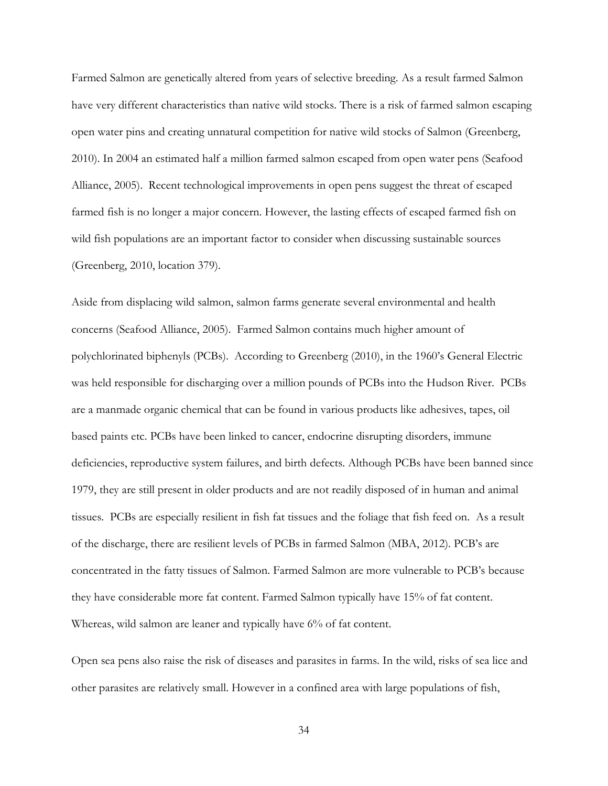Farmed Salmon are genetically altered from years of selective breeding. As a result farmed Salmon have very different characteristics than native wild stocks. There is a risk of farmed salmon escaping open water pins and creating unnatural competition for native wild stocks of Salmon (Greenberg, 2010). In 2004 an estimated half a million farmed salmon escaped from open water pens (Seafood Alliance, 2005). Recent technological improvements in open pens suggest the threat of escaped farmed fish is no longer a major concern. However, the lasting effects of escaped farmed fish on wild fish populations are an important factor to consider when discussing sustainable sources (Greenberg, 2010, location 379).

Aside from displacing wild salmon, salmon farms generate several environmental and health concerns (Seafood Alliance, 2005). Farmed Salmon contains much higher amount of polychlorinated biphenyls (PCBs). According to Greenberg (2010), in the 1960's General Electric was held responsible for discharging over a million pounds of PCBs into the Hudson River. PCBs are a manmade organic chemical that can be found in various products like adhesives, tapes, oil based paints etc. PCBs have been linked to cancer, endocrine disrupting disorders, immune deficiencies, reproductive system failures, and birth defects. Although PCBs have been banned since 1979, they are still present in older products and are not readily disposed of in human and animal tissues. PCBs are especially resilient in fish fat tissues and the foliage that fish feed on. As a result of the discharge, there are resilient levels of PCBs in farmed Salmon (MBA, 2012). PCB's are concentrated in the fatty tissues of Salmon. Farmed Salmon are more vulnerable to PCB's because they have considerable more fat content. Farmed Salmon typically have 15% of fat content. Whereas, wild salmon are leaner and typically have 6% of fat content.

Open sea pens also raise the risk of diseases and parasites in farms. In the wild, risks of sea lice and other parasites are relatively small. However in a confined area with large populations of fish,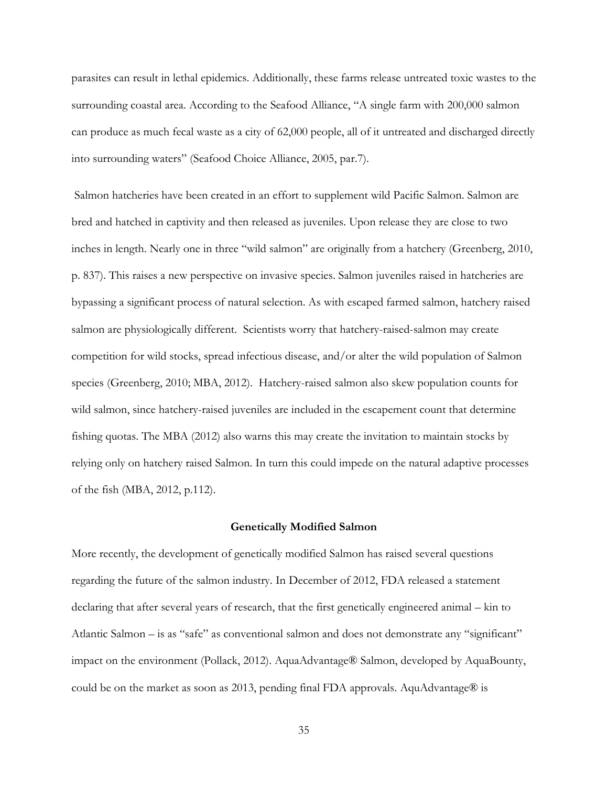parasites can result in lethal epidemics. Additionally, these farms release untreated toxic wastes to the surrounding coastal area. According to the Seafood Alliance, "A single farm with 200,000 salmon can produce as much fecal waste as a city of 62,000 people, all of it untreated and discharged directly into surrounding waters" (Seafood Choice Alliance, 2005, par.7).

Salmon hatcheries have been created in an effort to supplement wild Pacific Salmon. Salmon are bred and hatched in captivity and then released as juveniles. Upon release they are close to two inches in length. Nearly one in three "wild salmon" are originally from a hatchery (Greenberg, 2010, p. 837). This raises a new perspective on invasive species. Salmon juveniles raised in hatcheries are bypassing a significant process of natural selection. As with escaped farmed salmon, hatchery raised salmon are physiologically different. Scientists worry that hatchery-raised-salmon may create competition for wild stocks, spread infectious disease, and/or alter the wild population of Salmon species (Greenberg, 2010; MBA, 2012). Hatchery-raised salmon also skew population counts for wild salmon, since hatchery-raised juveniles are included in the escapement count that determine fishing quotas. The MBA (2012) also warns this may create the invitation to maintain stocks by relying only on hatchery raised Salmon. In turn this could impede on the natural adaptive processes of the fish (MBA, 2012, p.112).

#### **Genetically Modified Salmon**

More recently, the development of genetically modified Salmon has raised several questions regarding the future of the salmon industry. In December of 2012, FDA released a statement declaring that after several years of research, that the first genetically engineered animal – kin to Atlantic Salmon – is as "safe" as conventional salmon and does not demonstrate any "significant" impact on the environment (Pollack, 2012). AquaAdvantage® Salmon, developed by AquaBounty, could be on the market as soon as 2013, pending final FDA approvals. AquAdvantage® is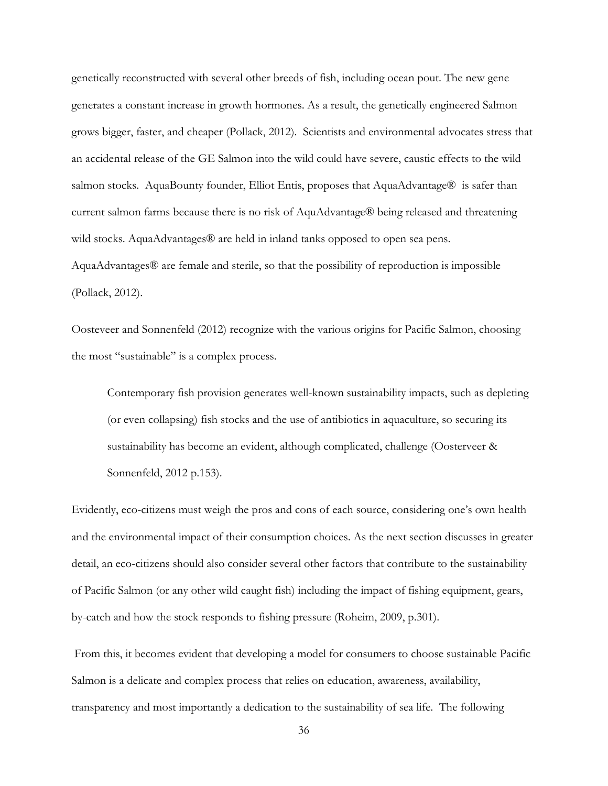genetically reconstructed with several other breeds of fish, including ocean pout. The new gene generates a constant increase in growth hormones. As a result, the genetically engineered Salmon grows bigger, faster, and cheaper (Pollack, 2012). Scientists and environmental advocates stress that an accidental release of the GE Salmon into the wild could have severe, caustic effects to the wild salmon stocks. AquaBounty founder, Elliot Entis, proposes that AquaAdvantage® is safer than current salmon farms because there is no risk of AquAdvantage® being released and threatening wild stocks. AquaAdvantages® are held in inland tanks opposed to open sea pens. AquaAdvantages® are female and sterile, so that the possibility of reproduction is impossible (Pollack, 2012).

Oosteveer and Sonnenfeld (2012) recognize with the various origins for Pacific Salmon, choosing the most "sustainable" is a complex process.

Contemporary fish provision generates well-known sustainability impacts, such as depleting (or even collapsing) fish stocks and the use of antibiotics in aquaculture, so securing its sustainability has become an evident, although complicated, challenge (Oosterveer & Sonnenfeld, 2012 p.153).

Evidently, eco-citizens must weigh the pros and cons of each source, considering one's own health and the environmental impact of their consumption choices. As the next section discusses in greater detail, an eco-citizens should also consider several other factors that contribute to the sustainability of Pacific Salmon (or any other wild caught fish) including the impact of fishing equipment, gears, by-catch and how the stock responds to fishing pressure (Roheim, 2009, p.301).

From this, it becomes evident that developing a model for consumers to choose sustainable Pacific Salmon is a delicate and complex process that relies on education, awareness, availability, transparency and most importantly a dedication to the sustainability of sea life. The following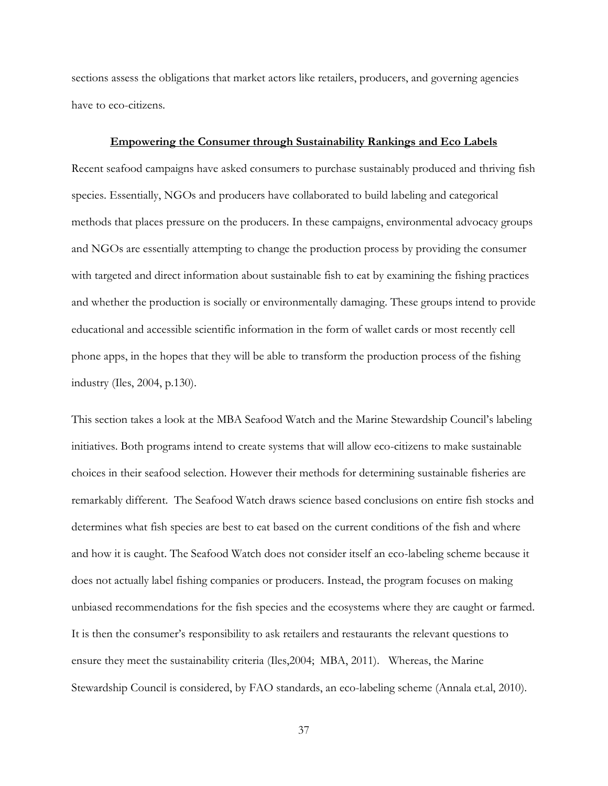sections assess the obligations that market actors like retailers, producers, and governing agencies have to eco-citizens.

#### **Empowering the Consumer through Sustainability Rankings and Eco Labels**

Recent seafood campaigns have asked consumers to purchase sustainably produced and thriving fish species. Essentially, NGOs and producers have collaborated to build labeling and categorical methods that places pressure on the producers. In these campaigns, environmental advocacy groups and NGOs are essentially attempting to change the production process by providing the consumer with targeted and direct information about sustainable fish to eat by examining the fishing practices and whether the production is socially or environmentally damaging. These groups intend to provide educational and accessible scientific information in the form of wallet cards or most recently cell phone apps, in the hopes that they will be able to transform the production process of the fishing industry (Iles, 2004, p.130).

This section takes a look at the MBA Seafood Watch and the Marine Stewardship Council's labeling initiatives. Both programs intend to create systems that will allow eco-citizens to make sustainable choices in their seafood selection. However their methods for determining sustainable fisheries are remarkably different. The Seafood Watch draws science based conclusions on entire fish stocks and determines what fish species are best to eat based on the current conditions of the fish and where and how it is caught. The Seafood Watch does not consider itself an eco-labeling scheme because it does not actually label fishing companies or producers. Instead, the program focuses on making unbiased recommendations for the fish species and the ecosystems where they are caught or farmed. It is then the consumer's responsibility to ask retailers and restaurants the relevant questions to ensure they meet the sustainability criteria (Iles,2004; MBA, 2011). Whereas, the Marine Stewardship Council is considered, by FAO standards, an eco-labeling scheme (Annala et.al, 2010).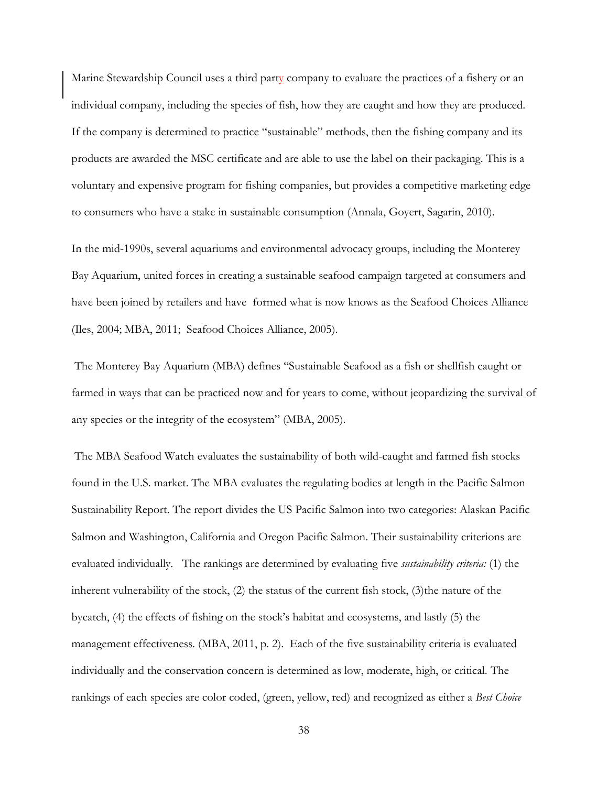Marine Stewardship Council uses a third party company to evaluate the practices of a fishery or an individual company, including the species of fish, how they are caught and how they are produced. If the company is determined to practice "sustainable" methods, then the fishing company and its products are awarded the MSC certificate and are able to use the label on their packaging. This is a voluntary and expensive program for fishing companies, but provides a competitive marketing edge to consumers who have a stake in sustainable consumption (Annala, Goyert, Sagarin, 2010).

In the mid-1990s, several aquariums and environmental advocacy groups, including the Monterey Bay Aquarium, united forces in creating a sustainable seafood campaign targeted at consumers and have been joined by retailers and have formed what is now knows as the Seafood Choices Alliance (Iles, 2004; MBA, 2011; Seafood Choices Alliance, 2005).

The Monterey Bay Aquarium (MBA) defines "Sustainable Seafood as a fish or shellfish caught or farmed in ways that can be practiced now and for years to come, without jeopardizing the survival of any species or the integrity of the ecosystem" (MBA, 2005).

The MBA Seafood Watch evaluates the sustainability of both wild-caught and farmed fish stocks found in the U.S. market. The MBA evaluates the regulating bodies at length in the Pacific Salmon Sustainability Report. The report divides the US Pacific Salmon into two categories: Alaskan Pacific Salmon and Washington, California and Oregon Pacific Salmon. Their sustainability criterions are evaluated individually. The rankings are determined by evaluating five *sustainability criteria:* (1) the inherent vulnerability of the stock, (2) the status of the current fish stock, (3)the nature of the bycatch, (4) the effects of fishing on the stock's habitat and ecosystems, and lastly (5) the management effectiveness. (MBA, 2011, p. 2). Each of the five sustainability criteria is evaluated individually and the conservation concern is determined as low, moderate, high, or critical. The rankings of each species are color coded, (green, yellow, red) and recognized as either a *Best Choice*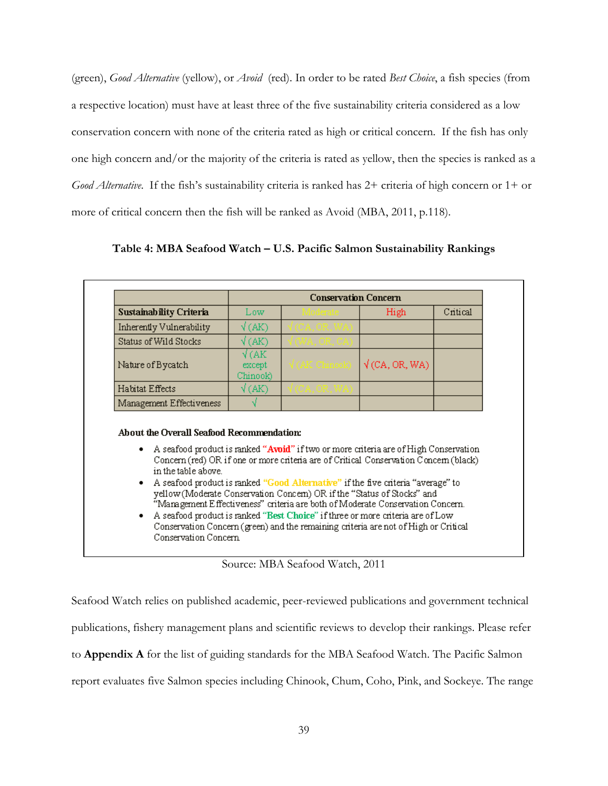(green), *Good Alternative* (yellow), or *Avoid* (red). In order to be rated *Best Choice*, a fish species (from a respective location) must have at least three of the five sustainability criteria considered as a low conservation concern with none of the criteria rated as high or critical concern. If the fish has only one high concern and/or the majority of the criteria is rated as yellow, then the species is ranked as a *Good Alternative*. If the fish's sustainability criteria is ranked has 2+ criteria of high concern or 1+ or more of critical concern then the fish will be ranked as Avoid (MBA, 2011, p.118).

| Sustainability Criteria                                                    | <b>Conservation Concern</b>             |                                                                                                                                                                                                                                                                                                                                                                                                                                                                                                                                                                                                         |                       |          |
|----------------------------------------------------------------------------|-----------------------------------------|---------------------------------------------------------------------------------------------------------------------------------------------------------------------------------------------------------------------------------------------------------------------------------------------------------------------------------------------------------------------------------------------------------------------------------------------------------------------------------------------------------------------------------------------------------------------------------------------------------|-----------------------|----------|
|                                                                            | Low                                     |                                                                                                                                                                                                                                                                                                                                                                                                                                                                                                                                                                                                         | High                  | Critical |
| Inherently Vulnerability                                                   | $\sqrt{\rm (AK)}$                       |                                                                                                                                                                                                                                                                                                                                                                                                                                                                                                                                                                                                         |                       |          |
| Status of Wild Stocks                                                      | $\sqrt{\rm (AK)}$                       |                                                                                                                                                                                                                                                                                                                                                                                                                                                                                                                                                                                                         |                       |          |
| Nature of Bycatch                                                          | $\sqrt{\rm (AK)}$<br>except<br>Chinook) | (AK Chinook)                                                                                                                                                                                                                                                                                                                                                                                                                                                                                                                                                                                            | $\sqrt{(CA, OR, WA)}$ |          |
| Habitat Effects                                                            | $\sqrt{(AK)}$                           |                                                                                                                                                                                                                                                                                                                                                                                                                                                                                                                                                                                                         |                       |          |
|                                                                            |                                         |                                                                                                                                                                                                                                                                                                                                                                                                                                                                                                                                                                                                         |                       |          |
| Management Effectiveness                                                   |                                         |                                                                                                                                                                                                                                                                                                                                                                                                                                                                                                                                                                                                         |                       |          |
| About the Overall Seafood Recommendation:<br>٠<br>in the table above.<br>٠ |                                         | A seafood product is ranked "Avoid" if two or more criteria are of High Conservation<br>Concern (red) OR if one or more criteria are of Critical Conservation Concern (black)<br>A seafood product is ranked "Good Alternative" if the five criteria "average" to<br>yellow (Moderate Conservation Concern) OR if the "Status of Stocks" and<br>"Management Effectiveness" criteria are both of Moderate Conservation Concern.<br>A seafood product is ranked "Best Choice" if three or more criteria are of Low<br>Conservation Concern (green) and the remaining criteria are not of High or Critical |                       |          |

**Table 4: MBA Seafood Watch – U.S. Pacific Salmon Sustainability Rankings**

Source: MBA Seafood Watch, 2011

Seafood Watch relies on published academic, peer-reviewed publications and government technical publications, fishery management plans and scientific reviews to develop their rankings. Please refer to **Appendix A** for the list of guiding standards for the MBA Seafood Watch. The Pacific Salmon report evaluates five Salmon species including Chinook, Chum, Coho, Pink, and Sockeye. The range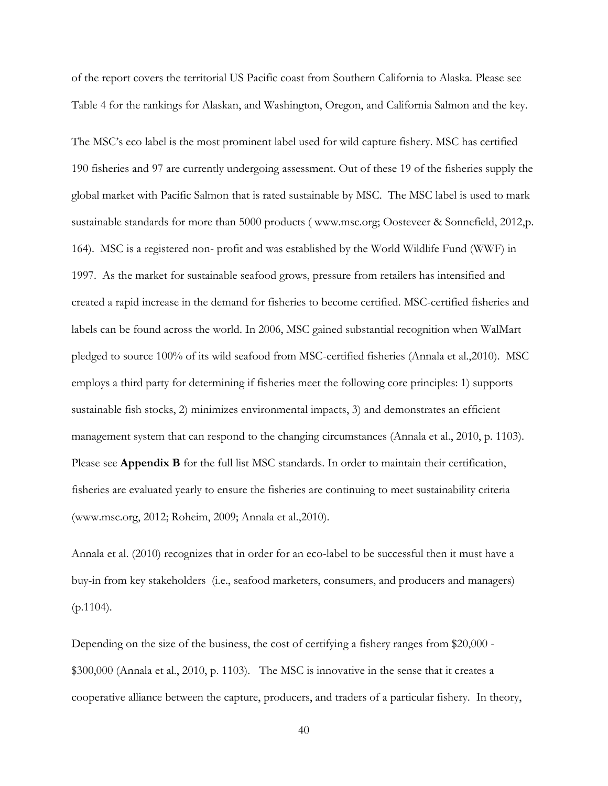of the report covers the territorial US Pacific coast from Southern California to Alaska. Please see Table 4 for the rankings for Alaskan, and Washington, Oregon, and California Salmon and the key.

The MSC's eco label is the most prominent label used for wild capture fishery. MSC has certified 190 fisheries and 97 are currently undergoing assessment. Out of these 19 of the fisheries supply the global market with Pacific Salmon that is rated sustainable by MSC. The MSC label is used to mark sustainable standards for more than 5000 products ( www.msc.org; Oosteveer & Sonnefield, 2012,p. 164). MSC is a registered non- profit and was established by the World Wildlife Fund (WWF) in 1997. As the market for sustainable seafood grows, pressure from retailers has intensified and created a rapid increase in the demand for fisheries to become certified. MSC-certified fisheries and labels can be found across the world. In 2006, MSC gained substantial recognition when WalMart pledged to source 100% of its wild seafood from MSC-certified fisheries (Annala et al.,2010). MSC employs a third party for determining if fisheries meet the following core principles: 1) supports sustainable fish stocks, 2) minimizes environmental impacts, 3) and demonstrates an efficient management system that can respond to the changing circumstances (Annala et al., 2010, p. 1103). Please see **Appendix B** for the full list MSC standards. In order to maintain their certification, fisheries are evaluated yearly to ensure the fisheries are continuing to meet sustainability criteria (www.msc.org, 2012; Roheim, 2009; Annala et al.,2010).

Annala et al. (2010) recognizes that in order for an eco-label to be successful then it must have a buy-in from key stakeholders (i.e., seafood marketers, consumers, and producers and managers)  $(p.1104)$ .

Depending on the size of the business, the cost of certifying a fishery ranges from \$20,000 - \$300,000 (Annala et al., 2010, p. 1103). The MSC is innovative in the sense that it creates a cooperative alliance between the capture, producers, and traders of a particular fishery. In theory,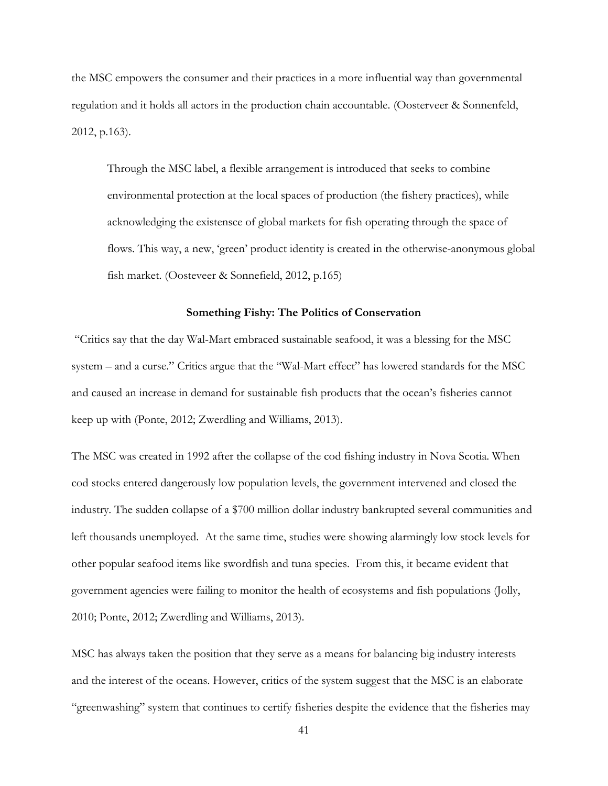the MSC empowers the consumer and their practices in a more influential way than governmental regulation and it holds all actors in the production chain accountable. (Oosterveer & Sonnenfeld, 2012, p.163).

Through the MSC label, a flexible arrangement is introduced that seeks to combine environmental protection at the local spaces of production (the fishery practices), while acknowledging the existensce of global markets for fish operating through the space of flows. This way, a new, 'green' product identity is created in the otherwise-anonymous global fish market. (Oosteveer & Sonnefield, 2012, p.165)

#### **Something Fishy: The Politics of Conservation**

"Critics say that the day Wal-Mart embraced sustainable seafood, it was a blessing for the MSC system – and a curse." Critics argue that the "Wal-Mart effect" has lowered standards for the MSC and caused an increase in demand for sustainable fish products that the ocean's fisheries cannot keep up with (Ponte, 2012; Zwerdling and Williams, 2013).

The MSC was created in 1992 after the collapse of the cod fishing industry in Nova Scotia. When cod stocks entered dangerously low population levels, the government intervened and closed the industry. The sudden collapse of a \$700 million dollar industry bankrupted several communities and left thousands unemployed. At the same time, studies were showing alarmingly low stock levels for other popular seafood items like swordfish and tuna species. From this, it became evident that government agencies were failing to monitor the health of ecosystems and fish populations (Jolly, 2010; Ponte, 2012; Zwerdling and Williams, 2013).

MSC has always taken the position that they serve as a means for balancing big industry interests and the interest of the oceans. However, critics of the system suggest that the MSC is an elaborate "greenwashing" system that continues to certify fisheries despite the evidence that the fisheries may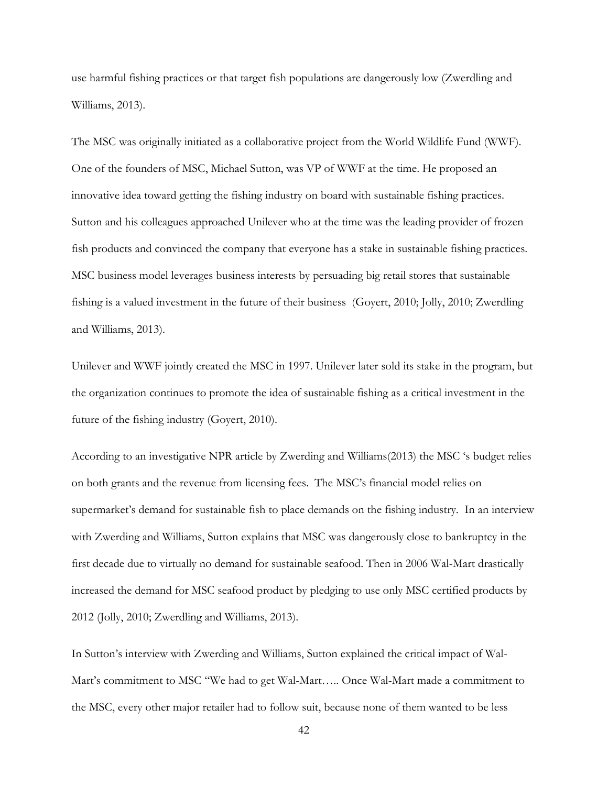use harmful fishing practices or that target fish populations are dangerously low (Zwerdling and Williams, 2013).

The MSC was originally initiated as a collaborative project from the World Wildlife Fund (WWF). One of the founders of MSC, Michael Sutton, was VP of WWF at the time. He proposed an innovative idea toward getting the fishing industry on board with sustainable fishing practices. Sutton and his colleagues approached Unilever who at the time was the leading provider of frozen fish products and convinced the company that everyone has a stake in sustainable fishing practices. MSC business model leverages business interests by persuading big retail stores that sustainable fishing is a valued investment in the future of their business (Goyert, 2010; Jolly, 2010; Zwerdling and Williams, 2013).

Unilever and WWF jointly created the MSC in 1997. Unilever later sold its stake in the program, but the organization continues to promote the idea of sustainable fishing as a critical investment in the future of the fishing industry (Goyert, 2010).

According to an investigative NPR article by Zwerding and Williams(2013) the MSC 's budget relies on both grants and the revenue from licensing fees. The MSC's financial model relies on supermarket's demand for sustainable fish to place demands on the fishing industry. In an interview with Zwerding and Williams, Sutton explains that MSC was dangerously close to bankruptcy in the first decade due to virtually no demand for sustainable seafood. Then in 2006 Wal-Mart drastically increased the demand for MSC seafood product by pledging to use only MSC certified products by 2012 (Jolly, 2010; Zwerdling and Williams, 2013).

In Sutton's interview with Zwerding and Williams, Sutton explained the critical impact of Wal-Mart's commitment to MSC "We had to get Wal-Mart….. Once Wal-Mart made a commitment to the MSC, every other major retailer had to follow suit, because none of them wanted to be less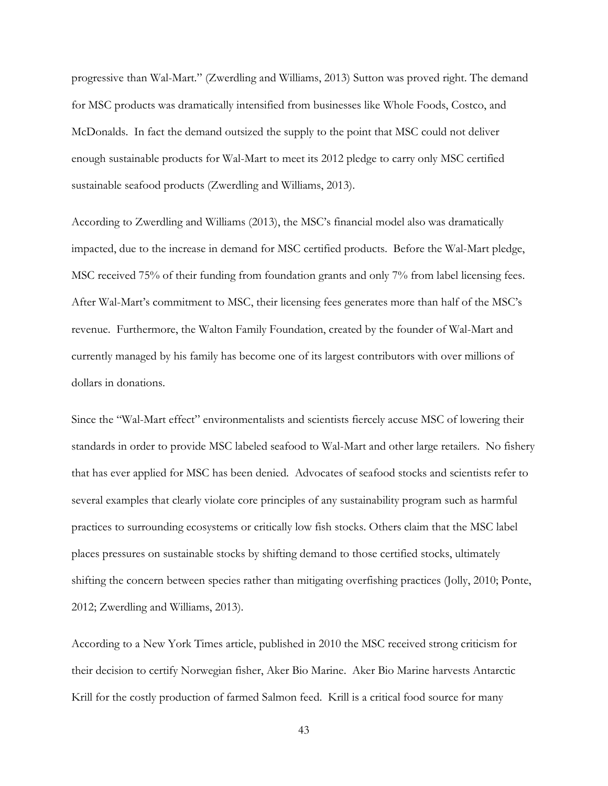progressive than Wal-Mart." (Zwerdling and Williams, 2013) Sutton was proved right. The demand for MSC products was dramatically intensified from businesses like Whole Foods, Costco, and McDonalds. In fact the demand outsized the supply to the point that MSC could not deliver enough sustainable products for Wal-Mart to meet its 2012 pledge to carry only MSC certified sustainable seafood products (Zwerdling and Williams, 2013).

According to Zwerdling and Williams (2013), the MSC's financial model also was dramatically impacted, due to the increase in demand for MSC certified products. Before the Wal-Mart pledge, MSC received 75% of their funding from foundation grants and only 7% from label licensing fees. After Wal-Mart's commitment to MSC, their licensing fees generates more than half of the MSC's revenue. Furthermore, the Walton Family Foundation, created by the founder of Wal-Mart and currently managed by his family has become one of its largest contributors with over millions of dollars in donations.

Since the "Wal-Mart effect" environmentalists and scientists fiercely accuse MSC of lowering their standards in order to provide MSC labeled seafood to Wal-Mart and other large retailers. No fishery that has ever applied for MSC has been denied. Advocates of seafood stocks and scientists refer to several examples that clearly violate core principles of any sustainability program such as harmful practices to surrounding ecosystems or critically low fish stocks. Others claim that the MSC label places pressures on sustainable stocks by shifting demand to those certified stocks, ultimately shifting the concern between species rather than mitigating overfishing practices (Jolly, 2010; Ponte, 2012; Zwerdling and Williams, 2013).

According to a New York Times article, published in 2010 the MSC received strong criticism for their decision to certify Norwegian fisher, Aker Bio Marine. Aker Bio Marine harvests Antarctic Krill for the costly production of farmed Salmon feed. Krill is a critical food source for many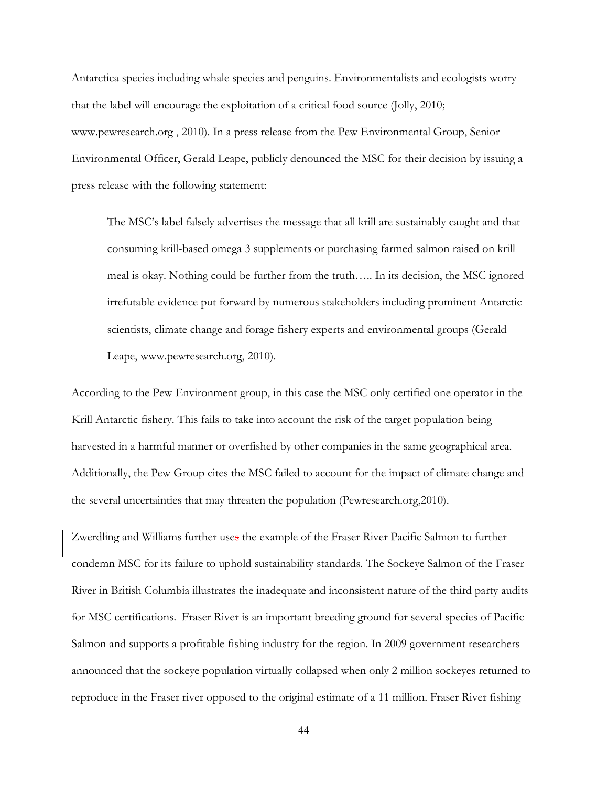Antarctica species including whale species and penguins. Environmentalists and ecologists worry that the label will encourage the exploitation of a critical food source (Jolly, 2010; www.pewresearch.org , 2010). In a press release from the Pew Environmental Group, Senior Environmental Officer, Gerald Leape, publicly denounced the MSC for their decision by issuing a press release with the following statement:

The MSC's label falsely advertises the message that all krill are sustainably caught and that consuming krill-based omega 3 supplements or purchasing farmed salmon raised on krill meal is okay. Nothing could be further from the truth….. In its decision, the MSC ignored irrefutable evidence put forward by numerous stakeholders including prominent Antarctic scientists, climate change and forage fishery experts and environmental groups (Gerald Leape, www.pewresearch.org, 2010).

According to the Pew Environment group, in this case the MSC only certified one operator in the Krill Antarctic fishery. This fails to take into account the risk of the target population being harvested in a harmful manner or overfished by other companies in the same geographical area. Additionally, the Pew Group cites the MSC failed to account for the impact of climate change and the several uncertainties that may threaten the population (Pewresearch.org,2010).

Zwerdling and Williams further uses the example of the Fraser River Pacific Salmon to further condemn MSC for its failure to uphold sustainability standards. The Sockeye Salmon of the Fraser River in British Columbia illustrates the inadequate and inconsistent nature of the third party audits for MSC certifications. Fraser River is an important breeding ground for several species of Pacific Salmon and supports a profitable fishing industry for the region. In 2009 government researchers announced that the sockeye population virtually collapsed when only 2 million sockeyes returned to reproduce in the Fraser river opposed to the original estimate of a 11 million. Fraser River fishing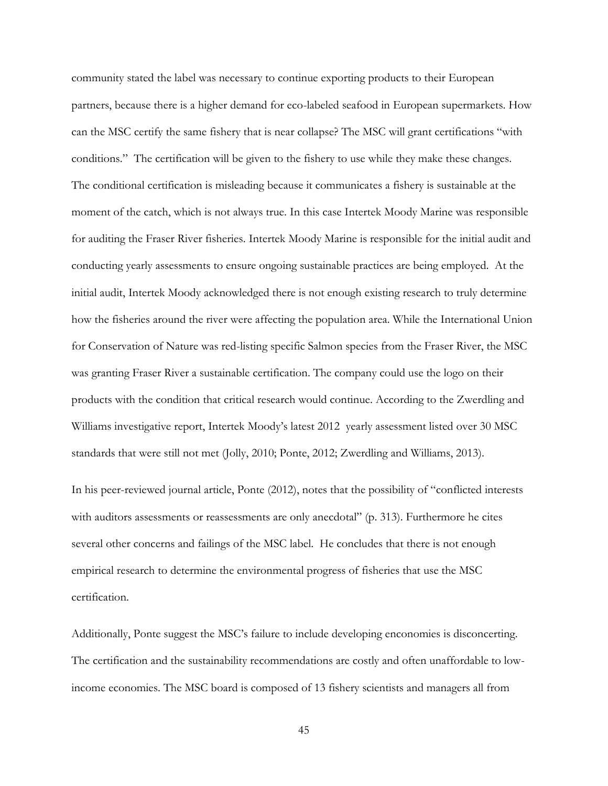community stated the label was necessary to continue exporting products to their European partners, because there is a higher demand for eco-labeled seafood in European supermarkets. How can the MSC certify the same fishery that is near collapse? The MSC will grant certifications "with conditions." The certification will be given to the fishery to use while they make these changes. The conditional certification is misleading because it communicates a fishery is sustainable at the moment of the catch, which is not always true. In this case Intertek Moody Marine was responsible for auditing the Fraser River fisheries. Intertek Moody Marine is responsible for the initial audit and conducting yearly assessments to ensure ongoing sustainable practices are being employed. At the initial audit, Intertek Moody acknowledged there is not enough existing research to truly determine how the fisheries around the river were affecting the population area. While the International Union for Conservation of Nature was red-listing specific Salmon species from the Fraser River, the MSC was granting Fraser River a sustainable certification. The company could use the logo on their products with the condition that critical research would continue. According to the Zwerdling and Williams investigative report, Intertek Moody's latest 2012 yearly assessment listed over 30 MSC standards that were still not met (Jolly, 2010; Ponte, 2012; Zwerdling and Williams, 2013).

In his peer-reviewed journal article, Ponte (2012), notes that the possibility of "conflicted interests with auditors assessments or reassessments are only anecdotal" (p. 313). Furthermore he cites several other concerns and failings of the MSC label. He concludes that there is not enough empirical research to determine the environmental progress of fisheries that use the MSC certification.

Additionally, Ponte suggest the MSC's failure to include developing enconomies is disconcerting. The certification and the sustainability recommendations are costly and often unaffordable to lowincome economies. The MSC board is composed of 13 fishery scientists and managers all from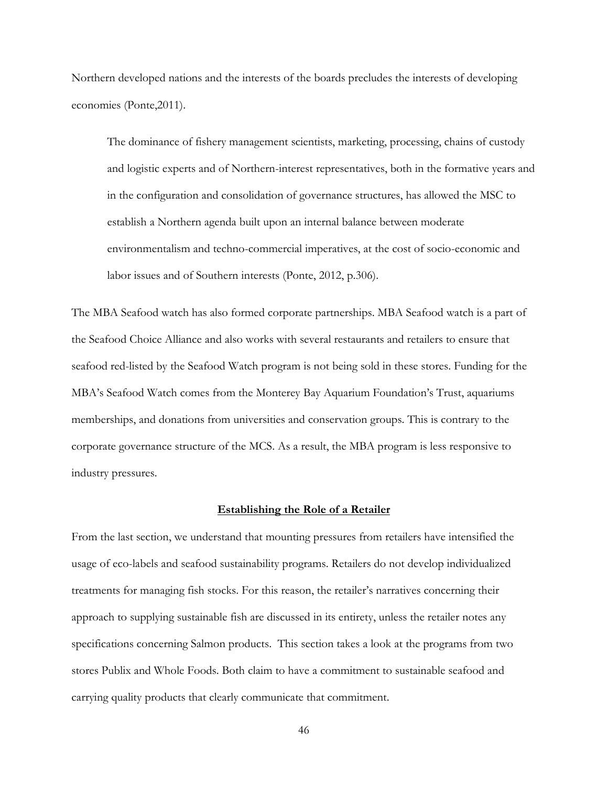Northern developed nations and the interests of the boards precludes the interests of developing economies (Ponte,2011).

The dominance of fishery management scientists, marketing, processing, chains of custody and logistic experts and of Northern-interest representatives, both in the formative years and in the configuration and consolidation of governance structures, has allowed the MSC to establish a Northern agenda built upon an internal balance between moderate environmentalism and techno-commercial imperatives, at the cost of socio-economic and labor issues and of Southern interests (Ponte, 2012, p.306).

The MBA Seafood watch has also formed corporate partnerships. MBA Seafood watch is a part of the Seafood Choice Alliance and also works with several restaurants and retailers to ensure that seafood red-listed by the Seafood Watch program is not being sold in these stores. Funding for the MBA's Seafood Watch comes from the Monterey Bay Aquarium Foundation's Trust, aquariums memberships, and donations from universities and conservation groups. This is contrary to the corporate governance structure of the MCS. As a result, the MBA program is less responsive to industry pressures.

#### **Establishing the Role of a Retailer**

From the last section, we understand that mounting pressures from retailers have intensified the usage of eco-labels and seafood sustainability programs. Retailers do not develop individualized treatments for managing fish stocks. For this reason, the retailer's narratives concerning their approach to supplying sustainable fish are discussed in its entirety, unless the retailer notes any specifications concerning Salmon products. This section takes a look at the programs from two stores Publix and Whole Foods. Both claim to have a commitment to sustainable seafood and carrying quality products that clearly communicate that commitment.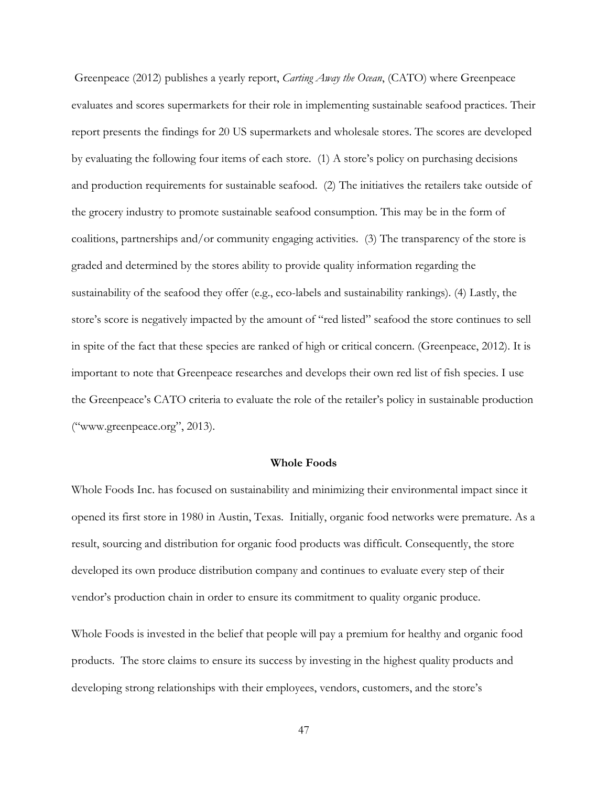Greenpeace (2012) publishes a yearly report, *Carting Away the Ocean*, (CATO) where Greenpeace evaluates and scores supermarkets for their role in implementing sustainable seafood practices. Their report presents the findings for 20 US supermarkets and wholesale stores. The scores are developed by evaluating the following four items of each store. (1) A store's policy on purchasing decisions and production requirements for sustainable seafood. (2) The initiatives the retailers take outside of the grocery industry to promote sustainable seafood consumption. This may be in the form of coalitions, partnerships and/or community engaging activities. (3) The transparency of the store is graded and determined by the stores ability to provide quality information regarding the sustainability of the seafood they offer (e.g., eco-labels and sustainability rankings). (4) Lastly, the store's score is negatively impacted by the amount of "red listed" seafood the store continues to sell in spite of the fact that these species are ranked of high or critical concern. (Greenpeace, 2012). It is important to note that Greenpeace researches and develops their own red list of fish species. I use the Greenpeace's CATO criteria to evaluate the role of the retailer's policy in sustainable production ("www.greenpeace.org", 2013).

#### **Whole Foods**

Whole Foods Inc. has focused on sustainability and minimizing their environmental impact since it opened its first store in 1980 in Austin, Texas. Initially, organic food networks were premature. As a result, sourcing and distribution for organic food products was difficult. Consequently, the store developed its own produce distribution company and continues to evaluate every step of their vendor's production chain in order to ensure its commitment to quality organic produce.

Whole Foods is invested in the belief that people will pay a premium for healthy and organic food products. The store claims to ensure its success by investing in the highest quality products and developing strong relationships with their employees, vendors, customers, and the store's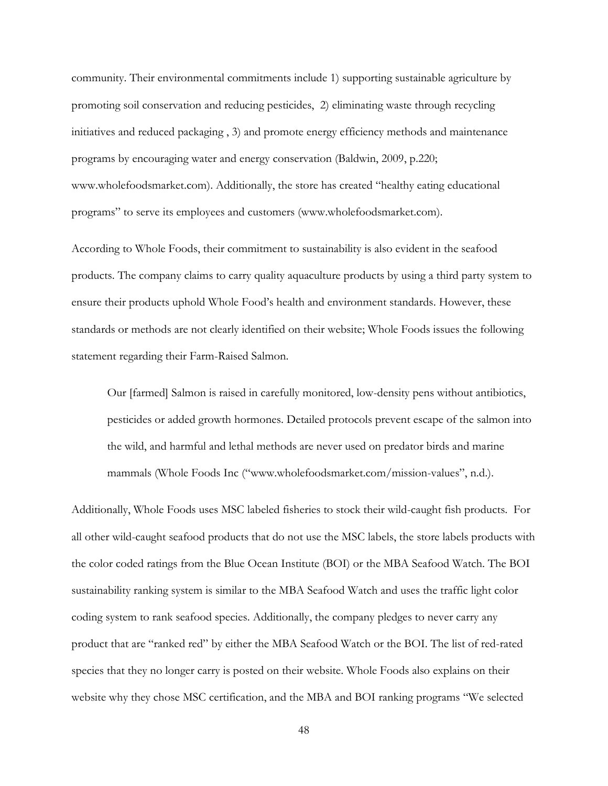community. Their environmental commitments include 1) supporting sustainable agriculture by promoting soil conservation and reducing pesticides, 2) eliminating waste through recycling initiatives and reduced packaging , 3) and promote energy efficiency methods and maintenance programs by encouraging water and energy conservation (Baldwin, 2009, p.220; www.wholefoodsmarket.com). Additionally, the store has created "healthy eating educational programs" to serve its employees and customers (www.wholefoodsmarket.com).

According to Whole Foods, their commitment to sustainability is also evident in the seafood products. The company claims to carry quality aquaculture products by using a third party system to ensure their products uphold Whole Food's health and environment standards. However, these standards or methods are not clearly identified on their website; Whole Foods issues the following statement regarding their Farm-Raised Salmon.

Our [farmed] Salmon is raised in carefully monitored, low-density pens without antibiotics, pesticides or added growth hormones. Detailed protocols prevent escape of the salmon into the wild, and harmful and lethal methods are never used on predator birds and marine mammals (Whole Foods Inc ("www.wholefoodsmarket.com/mission-values", n.d.).

Additionally, Whole Foods uses MSC labeled fisheries to stock their wild-caught fish products. For all other wild-caught seafood products that do not use the MSC labels, the store labels products with the color coded ratings from the Blue Ocean Institute (BOI) or the MBA Seafood Watch. The BOI sustainability ranking system is similar to the MBA Seafood Watch and uses the traffic light color coding system to rank seafood species. Additionally, the company pledges to never carry any product that are "ranked red" by either the MBA Seafood Watch or the BOI. The list of red-rated species that they no longer carry is posted on their website. Whole Foods also explains on their website why they chose MSC certification, and the MBA and BOI ranking programs "We selected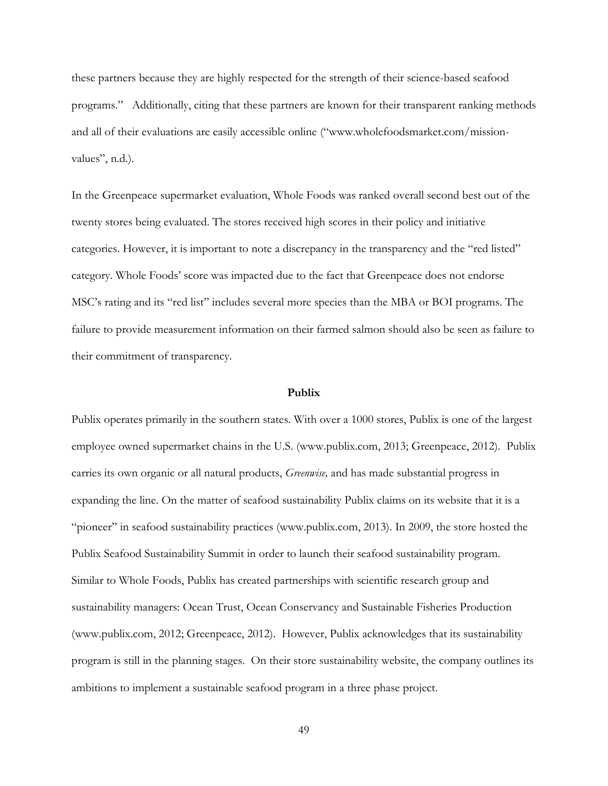these partners because they are highly respected for the strength of their science-based seafood programs." Additionally, citing that these partners are known for their transparent ranking methods and all of their evaluations are easily accessible online ("www.wholefoodsmarket.com/missionvalues", n.d.).

In the Greenpeace supermarket evaluation, Whole Foods was ranked overall second best out of the twenty stores being evaluated. The stores received high scores in their policy and initiative categories. However, it is important to note a discrepancy in the transparency and the "red listed" category. Whole Foods' score was impacted due to the fact that Greenpeace does not endorse MSC's rating and its "red list" includes several more species than the MBA or BOI programs. The failure to provide measurement information on their farmed salmon should also be seen as failure to their commitment of transparency.

## **Publix**

Publix operates primarily in the southern states. With over a 1000 stores, Publix is one of the largest employee owned supermarket chains in the U.S. (www.publix.com, 2013; Greenpeace, 2012). Publix carries its own organic or all natural products, *Greenwise,* and has made substantial progress in expanding the line. On the matter of seafood sustainability Publix claims on its website that it is a "pioneer" in seafood sustainability practices (www.publix.com, 2013). In 2009, the store hosted the Publix Seafood Sustainability Summit in order to launch their seafood sustainability program. Similar to Whole Foods, Publix has created partnerships with scientific research group and sustainability managers: Ocean Trust, Ocean Conservancy and Sustainable Fisheries Production (www.publix.com, 2012; Greenpeace, 2012). However, Publix acknowledges that its sustainability program is still in the planning stages. On their store sustainability website, the company outlines its ambitions to implement a sustainable seafood program in a three phase project.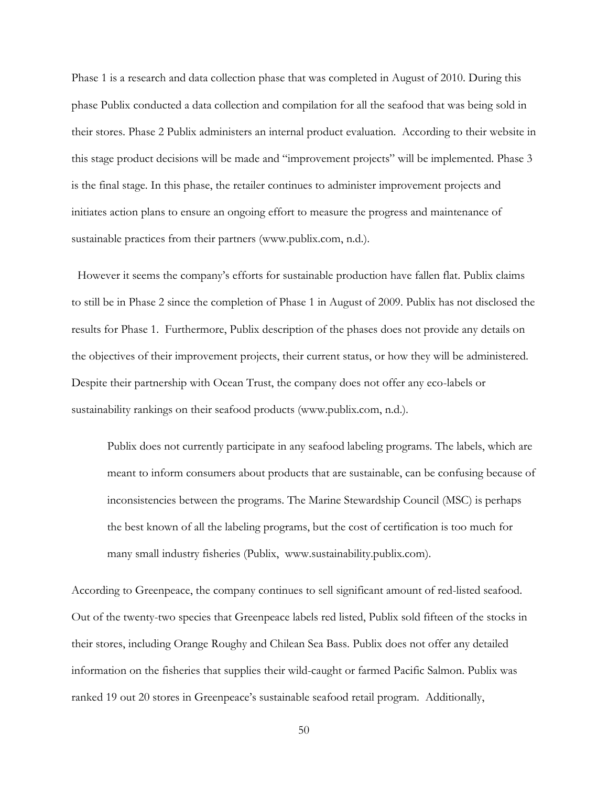Phase 1 is a research and data collection phase that was completed in August of 2010. During this phase Publix conducted a data collection and compilation for all the seafood that was being sold in their stores. Phase 2 Publix administers an internal product evaluation. According to their website in this stage product decisions will be made and "improvement projects" will be implemented. Phase 3 is the final stage. In this phase, the retailer continues to administer improvement projects and initiates action plans to ensure an ongoing effort to measure the progress and maintenance of sustainable practices from their partners (www.publix.com, n.d.).

However it seems the company's efforts for sustainable production have fallen flat. Publix claims to still be in Phase 2 since the completion of Phase 1 in August of 2009. Publix has not disclosed the results for Phase 1. Furthermore, Publix description of the phases does not provide any details on the objectives of their improvement projects, their current status, or how they will be administered. Despite their partnership with Ocean Trust, the company does not offer any eco-labels or sustainability rankings on their seafood products (www.publix.com, n.d.).

Publix does not currently participate in any seafood labeling programs. The labels, which are meant to inform consumers about products that are sustainable, can be confusing because of inconsistencies between the programs. The Marine Stewardship Council (MSC) is perhaps the best known of all the labeling programs, but the cost of certification is too much for many small industry fisheries (Publix, www.sustainability.publix.com).

According to Greenpeace, the company continues to sell significant amount of red-listed seafood. Out of the twenty-two species that Greenpeace labels red listed, Publix sold fifteen of the stocks in their stores, including Orange Roughy and Chilean Sea Bass. Publix does not offer any detailed information on the fisheries that supplies their wild-caught or farmed Pacific Salmon. Publix was ranked 19 out 20 stores in Greenpeace's sustainable seafood retail program. Additionally,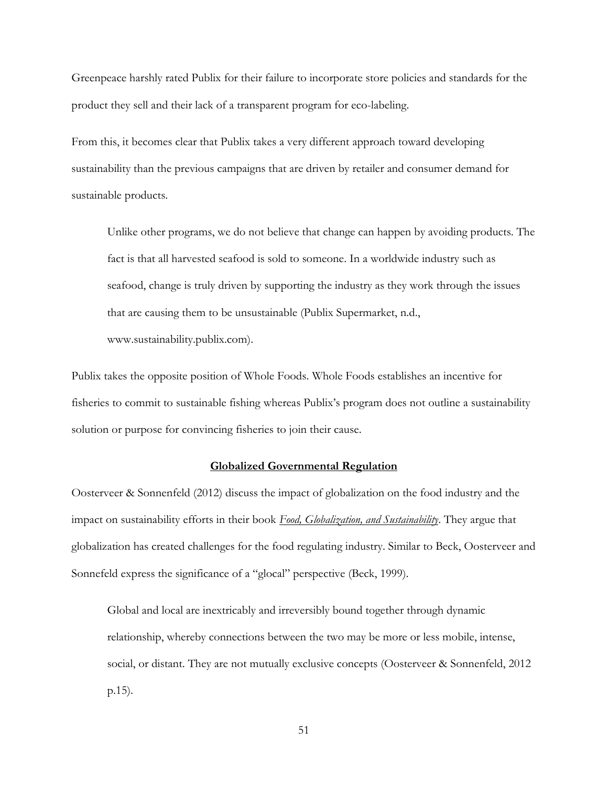Greenpeace harshly rated Publix for their failure to incorporate store policies and standards for the product they sell and their lack of a transparent program for eco-labeling.

From this, it becomes clear that Publix takes a very different approach toward developing sustainability than the previous campaigns that are driven by retailer and consumer demand for sustainable products.

Unlike other programs, we do not believe that change can happen by avoiding products. The fact is that all harvested seafood is sold to someone. In a worldwide industry such as seafood, change is truly driven by supporting the industry as they work through the issues that are causing them to be unsustainable (Publix Supermarket, n.d., www.sustainability.publix.com).

Publix takes the opposite position of Whole Foods. Whole Foods establishes an incentive for fisheries to commit to sustainable fishing whereas Publix's program does not outline a sustainability solution or purpose for convincing fisheries to join their cause.

#### **Globalized Governmental Regulation**

Oosterveer & Sonnenfeld (2012) discuss the impact of globalization on the food industry and the impact on sustainability efforts in their book *Food, Globalization, and Sustainability*. They argue that globalization has created challenges for the food regulating industry. Similar to Beck, Oosterveer and Sonnefeld express the significance of a "glocal" perspective (Beck, 1999).

Global and local are inextricably and irreversibly bound together through dynamic relationship, whereby connections between the two may be more or less mobile, intense, social, or distant. They are not mutually exclusive concepts (Oosterveer & Sonnenfeld, 2012 p.15).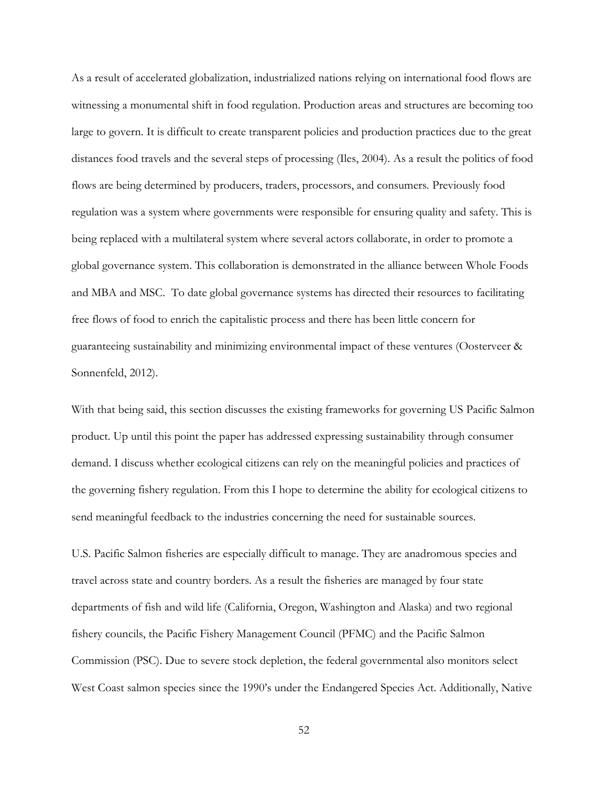As a result of accelerated globalization, industrialized nations relying on international food flows are witnessing a monumental shift in food regulation. Production areas and structures are becoming too large to govern. It is difficult to create transparent policies and production practices due to the great distances food travels and the several steps of processing (Iles, 2004). As a result the politics of food flows are being determined by producers, traders, processors, and consumers. Previously food regulation was a system where governments were responsible for ensuring quality and safety. This is being replaced with a multilateral system where several actors collaborate, in order to promote a global governance system. This collaboration is demonstrated in the alliance between Whole Foods and MBA and MSC. To date global governance systems has directed their resources to facilitating free flows of food to enrich the capitalistic process and there has been little concern for guaranteeing sustainability and minimizing environmental impact of these ventures (Oosterveer & Sonnenfeld, 2012).

With that being said, this section discusses the existing frameworks for governing US Pacific Salmon product. Up until this point the paper has addressed expressing sustainability through consumer demand. I discuss whether ecological citizens can rely on the meaningful policies and practices of the governing fishery regulation. From this I hope to determine the ability for ecological citizens to send meaningful feedback to the industries concerning the need for sustainable sources.

U.S. Pacific Salmon fisheries are especially difficult to manage. They are anadromous species and travel across state and country borders. As a result the fisheries are managed by four state departments of fish and wild life (California, Oregon, Washington and Alaska) and two regional fishery councils, the Pacific Fishery Management Council (PFMC) and the Pacific Salmon Commission (PSC). Due to severe stock depletion, the federal governmental also monitors select West Coast salmon species since the 1990's under the Endangered Species Act. Additionally, Native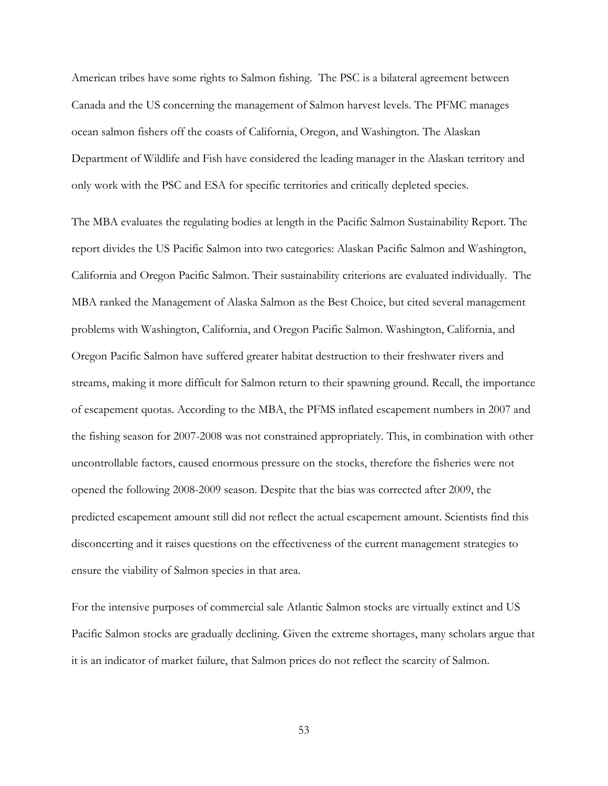American tribes have some rights to Salmon fishing. The PSC is a bilateral agreement between Canada and the US concerning the management of Salmon harvest levels. The PFMC manages ocean salmon fishers off the coasts of California, Oregon, and Washington. The Alaskan Department of Wildlife and Fish have considered the leading manager in the Alaskan territory and only work with the PSC and ESA for specific territories and critically depleted species.

The MBA evaluates the regulating bodies at length in the Pacific Salmon Sustainability Report. The report divides the US Pacific Salmon into two categories: Alaskan Pacific Salmon and Washington, California and Oregon Pacific Salmon. Their sustainability criterions are evaluated individually. The MBA ranked the Management of Alaska Salmon as the Best Choice, but cited several management problems with Washington, California, and Oregon Pacific Salmon. Washington, California, and Oregon Pacific Salmon have suffered greater habitat destruction to their freshwater rivers and streams, making it more difficult for Salmon return to their spawning ground. Recall, the importance of escapement quotas. According to the MBA, the PFMS inflated escapement numbers in 2007 and the fishing season for 2007-2008 was not constrained appropriately. This, in combination with other uncontrollable factors, caused enormous pressure on the stocks, therefore the fisheries were not opened the following 2008-2009 season. Despite that the bias was corrected after 2009, the predicted escapement amount still did not reflect the actual escapement amount. Scientists find this disconcerting and it raises questions on the effectiveness of the current management strategies to ensure the viability of Salmon species in that area.

For the intensive purposes of commercial sale Atlantic Salmon stocks are virtually extinct and US Pacific Salmon stocks are gradually declining. Given the extreme shortages, many scholars argue that it is an indicator of market failure, that Salmon prices do not reflect the scarcity of Salmon.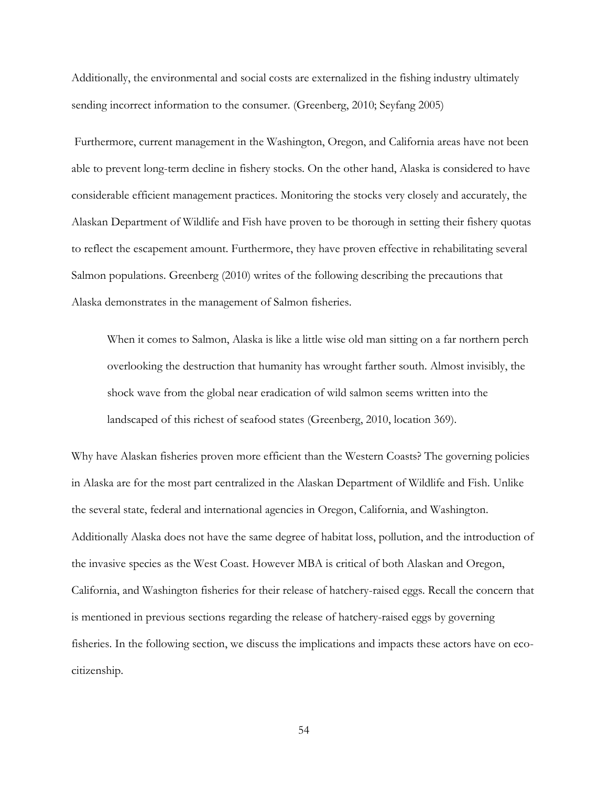Additionally, the environmental and social costs are externalized in the fishing industry ultimately sending incorrect information to the consumer. (Greenberg, 2010; Seyfang 2005)

Furthermore, current management in the Washington, Oregon, and California areas have not been able to prevent long-term decline in fishery stocks. On the other hand, Alaska is considered to have considerable efficient management practices. Monitoring the stocks very closely and accurately, the Alaskan Department of Wildlife and Fish have proven to be thorough in setting their fishery quotas to reflect the escapement amount. Furthermore, they have proven effective in rehabilitating several Salmon populations. Greenberg (2010) writes of the following describing the precautions that Alaska demonstrates in the management of Salmon fisheries.

When it comes to Salmon, Alaska is like a little wise old man sitting on a far northern perch overlooking the destruction that humanity has wrought farther south. Almost invisibly, the shock wave from the global near eradication of wild salmon seems written into the landscaped of this richest of seafood states (Greenberg, 2010, location 369).

Why have Alaskan fisheries proven more efficient than the Western Coasts? The governing policies in Alaska are for the most part centralized in the Alaskan Department of Wildlife and Fish. Unlike the several state, federal and international agencies in Oregon, California, and Washington. Additionally Alaska does not have the same degree of habitat loss, pollution, and the introduction of the invasive species as the West Coast. However MBA is critical of both Alaskan and Oregon, California, and Washington fisheries for their release of hatchery-raised eggs. Recall the concern that is mentioned in previous sections regarding the release of hatchery-raised eggs by governing fisheries. In the following section, we discuss the implications and impacts these actors have on ecocitizenship.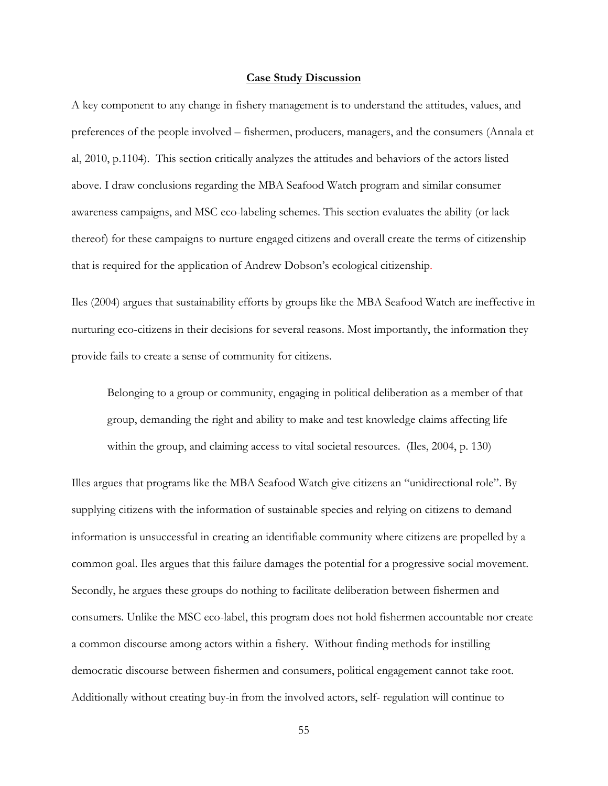#### **Case Study Discussion**

A key component to any change in fishery management is to understand the attitudes, values, and preferences of the people involved – fishermen, producers, managers, and the consumers (Annala et al, 2010, p.1104). This section critically analyzes the attitudes and behaviors of the actors listed above. I draw conclusions regarding the MBA Seafood Watch program and similar consumer awareness campaigns, and MSC eco-labeling schemes. This section evaluates the ability (or lack thereof) for these campaigns to nurture engaged citizens and overall create the terms of citizenship that is required for the application of Andrew Dobson's ecological citizenship.

Iles (2004) argues that sustainability efforts by groups like the MBA Seafood Watch are ineffective in nurturing eco-citizens in their decisions for several reasons. Most importantly, the information they provide fails to create a sense of community for citizens.

Belonging to a group or community, engaging in political deliberation as a member of that group, demanding the right and ability to make and test knowledge claims affecting life within the group, and claiming access to vital societal resources. (Iles, 2004, p. 130)

Illes argues that programs like the MBA Seafood Watch give citizens an "unidirectional role". By supplying citizens with the information of sustainable species and relying on citizens to demand information is unsuccessful in creating an identifiable community where citizens are propelled by a common goal. Iles argues that this failure damages the potential for a progressive social movement. Secondly, he argues these groups do nothing to facilitate deliberation between fishermen and consumers. Unlike the MSC eco-label, this program does not hold fishermen accountable nor create a common discourse among actors within a fishery. Without finding methods for instilling democratic discourse between fishermen and consumers, political engagement cannot take root. Additionally without creating buy-in from the involved actors, self- regulation will continue to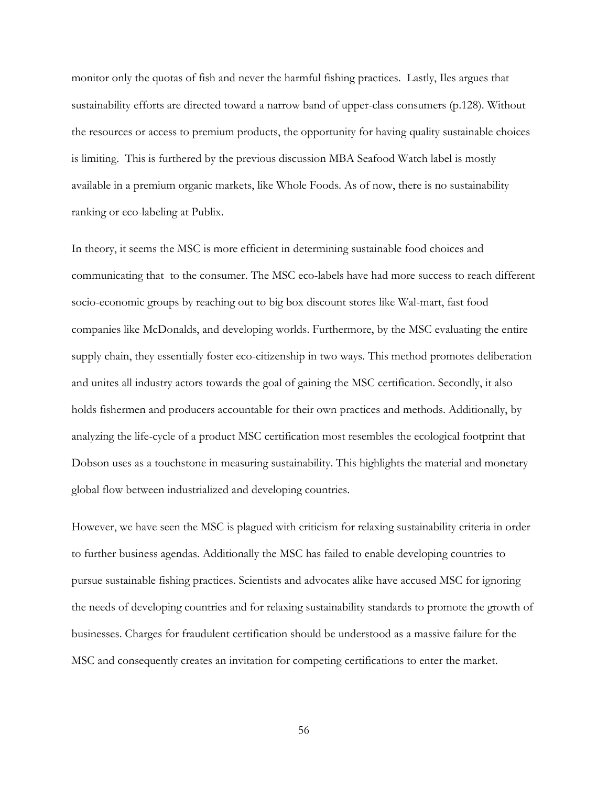monitor only the quotas of fish and never the harmful fishing practices. Lastly, Iles argues that sustainability efforts are directed toward a narrow band of upper-class consumers (p.128). Without the resources or access to premium products, the opportunity for having quality sustainable choices is limiting. This is furthered by the previous discussion MBA Seafood Watch label is mostly available in a premium organic markets, like Whole Foods. As of now, there is no sustainability ranking or eco-labeling at Publix.

In theory, it seems the MSC is more efficient in determining sustainable food choices and communicating that to the consumer. The MSC eco-labels have had more success to reach different socio-economic groups by reaching out to big box discount stores like Wal-mart, fast food companies like McDonalds, and developing worlds. Furthermore, by the MSC evaluating the entire supply chain, they essentially foster eco-citizenship in two ways. This method promotes deliberation and unites all industry actors towards the goal of gaining the MSC certification. Secondly, it also holds fishermen and producers accountable for their own practices and methods. Additionally, by analyzing the life-cycle of a product MSC certification most resembles the ecological footprint that Dobson uses as a touchstone in measuring sustainability. This highlights the material and monetary global flow between industrialized and developing countries.

However, we have seen the MSC is plagued with criticism for relaxing sustainability criteria in order to further business agendas. Additionally the MSC has failed to enable developing countries to pursue sustainable fishing practices. Scientists and advocates alike have accused MSC for ignoring the needs of developing countries and for relaxing sustainability standards to promote the growth of businesses. Charges for fraudulent certification should be understood as a massive failure for the MSC and consequently creates an invitation for competing certifications to enter the market.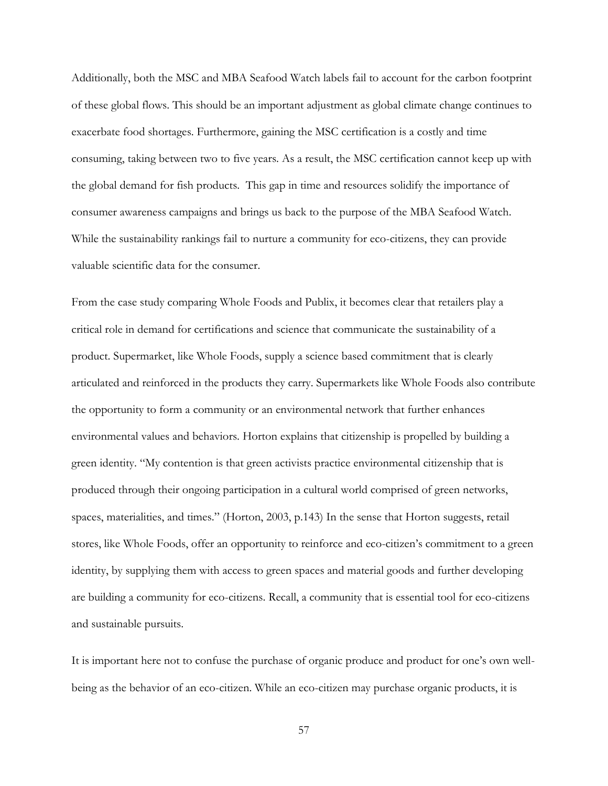Additionally, both the MSC and MBA Seafood Watch labels fail to account for the carbon footprint of these global flows. This should be an important adjustment as global climate change continues to exacerbate food shortages. Furthermore, gaining the MSC certification is a costly and time consuming, taking between two to five years. As a result, the MSC certification cannot keep up with the global demand for fish products. This gap in time and resources solidify the importance of consumer awareness campaigns and brings us back to the purpose of the MBA Seafood Watch. While the sustainability rankings fail to nurture a community for eco-citizens, they can provide valuable scientific data for the consumer.

From the case study comparing Whole Foods and Publix, it becomes clear that retailers play a critical role in demand for certifications and science that communicate the sustainability of a product. Supermarket, like Whole Foods, supply a science based commitment that is clearly articulated and reinforced in the products they carry. Supermarkets like Whole Foods also contribute the opportunity to form a community or an environmental network that further enhances environmental values and behaviors. Horton explains that citizenship is propelled by building a green identity. "My contention is that green activists practice environmental citizenship that is produced through their ongoing participation in a cultural world comprised of green networks, spaces, materialities, and times." (Horton, 2003, p.143) In the sense that Horton suggests, retail stores, like Whole Foods, offer an opportunity to reinforce and eco-citizen's commitment to a green identity, by supplying them with access to green spaces and material goods and further developing are building a community for eco-citizens. Recall, a community that is essential tool for eco-citizens and sustainable pursuits.

It is important here not to confuse the purchase of organic produce and product for one's own wellbeing as the behavior of an eco-citizen. While an eco-citizen may purchase organic products, it is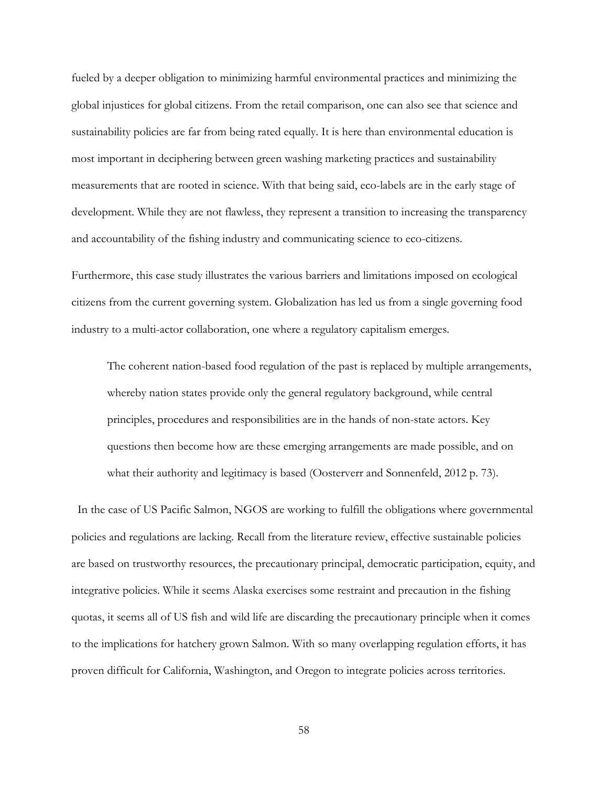fueled by a deeper obligation to minimizing harmful environmental practices and minimizing the global injustices for global citizens. From the retail comparison, one can also see that science and sustainability policies are far from being rated equally. It is here than environmental education is most important in deciphering between green washing marketing practices and sustainability measurements that are rooted in science. With that being said, eco-labels are in the early stage of development. While they are not flawless, they represent a transition to increasing the transparency and accountability of the fishing industry and communicating science to eco-citizens.

Furthermore, this case study illustrates the various barriers and limitations imposed on ecological citizens from the current governing system. Globalization has led us from a single governing food industry to a multi-actor collaboration, one where a regulatory capitalism emerges.

The coherent nation-based food regulation of the past is replaced by multiple arrangements, whereby nation states provide only the general regulatory background, while central principles, procedures and responsibilities are in the hands of non-state actors. Key questions then become how are these emerging arrangements are made possible, and on what their authority and legitimacy is based (Oosterverr and Sonnenfeld, 2012 p. 73).

 In the case of US Pacific Salmon, NGOS are working to fulfill the obligations where governmental policies and regulations are lacking. Recall from the literature review, effective sustainable policies are based on trustworthy resources, the precautionary principal, democratic participation, equity, and integrative policies. While it seems Alaska exercises some restraint and precaution in the fishing quotas, it seems all of US fish and wild life are discarding the precautionary principle when it comes to the implications for hatchery grown Salmon. With so many overlapping regulation efforts, it has proven difficult for California, Washington, and Oregon to integrate policies across territories.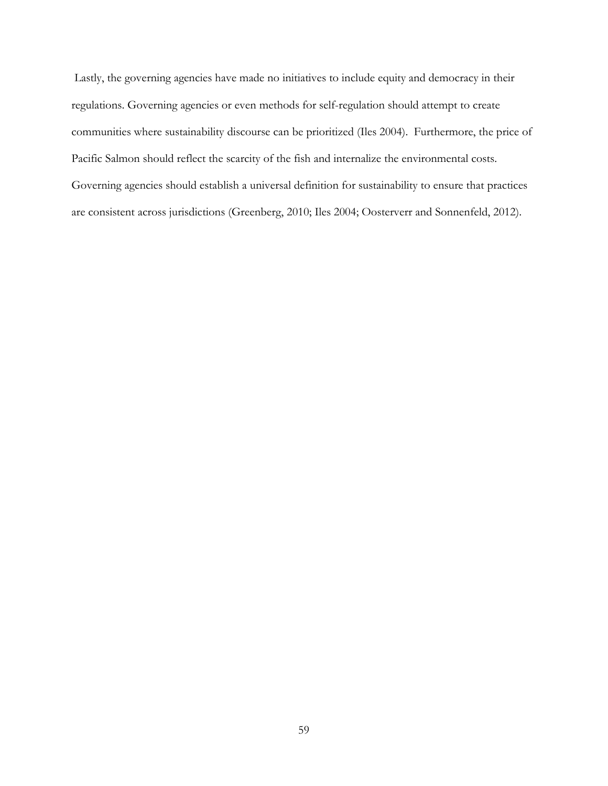Lastly, the governing agencies have made no initiatives to include equity and democracy in their regulations. Governing agencies or even methods for self-regulation should attempt to create communities where sustainability discourse can be prioritized (Iles 2004). Furthermore, the price of Pacific Salmon should reflect the scarcity of the fish and internalize the environmental costs. Governing agencies should establish a universal definition for sustainability to ensure that practices are consistent across jurisdictions (Greenberg, 2010; Iles 2004; Oosterverr and Sonnenfeld, 2012).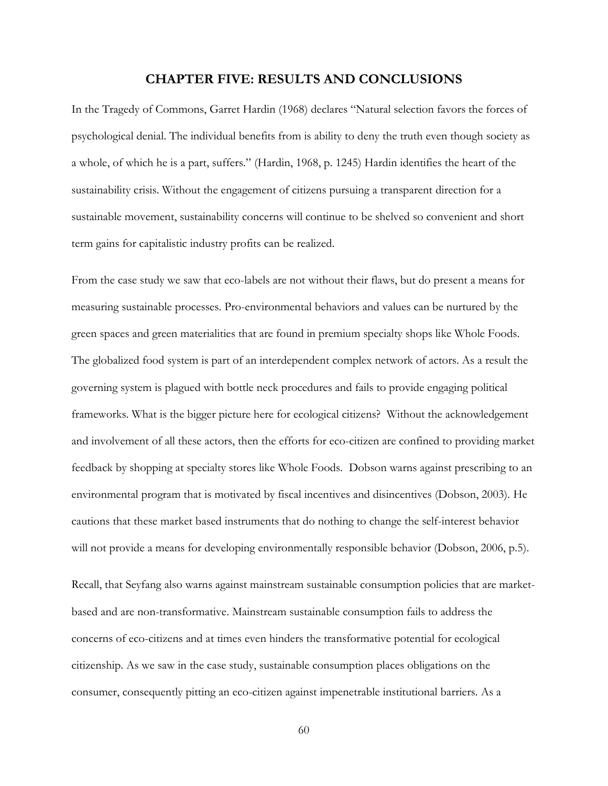## **CHAPTER FIVE: RESULTS AND CONCLUSIONS**

In the Tragedy of Commons, Garret Hardin (1968) declares "Natural selection favors the forces of psychological denial. The individual benefits from is ability to deny the truth even though society as a whole, of which he is a part, suffers." (Hardin, 1968, p. 1245) Hardin identifies the heart of the sustainability crisis. Without the engagement of citizens pursuing a transparent direction for a sustainable movement, sustainability concerns will continue to be shelved so convenient and short term gains for capitalistic industry profits can be realized.

From the case study we saw that eco-labels are not without their flaws, but do present a means for measuring sustainable processes. Pro-environmental behaviors and values can be nurtured by the green spaces and green materialities that are found in premium specialty shops like Whole Foods. The globalized food system is part of an interdependent complex network of actors. As a result the governing system is plagued with bottle neck procedures and fails to provide engaging political frameworks. What is the bigger picture here for ecological citizens? Without the acknowledgement and involvement of all these actors, then the efforts for eco-citizen are confined to providing market feedback by shopping at specialty stores like Whole Foods. Dobson warns against prescribing to an environmental program that is motivated by fiscal incentives and disincentives (Dobson, 2003). He cautions that these market based instruments that do nothing to change the self-interest behavior will not provide a means for developing environmentally responsible behavior (Dobson, 2006, p.5).

Recall, that Seyfang also warns against mainstream sustainable consumption policies that are marketbased and are non-transformative. Mainstream sustainable consumption fails to address the concerns of eco-citizens and at times even hinders the transformative potential for ecological citizenship. As we saw in the case study, sustainable consumption places obligations on the consumer, consequently pitting an eco-citizen against impenetrable institutional barriers. As a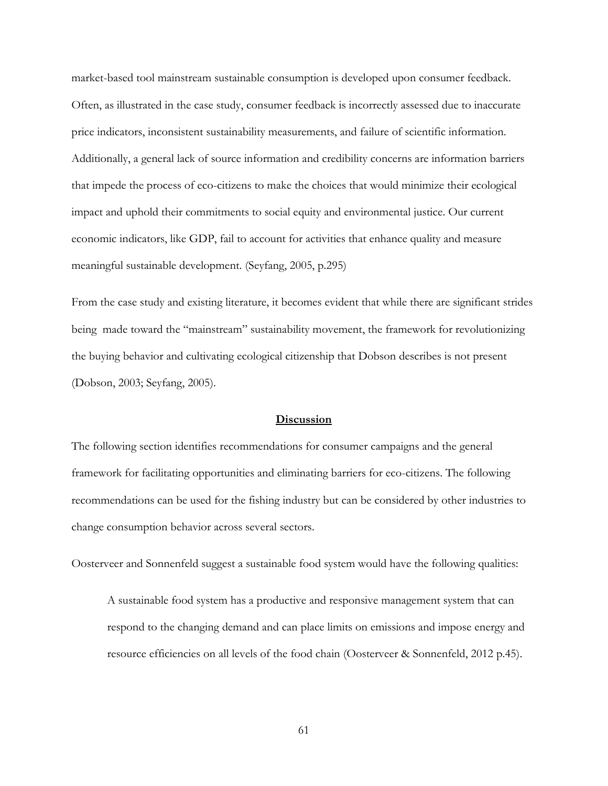market-based tool mainstream sustainable consumption is developed upon consumer feedback. Often, as illustrated in the case study, consumer feedback is incorrectly assessed due to inaccurate price indicators, inconsistent sustainability measurements, and failure of scientific information. Additionally, a general lack of source information and credibility concerns are information barriers that impede the process of eco-citizens to make the choices that would minimize their ecological impact and uphold their commitments to social equity and environmental justice. Our current economic indicators, like GDP, fail to account for activities that enhance quality and measure meaningful sustainable development. (Seyfang, 2005, p.295)

From the case study and existing literature, it becomes evident that while there are significant strides being made toward the "mainstream" sustainability movement, the framework for revolutionizing the buying behavior and cultivating ecological citizenship that Dobson describes is not present (Dobson, 2003; Seyfang, 2005).

## **Discussion**

The following section identifies recommendations for consumer campaigns and the general framework for facilitating opportunities and eliminating barriers for eco-citizens. The following recommendations can be used for the fishing industry but can be considered by other industries to change consumption behavior across several sectors.

Oosterveer and Sonnenfeld suggest a sustainable food system would have the following qualities:

A sustainable food system has a productive and responsive management system that can respond to the changing demand and can place limits on emissions and impose energy and resource efficiencies on all levels of the food chain (Oosterveer & Sonnenfeld, 2012 p.45).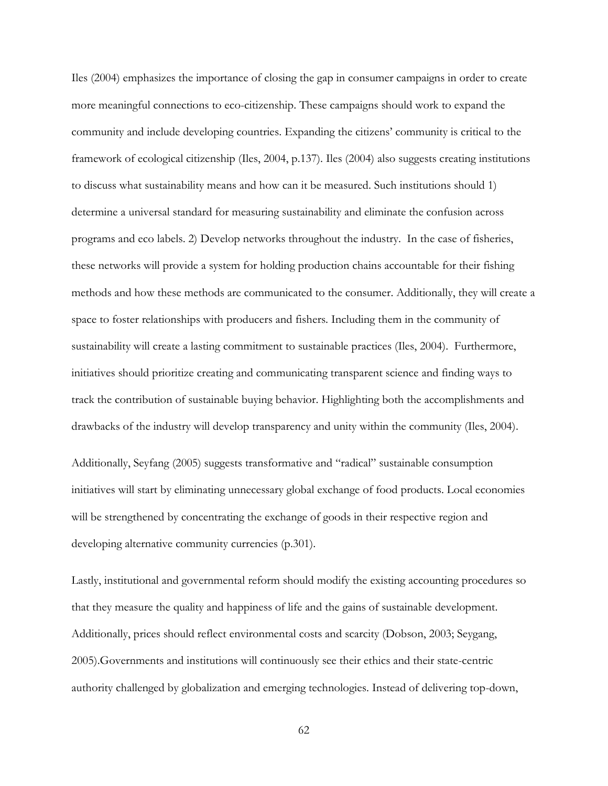Iles (2004) emphasizes the importance of closing the gap in consumer campaigns in order to create more meaningful connections to eco-citizenship. These campaigns should work to expand the community and include developing countries. Expanding the citizens' community is critical to the framework of ecological citizenship (Iles, 2004, p.137). Iles (2004) also suggests creating institutions to discuss what sustainability means and how can it be measured. Such institutions should 1) determine a universal standard for measuring sustainability and eliminate the confusion across programs and eco labels. 2) Develop networks throughout the industry. In the case of fisheries, these networks will provide a system for holding production chains accountable for their fishing methods and how these methods are communicated to the consumer. Additionally, they will create a space to foster relationships with producers and fishers. Including them in the community of sustainability will create a lasting commitment to sustainable practices (Iles, 2004). Furthermore, initiatives should prioritize creating and communicating transparent science and finding ways to track the contribution of sustainable buying behavior. Highlighting both the accomplishments and drawbacks of the industry will develop transparency and unity within the community (Iles, 2004).

Additionally, Seyfang (2005) suggests transformative and "radical" sustainable consumption initiatives will start by eliminating unnecessary global exchange of food products. Local economies will be strengthened by concentrating the exchange of goods in their respective region and developing alternative community currencies (p.301).

Lastly, institutional and governmental reform should modify the existing accounting procedures so that they measure the quality and happiness of life and the gains of sustainable development. Additionally, prices should reflect environmental costs and scarcity (Dobson, 2003; Seygang, 2005).Governments and institutions will continuously see their ethics and their state-centric authority challenged by globalization and emerging technologies. Instead of delivering top-down,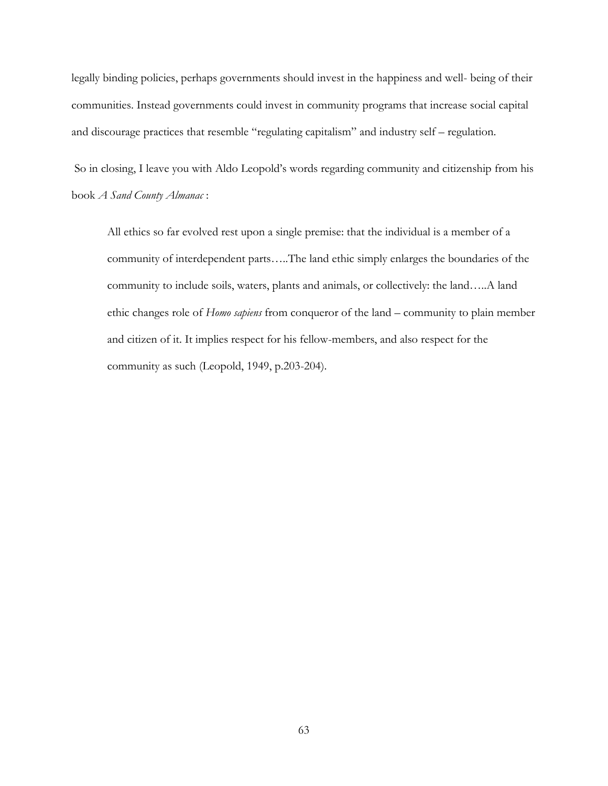legally binding policies, perhaps governments should invest in the happiness and well- being of their communities. Instead governments could invest in community programs that increase social capital and discourage practices that resemble "regulating capitalism" and industry self – regulation.

So in closing, I leave you with Aldo Leopold's words regarding community and citizenship from his book *A Sand County Almanac* :

All ethics so far evolved rest upon a single premise: that the individual is a member of a community of interdependent parts…..The land ethic simply enlarges the boundaries of the community to include soils, waters, plants and animals, or collectively: the land…..A land ethic changes role of *Homo sapiens* from conqueror of the land – community to plain member and citizen of it. It implies respect for his fellow-members, and also respect for the community as such (Leopold, 1949, p.203-204).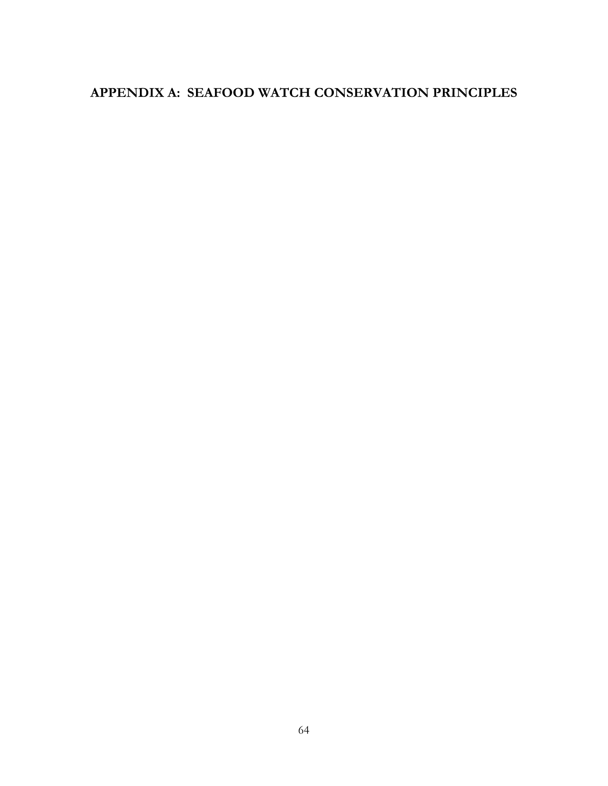# **APPENDIX A: SEAFOOD WATCH CONSERVATION PRINCIPLES**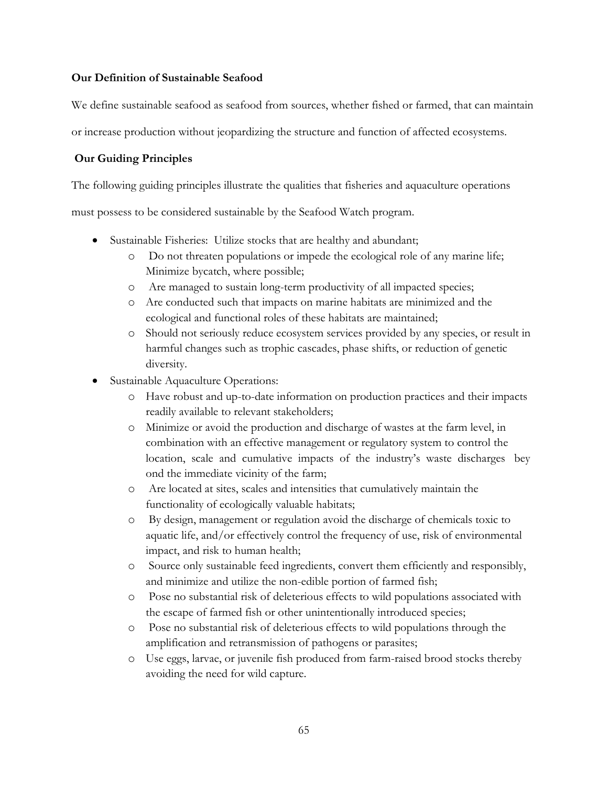# **Our Definition of Sustainable Seafood**

We define sustainable seafood as seafood from sources, whether fished or farmed, that can maintain

or increase production without jeopardizing the structure and function of affected ecosystems.

# **Our Guiding Principles**

The following guiding principles illustrate the qualities that fisheries and aquaculture operations

must possess to be considered sustainable by the Seafood Watch program.

- Sustainable Fisheries: Utilize stocks that are healthy and abundant;
	- o Do not threaten populations or impede the ecological role of any marine life; Minimize bycatch, where possible;
	- o Are managed to sustain long-term productivity of all impacted species;
	- o Are conducted such that impacts on marine habitats are minimized and the ecological and functional roles of these habitats are maintained;
	- o Should not seriously reduce ecosystem services provided by any species, or result in harmful changes such as trophic cascades, phase shifts, or reduction of genetic diversity.
- Sustainable Aquaculture Operations:
	- o Have robust and up-to-date information on production practices and their impacts readily available to relevant stakeholders;
	- o Minimize or avoid the production and discharge of wastes at the farm level, in combination with an effective management or regulatory system to control the location, scale and cumulative impacts of the industry's waste discharges bey ond the immediate vicinity of the farm;
	- o Are located at sites, scales and intensities that cumulatively maintain the functionality of ecologically valuable habitats;
	- o By design, management or regulation avoid the discharge of chemicals toxic to aquatic life, and/or effectively control the frequency of use, risk of environmental impact, and risk to human health;
	- o Source only sustainable feed ingredients, convert them efficiently and responsibly, and minimize and utilize the non-edible portion of farmed fish;
	- o Pose no substantial risk of deleterious effects to wild populations associated with the escape of farmed fish or other unintentionally introduced species;
	- o Pose no substantial risk of deleterious effects to wild populations through the amplification and retransmission of pathogens or parasites;
	- o Use eggs, larvae, or juvenile fish produced from farm-raised brood stocks thereby avoiding the need for wild capture.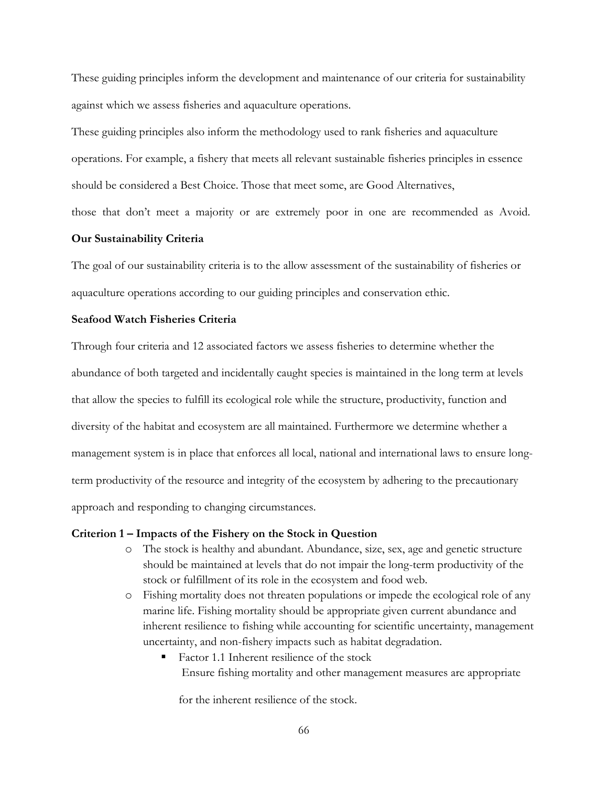These guiding principles inform the development and maintenance of our criteria for sustainability against which we assess fisheries and aquaculture operations.

These guiding principles also inform the methodology used to rank fisheries and aquaculture operations. For example, a fishery that meets all relevant sustainable fisheries principles in essence should be considered a Best Choice. Those that meet some, are Good Alternatives,

those that don't meet a majority or are extremely poor in one are recommended as Avoid.

## **Our Sustainability Criteria**

The goal of our sustainability criteria is to the allow assessment of the sustainability of fisheries or aquaculture operations according to our guiding principles and conservation ethic.

# **Seafood Watch Fisheries Criteria**

Through four criteria and 12 associated factors we assess fisheries to determine whether the abundance of both targeted and incidentally caught species is maintained in the long term at levels that allow the species to fulfill its ecological role while the structure, productivity, function and diversity of the habitat and ecosystem are all maintained. Furthermore we determine whether a management system is in place that enforces all local, national and international laws to ensure longterm productivity of the resource and integrity of the ecosystem by adhering to the precautionary approach and responding to changing circumstances.

#### **Criterion 1 – Impacts of the Fishery on the Stock in Question**

- o The stock is healthy and abundant. Abundance, size, sex, age and genetic structure should be maintained at levels that do not impair the long-term productivity of the stock or fulfillment of its role in the ecosystem and food web.
- o Fishing mortality does not threaten populations or impede the ecological role of any marine life. Fishing mortality should be appropriate given current abundance and inherent resilience to fishing while accounting for scientific uncertainty, management uncertainty, and non-fishery impacts such as habitat degradation.
	- Factor 1.1 Inherent resilience of the stock Ensure fishing mortality and other management measures are appropriate

for the inherent resilience of the stock.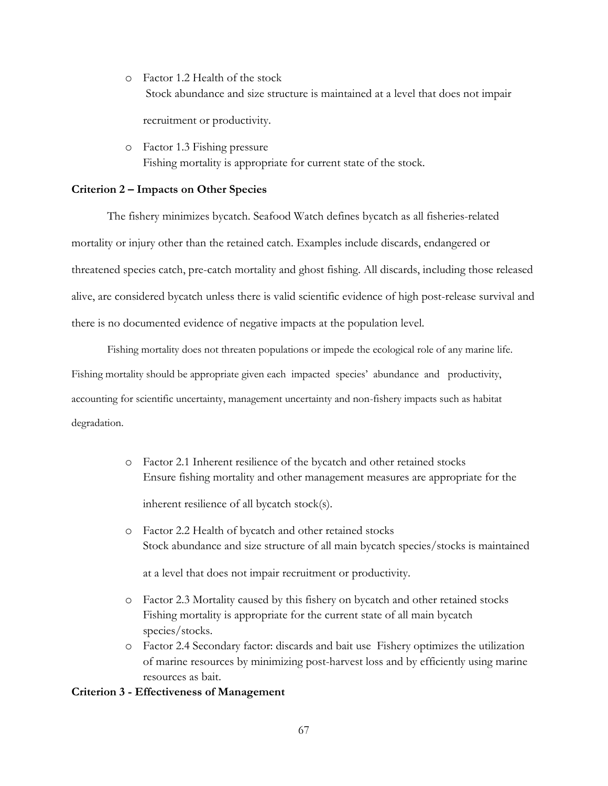o Factor 1.2 Health of the stock Stock abundance and size structure is maintained at a level that does not impair

recruitment or productivity.

o Factor 1.3 Fishing pressure Fishing mortality is appropriate for current state of the stock.

#### **Criterion 2 – Impacts on Other Species**

The fishery minimizes bycatch. Seafood Watch defines bycatch as all fisheries-related mortality or injury other than the retained catch. Examples include discards, endangered or threatened species catch, pre-catch mortality and ghost fishing. All discards, including those released alive, are considered bycatch unless there is valid scientific evidence of high post-release survival and there is no documented evidence of negative impacts at the population level.

Fishing mortality does not threaten populations or impede the ecological role of any marine life. Fishing mortality should be appropriate given each impacted species' abundance and productivity, accounting for scientific uncertainty, management uncertainty and non-fishery impacts such as habitat degradation.

- o Factor 2.1 Inherent resilience of the bycatch and other retained stocks Ensure fishing mortality and other management measures are appropriate for the inherent resilience of all bycatch stock(s).
- o Factor 2.2 Health of bycatch and other retained stocks Stock abundance and size structure of all main bycatch species/stocks is maintained

at a level that does not impair recruitment or productivity.

- o Factor 2.3 Mortality caused by this fishery on bycatch and other retained stocks Fishing mortality is appropriate for the current state of all main bycatch species/stocks.
- o Factor 2.4 Secondary factor: discards and bait use Fishery optimizes the utilization of marine resources by minimizing post-harvest loss and by efficiently using marine resources as bait.

#### **Criterion 3 - Effectiveness of Management**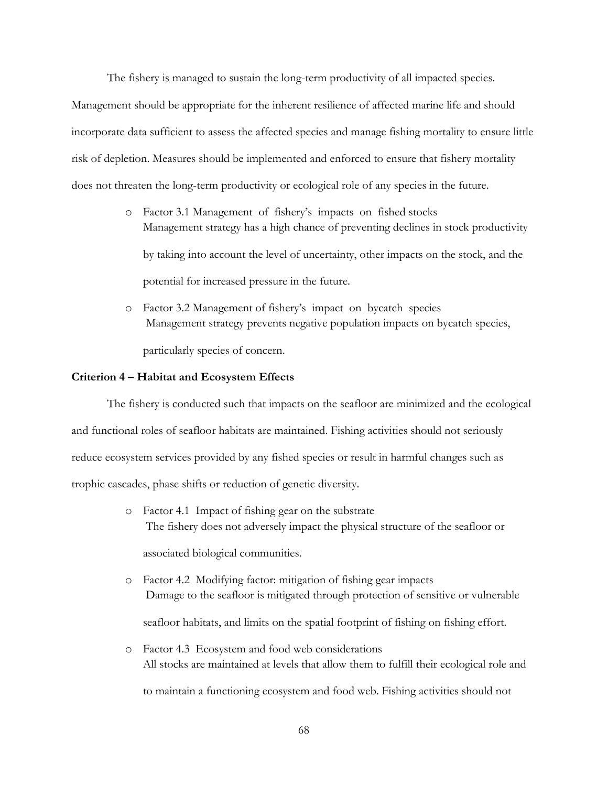The fishery is managed to sustain the long-term productivity of all impacted species.

Management should be appropriate for the inherent resilience of affected marine life and should incorporate data sufficient to assess the affected species and manage fishing mortality to ensure little risk of depletion. Measures should be implemented and enforced to ensure that fishery mortality does not threaten the long-term productivity or ecological role of any species in the future.

- o Factor 3.1 Management of fishery's impacts on fished stocks Management strategy has a high chance of preventing declines in stock productivity by taking into account the level of uncertainty, other impacts on the stock, and the potential for increased pressure in the future.
- o Factor 3.2 Management of fishery's impact on bycatch species Management strategy prevents negative population impacts on bycatch species, particularly species of concern.

# **Criterion 4 – Habitat and Ecosystem Effects**

The fishery is conducted such that impacts on the seafloor are minimized and the ecological and functional roles of seafloor habitats are maintained. Fishing activities should not seriously reduce ecosystem services provided by any fished species or result in harmful changes such as trophic cascades, phase shifts or reduction of genetic diversity.

- o Factor 4.1 Impact of fishing gear on the substrate The fishery does not adversely impact the physical structure of the seafloor or associated biological communities.
- o Factor 4.2 Modifying factor: mitigation of fishing gear impacts Damage to the seafloor is mitigated through protection of sensitive or vulnerable seafloor habitats, and limits on the spatial footprint of fishing on fishing effort.
- o Factor 4.3 Ecosystem and food web considerations All stocks are maintained at levels that allow them to fulfill their ecological role and to maintain a functioning ecosystem and food web. Fishing activities should not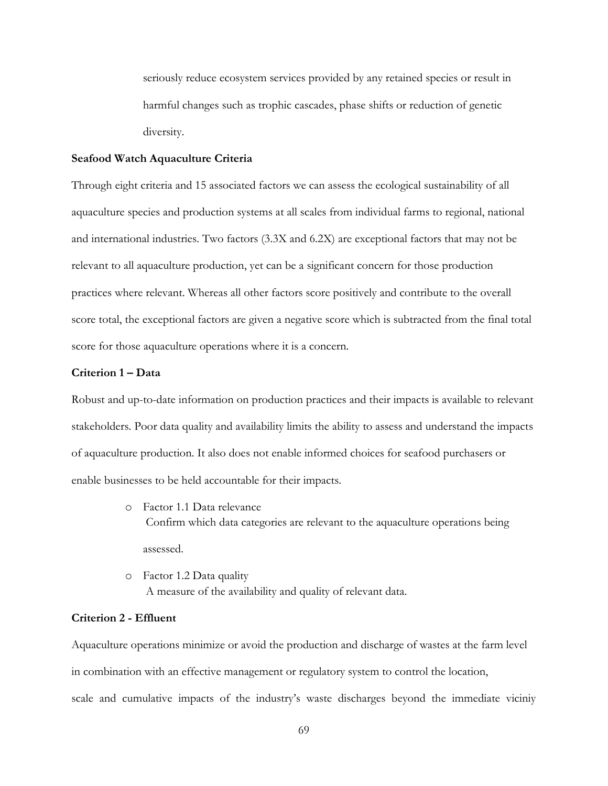seriously reduce ecosystem services provided by any retained species or result in harmful changes such as trophic cascades, phase shifts or reduction of genetic diversity.

## **Seafood Watch Aquaculture Criteria**

Through eight criteria and 15 associated factors we can assess the ecological sustainability of all aquaculture species and production systems at all scales from individual farms to regional, national and international industries. Two factors (3.3X and 6.2X) are exceptional factors that may not be relevant to all aquaculture production, yet can be a significant concern for those production practices where relevant. Whereas all other factors score positively and contribute to the overall score total, the exceptional factors are given a negative score which is subtracted from the final total score for those aquaculture operations where it is a concern.

#### **Criterion 1 – Data**

Robust and up-to-date information on production practices and their impacts is available to relevant stakeholders. Poor data quality and availability limits the ability to assess and understand the impacts of aquaculture production. It also does not enable informed choices for seafood purchasers or enable businesses to be held accountable for their impacts.

- o Factor 1.1 Data relevance Confirm which data categories are relevant to the aquaculture operations being assessed.
- o Factor 1.2 Data quality A measure of the availability and quality of relevant data.

# **Criterion 2 - Effluent**

Aquaculture operations minimize or avoid the production and discharge of wastes at the farm level in combination with an effective management or regulatory system to control the location, scale and cumulative impacts of the industry's waste discharges beyond the immediate viciniy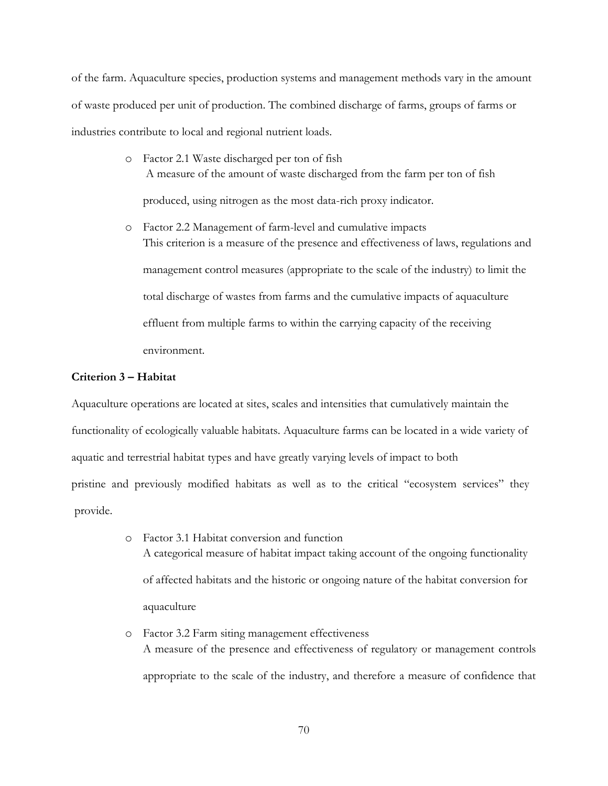of the farm. Aquaculture species, production systems and management methods vary in the amount of waste produced per unit of production. The combined discharge of farms, groups of farms or industries contribute to local and regional nutrient loads.

- o Factor 2.1 Waste discharged per ton of fish A measure of the amount of waste discharged from the farm per ton of fish produced, using nitrogen as the most data-rich proxy indicator.
- o Factor 2.2 Management of farm-level and cumulative impacts This criterion is a measure of the presence and effectiveness of laws, regulations and management control measures (appropriate to the scale of the industry) to limit the total discharge of wastes from farms and the cumulative impacts of aquaculture effluent from multiple farms to within the carrying capacity of the receiving environment.

# **Criterion 3 – Habitat**

Aquaculture operations are located at sites, scales and intensities that cumulatively maintain the functionality of ecologically valuable habitats. Aquaculture farms can be located in a wide variety of aquatic and terrestrial habitat types and have greatly varying levels of impact to both pristine and previously modified habitats as well as to the critical "ecosystem services" they provide.

- o Factor 3.1 Habitat conversion and function A categorical measure of habitat impact taking account of the ongoing functionality of affected habitats and the historic or ongoing nature of the habitat conversion for aquaculture
- o Factor 3.2 Farm siting management effectiveness A measure of the presence and effectiveness of regulatory or management controls appropriate to the scale of the industry, and therefore a measure of confidence that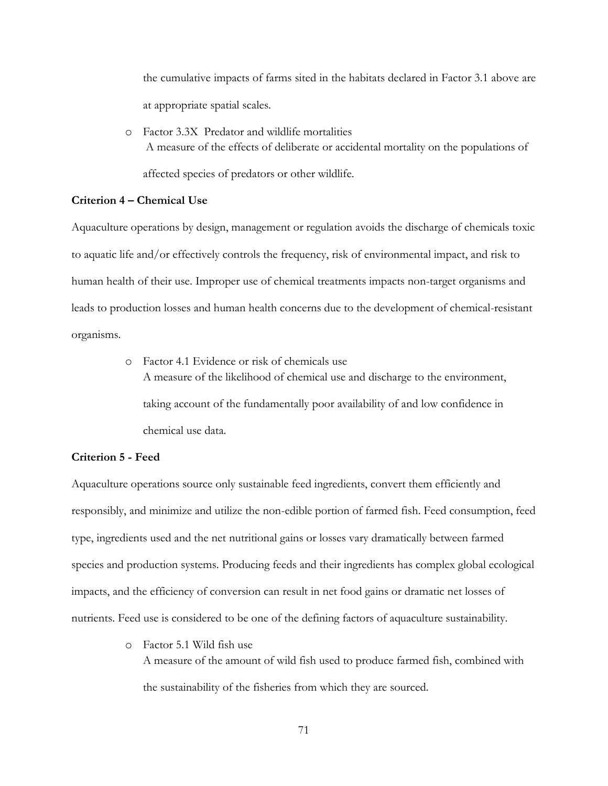the cumulative impacts of farms sited in the habitats declared in Factor 3.1 above are at appropriate spatial scales.

o Factor 3.3X Predator and wildlife mortalities A measure of the effects of deliberate or accidental mortality on the populations of affected species of predators or other wildlife.

## **Criterion 4 – Chemical Use**

Aquaculture operations by design, management or regulation avoids the discharge of chemicals toxic to aquatic life and/or effectively controls the frequency, risk of environmental impact, and risk to human health of their use. Improper use of chemical treatments impacts non-target organisms and leads to production losses and human health concerns due to the development of chemical-resistant organisms.

> o Factor 4.1 Evidence or risk of chemicals use A measure of the likelihood of chemical use and discharge to the environment, taking account of the fundamentally poor availability of and low confidence in chemical use data.

## **Criterion 5 - Feed**

Aquaculture operations source only sustainable feed ingredients, convert them efficiently and responsibly, and minimize and utilize the non-edible portion of farmed fish. Feed consumption, feed type, ingredients used and the net nutritional gains or losses vary dramatically between farmed species and production systems. Producing feeds and their ingredients has complex global ecological impacts, and the efficiency of conversion can result in net food gains or dramatic net losses of nutrients. Feed use is considered to be one of the defining factors of aquaculture sustainability.

> o Factor 5.1 Wild fish use A measure of the amount of wild fish used to produce farmed fish, combined with the sustainability of the fisheries from which they are sourced.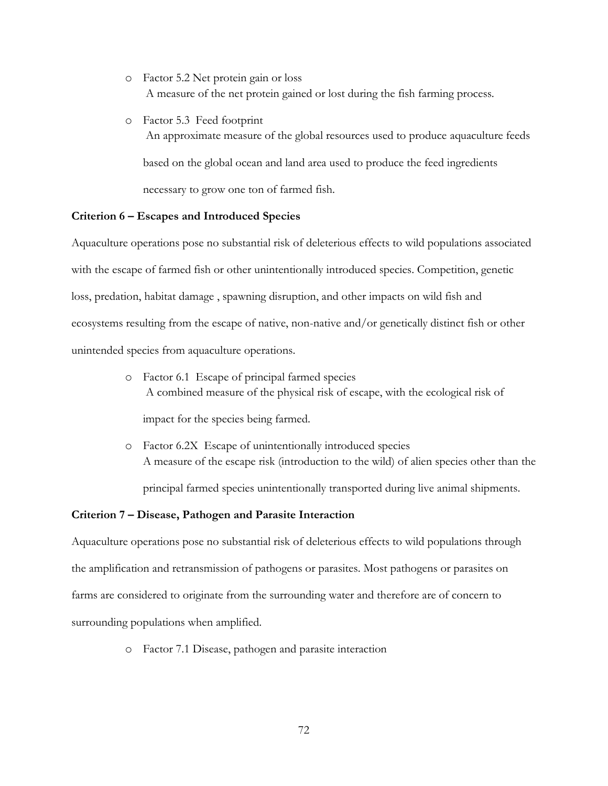- o Factor 5.2 Net protein gain or loss A measure of the net protein gained or lost during the fish farming process.
- o Factor 5.3 Feed footprint An approximate measure of the global resources used to produce aquaculture feeds based on the global ocean and land area used to produce the feed ingredients necessary to grow one ton of farmed fish.

#### **Criterion 6 – Escapes and Introduced Species**

Aquaculture operations pose no substantial risk of deleterious effects to wild populations associated with the escape of farmed fish or other unintentionally introduced species. Competition, genetic loss, predation, habitat damage , spawning disruption, and other impacts on wild fish and ecosystems resulting from the escape of native, non-native and/or genetically distinct fish or other unintended species from aquaculture operations.

> o Factor 6.1 Escape of principal farmed species A combined measure of the physical risk of escape, with the ecological risk of

impact for the species being farmed.

o Factor 6.2X Escape of unintentionally introduced species A measure of the escape risk (introduction to the wild) of alien species other than the

principal farmed species unintentionally transported during live animal shipments.

### **Criterion 7 – Disease, Pathogen and Parasite Interaction**

Aquaculture operations pose no substantial risk of deleterious effects to wild populations through the amplification and retransmission of pathogens or parasites. Most pathogens or parasites on farms are considered to originate from the surrounding water and therefore are of concern to surrounding populations when amplified.

o Factor 7.1 Disease, pathogen and parasite interaction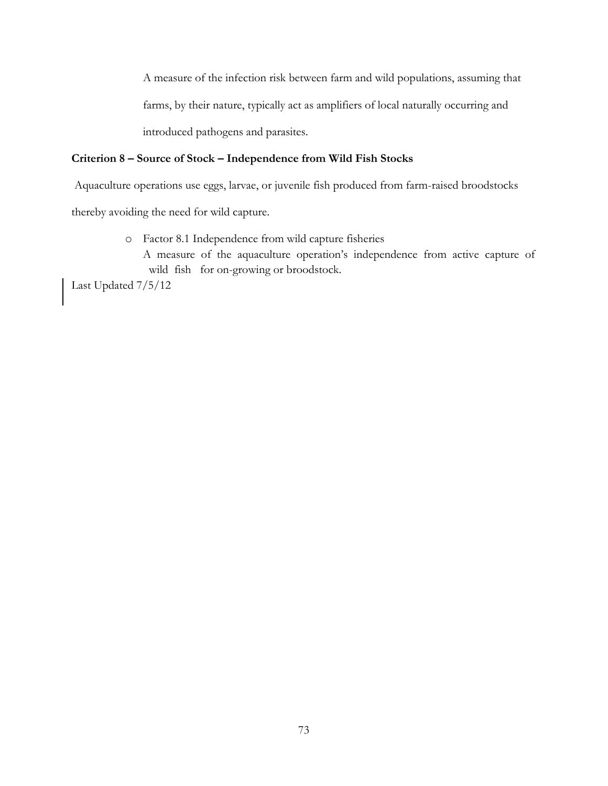A measure of the infection risk between farm and wild populations, assuming that farms, by their nature, typically act as amplifiers of local naturally occurring and introduced pathogens and parasites.

# **Criterion 8 – Source of Stock – Independence from Wild Fish Stocks**

Aquaculture operations use eggs, larvae, or juvenile fish produced from farm-raised broodstocks

thereby avoiding the need for wild capture.

o Factor 8.1 Independence from wild capture fisheries A measure of the aquaculture operation's independence from active capture of wild fish for on-growing or broodstock.

Last Updated 7/5/12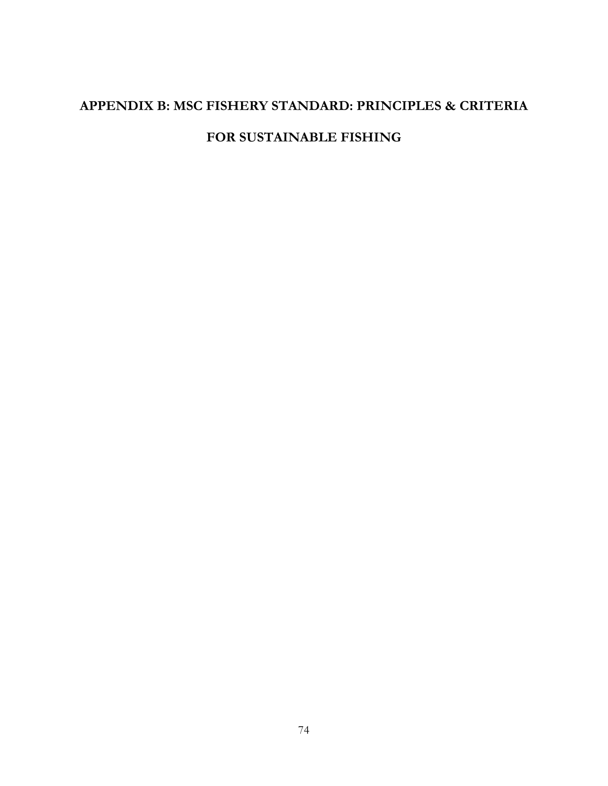# **APPENDIX B: MSC FISHERY STANDARD: PRINCIPLES & CRITERIA**

# **FOR SUSTAINABLE FISHING**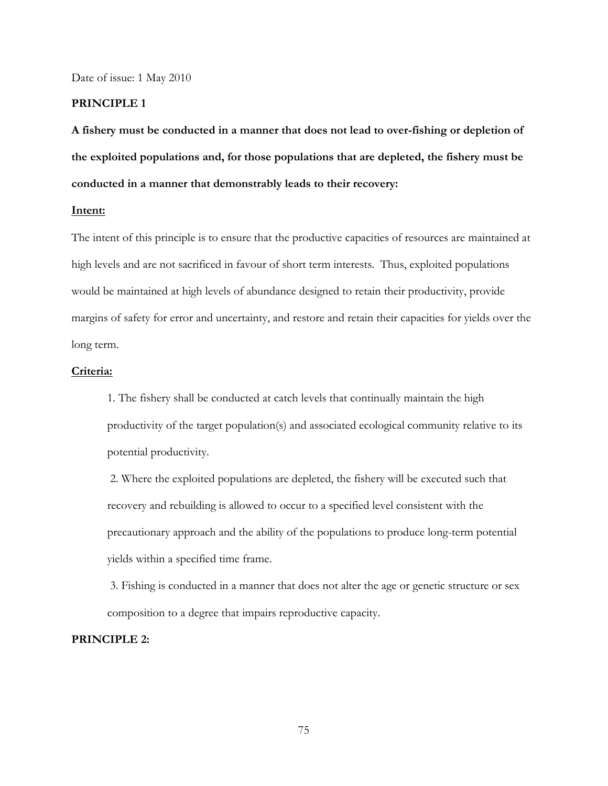Date of issue: 1 May 2010

## **PRINCIPLE 1**

**A fishery must be conducted in a manner that does not lead to over-fishing or depletion of the exploited populations and, for those populations that are depleted, the fishery must be conducted in a manner that demonstrably leads to their recovery:** 

#### **Intent:**

The intent of this principle is to ensure that the productive capacities of resources are maintained at high levels and are not sacrificed in favour of short term interests. Thus, exploited populations would be maintained at high levels of abundance designed to retain their productivity, provide margins of safety for error and uncertainty, and restore and retain their capacities for yields over the long term.

# **Criteria:**

1. The fishery shall be conducted at catch levels that continually maintain the high productivity of the target population(s) and associated ecological community relative to its potential productivity.

2. Where the exploited populations are depleted, the fishery will be executed such that recovery and rebuilding is allowed to occur to a specified level consistent with the precautionary approach and the ability of the populations to produce long-term potential yields within a specified time frame.

3. Fishing is conducted in a manner that does not alter the age or genetic structure or sex composition to a degree that impairs reproductive capacity.

## **PRINCIPLE 2:**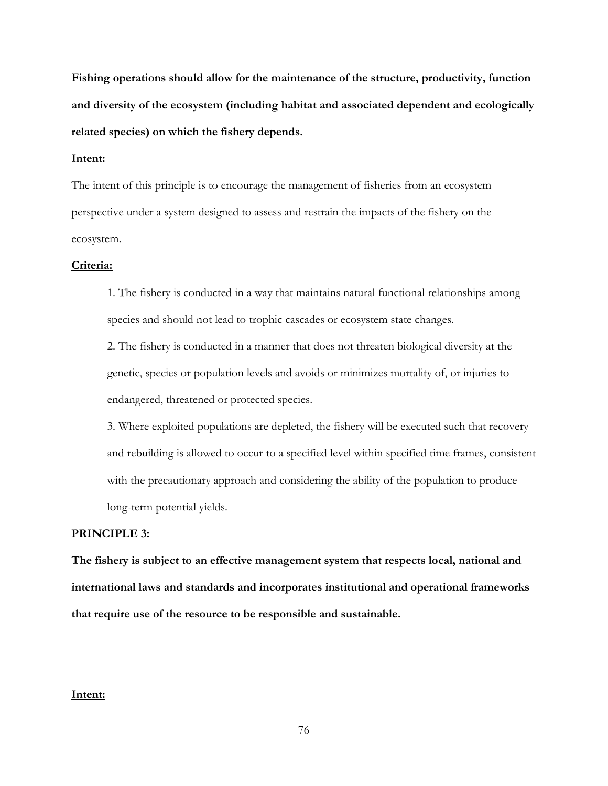**Fishing operations should allow for the maintenance of the structure, productivity, function and diversity of the ecosystem (including habitat and associated dependent and ecologically related species) on which the fishery depends.** 

## **Intent:**

The intent of this principle is to encourage the management of fisheries from an ecosystem perspective under a system designed to assess and restrain the impacts of the fishery on the ecosystem.

#### **Criteria:**

1. The fishery is conducted in a way that maintains natural functional relationships among species and should not lead to trophic cascades or ecosystem state changes.

2. The fishery is conducted in a manner that does not threaten biological diversity at the genetic, species or population levels and avoids or minimizes mortality of, or injuries to endangered, threatened or protected species.

3. Where exploited populations are depleted, the fishery will be executed such that recovery and rebuilding is allowed to occur to a specified level within specified time frames, consistent with the precautionary approach and considering the ability of the population to produce long-term potential yields.

# **PRINCIPLE 3:**

**The fishery is subject to an effective management system that respects local, national and international laws and standards and incorporates institutional and operational frameworks that require use of the resource to be responsible and sustainable.** 

## **Intent:**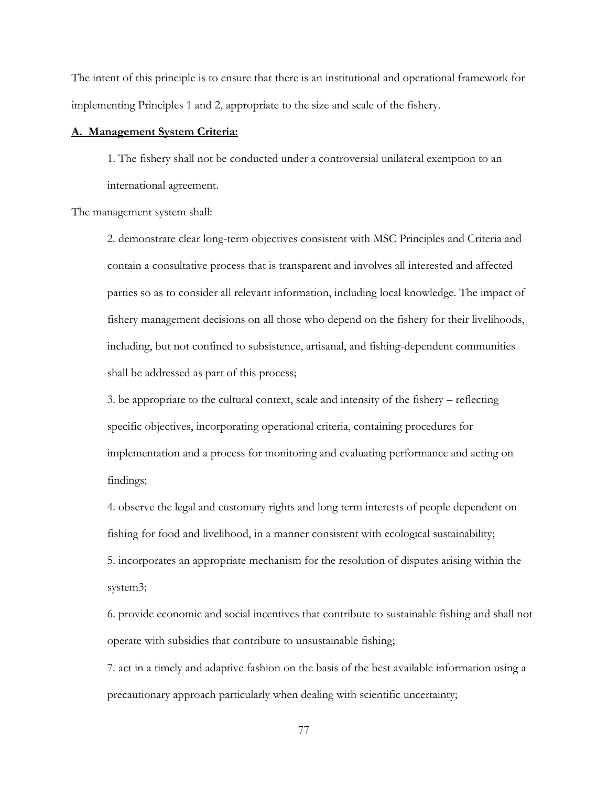The intent of this principle is to ensure that there is an institutional and operational framework for implementing Principles 1 and 2, appropriate to the size and scale of the fishery.

#### **A. Management System Criteria:**

1. The fishery shall not be conducted under a controversial unilateral exemption to an international agreement.

The management system shall:

2. demonstrate clear long-term objectives consistent with MSC Principles and Criteria and contain a consultative process that is transparent and involves all interested and affected parties so as to consider all relevant information, including local knowledge. The impact of fishery management decisions on all those who depend on the fishery for their livelihoods, including, but not confined to subsistence, artisanal, and fishing-dependent communities shall be addressed as part of this process;

3. be appropriate to the cultural context, scale and intensity of the fishery – reflecting specific objectives, incorporating operational criteria, containing procedures for implementation and a process for monitoring and evaluating performance and acting on findings;

4. observe the legal and customary rights and long term interests of people dependent on fishing for food and livelihood, in a manner consistent with ecological sustainability; 5. incorporates an appropriate mechanism for the resolution of disputes arising within the system3;

6. provide economic and social incentives that contribute to sustainable fishing and shall not operate with subsidies that contribute to unsustainable fishing;

7. act in a timely and adaptive fashion on the basis of the best available information using a precautionary approach particularly when dealing with scientific uncertainty;

77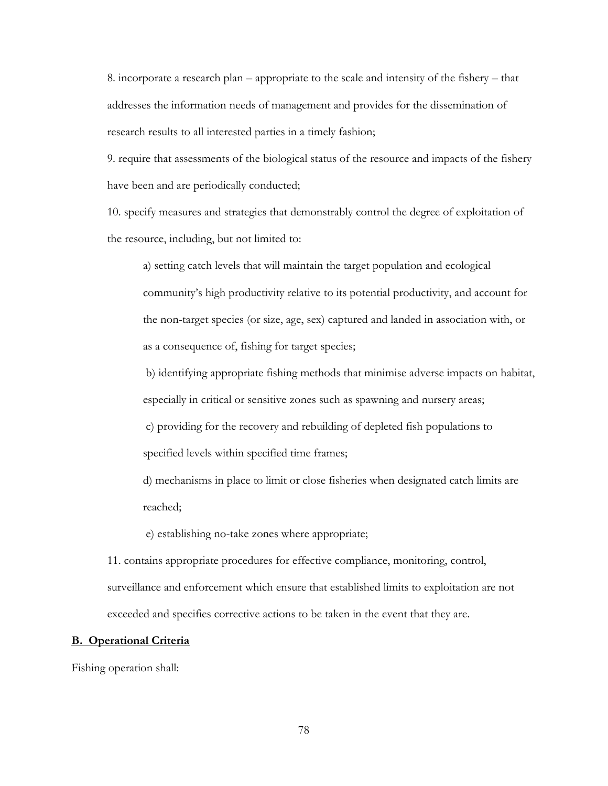8. incorporate a research plan – appropriate to the scale and intensity of the fishery – that addresses the information needs of management and provides for the dissemination of research results to all interested parties in a timely fashion;

9. require that assessments of the biological status of the resource and impacts of the fishery have been and are periodically conducted;

10. specify measures and strategies that demonstrably control the degree of exploitation of the resource, including, but not limited to:

a) setting catch levels that will maintain the target population and ecological community's high productivity relative to its potential productivity, and account for the non-target species (or size, age, sex) captured and landed in association with, or as a consequence of, fishing for target species;

b) identifying appropriate fishing methods that minimise adverse impacts on habitat, especially in critical or sensitive zones such as spawning and nursery areas;

c) providing for the recovery and rebuilding of depleted fish populations to specified levels within specified time frames;

d) mechanisms in place to limit or close fisheries when designated catch limits are reached;

e) establishing no-take zones where appropriate;

11. contains appropriate procedures for effective compliance, monitoring, control, surveillance and enforcement which ensure that established limits to exploitation are not exceeded and specifies corrective actions to be taken in the event that they are.

## **B. Operational Criteria**

Fishing operation shall: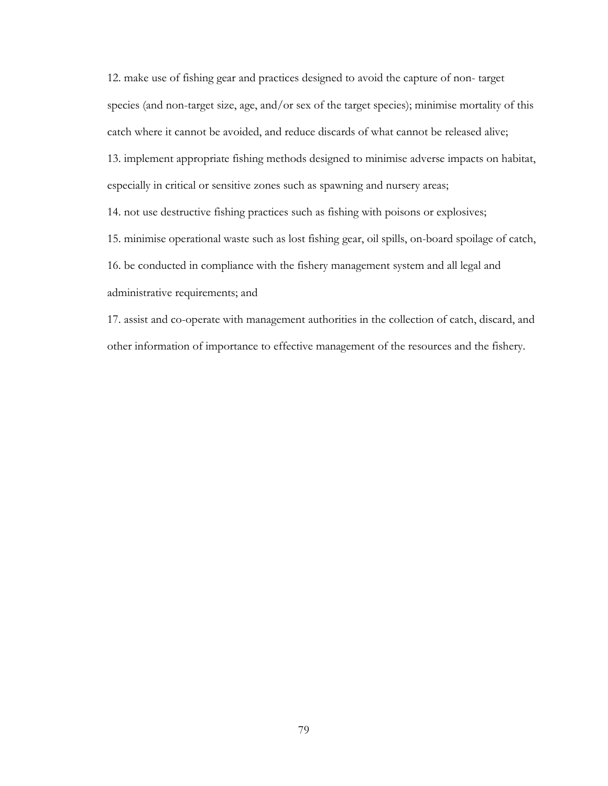12. make use of fishing gear and practices designed to avoid the capture of non- target species (and non-target size, age, and/or sex of the target species); minimise mortality of this catch where it cannot be avoided, and reduce discards of what cannot be released alive; 13. implement appropriate fishing methods designed to minimise adverse impacts on habitat, especially in critical or sensitive zones such as spawning and nursery areas; 14. not use destructive fishing practices such as fishing with poisons or explosives; 15. minimise operational waste such as lost fishing gear, oil spills, on-board spoilage of catch, 16. be conducted in compliance with the fishery management system and all legal and administrative requirements; and

17. assist and co-operate with management authorities in the collection of catch, discard, and other information of importance to effective management of the resources and the fishery.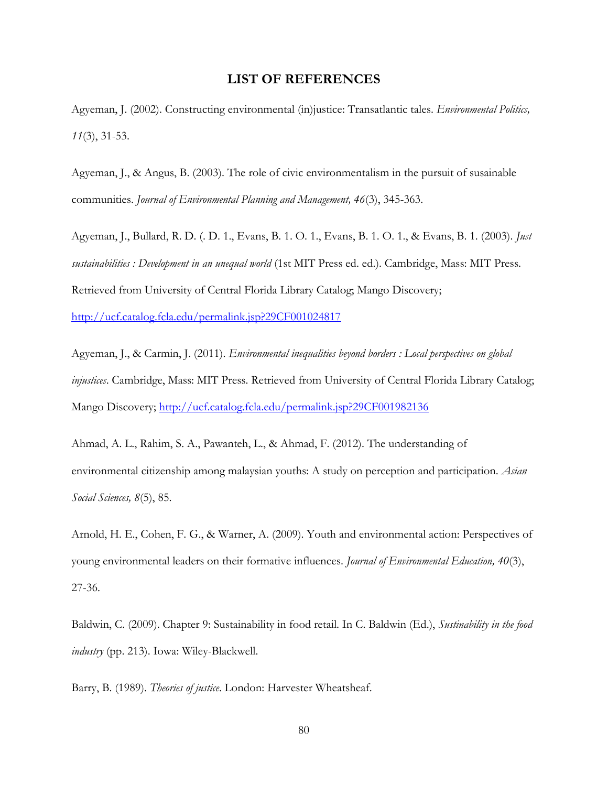# **LIST OF REFERENCES**

Agyeman, J. (2002). Constructing environmental (in)justice: Transatlantic tales. *Environmental Politics, 11*(3), 31-53.

Agyeman, J., & Angus, B. (2003). The role of civic environmentalism in the pursuit of susainable communities. *Journal of Environmental Planning and Management, 46*(3), 345-363.

Agyeman, J., Bullard, R. D. (. D. 1., Evans, B. 1. O. 1., Evans, B. 1. O. 1., & Evans, B. 1. (2003). *Just sustainabilities : Development in an unequal world* (1st MIT Press ed. ed.). Cambridge, Mass: MIT Press. Retrieved from University of Central Florida Library Catalog; Mango Discovery;

<http://ucf.catalog.fcla.edu/permalink.jsp?29CF001024817>

Agyeman, J., & Carmin, J. (2011). *Environmental inequalities beyond borders : Local perspectives on global injustices*. Cambridge, Mass: MIT Press. Retrieved from University of Central Florida Library Catalog; Mango Discovery;<http://ucf.catalog.fcla.edu/permalink.jsp?29CF001982136>

Ahmad, A. L., Rahim, S. A., Pawanteh, L., & Ahmad, F. (2012). The understanding of environmental citizenship among malaysian youths: A study on perception and participation. *Asian Social Sciences, 8*(5), 85.

Arnold, H. E., Cohen, F. G., & Warner, A. (2009). Youth and environmental action: Perspectives of young environmental leaders on their formative influences. *Journal of Environmental Education, 40*(3), 27-36.

Baldwin, C. (2009). Chapter 9: Sustainability in food retail. In C. Baldwin (Ed.), *Sustinability in the food industry* (pp. 213). Iowa: Wiley-Blackwell.

Barry, B. (1989). *Theories of justice*. London: Harvester Wheatsheaf.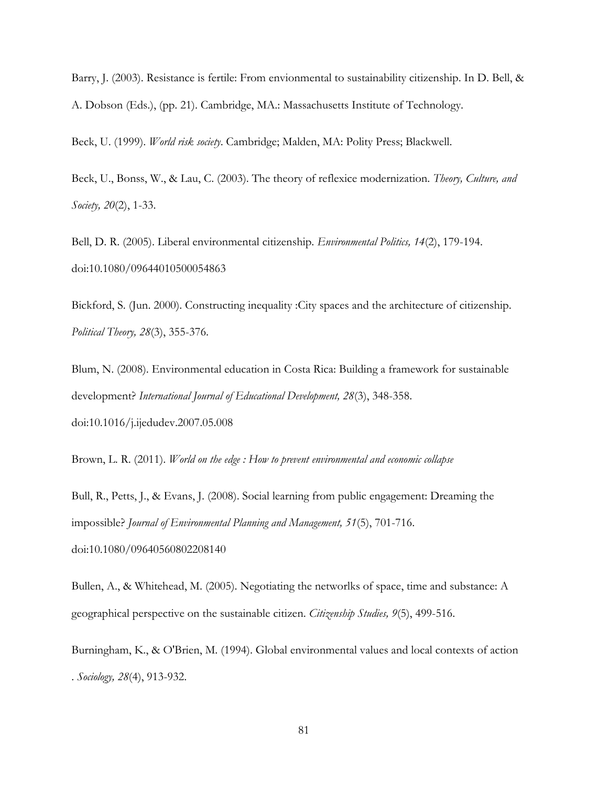Barry, J. (2003). Resistance is fertile: From envionmental to sustainability citizenship. In D. Bell, & A. Dobson (Eds.), (pp. 21). Cambridge, MA.: Massachusetts Institute of Technology.

Beck, U. (1999). *World risk society*. Cambridge; Malden, MA: Polity Press; Blackwell.

Beck, U., Bonss, W., & Lau, C. (2003). The theory of reflexice modernization. *Theory, Culture, and Society, 20*(2), 1-33.

Bell, D. R. (2005). Liberal environmental citizenship. *Environmental Politics, 14*(2), 179-194. doi:10.1080/09644010500054863

Bickford, S. (Jun. 2000). Constructing inequality :City spaces and the architecture of citizenship. *Political Theory, 28*(3), 355-376.

Blum, N. (2008). Environmental education in Costa Rica: Building a framework for sustainable development? *International Journal of Educational Development, 28*(3), 348-358. doi:10.1016/j.ijedudev.2007.05.008

Brown, L. R. (2011). *World on the edge : How to prevent environmental and economic collapse*

Bull, R., Petts, J., & Evans, J. (2008). Social learning from public engagement: Dreaming the impossible? *Journal of Environmental Planning and Management, 51*(5), 701-716. doi:10.1080/09640560802208140

Bullen, A., & Whitehead, M. (2005). Negotiating the networlks of space, time and substance: A geographical perspective on the sustainable citizen. *Citizenship Studies, 9*(5), 499-516.

Burningham, K., & O'Brien, M. (1994). Global environmental values and local contexts of action . *Sociology, 28*(4), 913-932.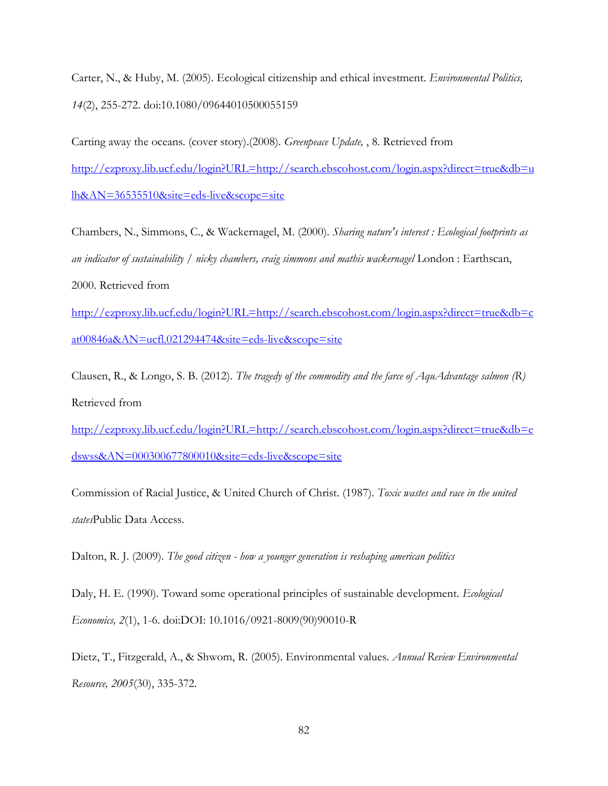Carter, N., & Huby, M. (2005). Ecological citizenship and ethical investment. *Environmental Politics, 14*(2), 255-272. doi:10.1080/09644010500055159

Carting away the oceans. (cover story).(2008). *Greenpeace Update,* , 8. Retrieved from [http://ezproxy.lib.ucf.edu/login?URL=http://search.ebscohost.com/login.aspx?direct=true&db=u](http://ezproxy.lib.ucf.edu/login?URL=http://search.ebscohost.com/login.aspx?direct=true&db=ulh&AN=36535510&site=eds-live&scope=site) [lh&AN=36535510&site=eds-live&scope=site](http://ezproxy.lib.ucf.edu/login?URL=http://search.ebscohost.com/login.aspx?direct=true&db=ulh&AN=36535510&site=eds-live&scope=site)

Chambers, N., Simmons, C., & Wackernagel, M. (2000). *Sharing nature's interest : Ecological footprints as an indicator of sustainability / nicky chambers, craig simmons and mathis wackernagel* London : Earthscan, 2000. Retrieved from

[http://ezproxy.lib.ucf.edu/login?URL=http://search.ebscohost.com/login.aspx?direct=true&db=c](http://ezproxy.lib.ucf.edu/login?URL=http://search.ebscohost.com/login.aspx?direct=true&db=cat00846a&AN=ucfl.021294474&site=eds-live&scope=site) [at00846a&AN=ucfl.021294474&site=eds-live&scope=site](http://ezproxy.lib.ucf.edu/login?URL=http://search.ebscohost.com/login.aspx?direct=true&db=cat00846a&AN=ucfl.021294474&site=eds-live&scope=site)

Clausen, R., & Longo, S. B. (2012). *The tragedy of the commodity and the farce of AquAdvantage salmon (R)* Retrieved from

[http://ezproxy.lib.ucf.edu/login?URL=http://search.ebscohost.com/login.aspx?direct=true&db=e](http://ezproxy.lib.ucf.edu/login?URL=http://search.ebscohost.com/login.aspx?direct=true&db=edswss&AN=000300677800010&site=eds-live&scope=site) [dswss&AN=000300677800010&site=eds-live&scope=site](http://ezproxy.lib.ucf.edu/login?URL=http://search.ebscohost.com/login.aspx?direct=true&db=edswss&AN=000300677800010&site=eds-live&scope=site)

Commission of Racial Justice, & United Church of Christ. (1987). *Toxic wastes and race in the united states*Public Data Access.

Dalton, R. J. (2009). *The good citizen - how a younger generation is reshaping american politics*

Daly, H. E. (1990). Toward some operational principles of sustainable development. *Ecological Economics, 2*(1), 1-6. doi:DOI: 10.1016/0921-8009(90)90010-R

Dietz, T., Fitzgerald, A., & Shwom, R. (2005). Environmental values. *Annual Review Environmental Resource, 2005*(30), 335-372.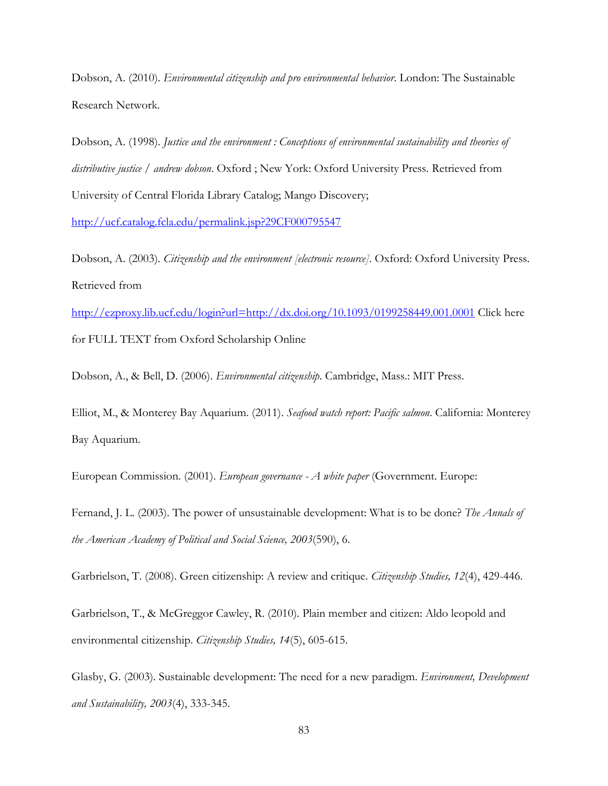Dobson, A. (2010). *Environmental citizenship and pro environmental behavior*. London: The Sustainable Research Network.

Dobson, A. (1998). *Justice and the environment : Conceptions of environmental sustainability and theories of distributive justice / andrew dobson*. Oxford ; New York: Oxford University Press. Retrieved from University of Central Florida Library Catalog; Mango Discovery;

<http://ucf.catalog.fcla.edu/permalink.jsp?29CF000795547>

Dobson, A. (2003). *Citizenship and the environment [electronic resource]*. Oxford: Oxford University Press. Retrieved from

<http://ezproxy.lib.ucf.edu/login?url=http://dx.doi.org/10.1093/0199258449.001.0001> Click here for FULL TEXT from Oxford Scholarship Online

Dobson, A., & Bell, D. (2006). *Environmental citizenship*. Cambridge, Mass.: MIT Press.

Elliot, M., & Monterey Bay Aquarium. (2011). *Seafood watch report: Pacific salmon*. California: Monterey Bay Aquarium.

European Commission. (2001). *European governance - A white paper* (Government. Europe:

Fernand, J. L. (2003). The power of unsustainable development: What is to be done? *The Annals of the American Academy of Political and Social Science, 2003*(590), 6.

Garbrielson, T. (2008). Green citizenship: A review and critique. *Citizenship Studies, 12*(4), 429-446.

Garbrielson, T., & McGreggor Cawley, R. (2010). Plain member and citizen: Aldo leopold and environmental citizenship. *Citizenship Studies, 14*(5), 605-615.

Glasby, G. (2003). Sustainable development: The need for a new paradigm. *Environment, Development and Sustainability, 2003*(4), 333-345.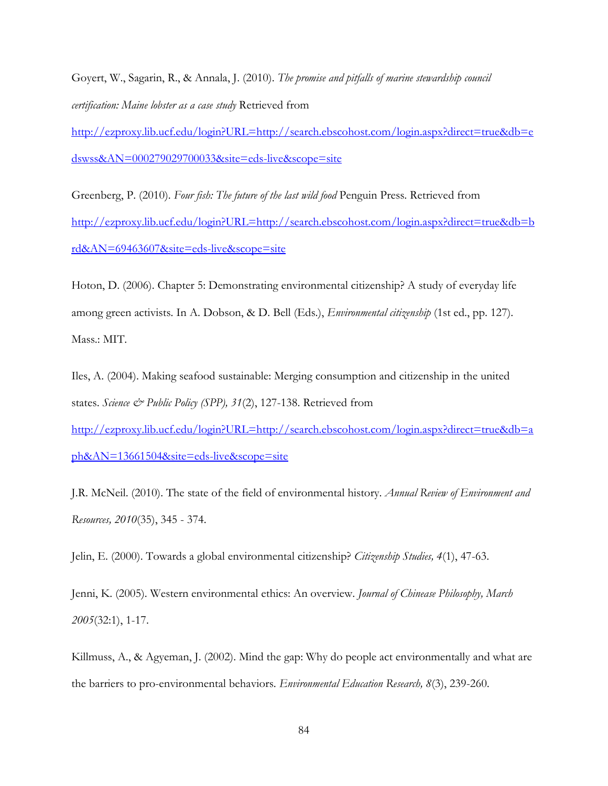Goyert, W., Sagarin, R., & Annala, J. (2010). *The promise and pitfalls of marine stewardship council certification: Maine lobster as a case study* Retrieved from

[http://ezproxy.lib.ucf.edu/login?URL=http://search.ebscohost.com/login.aspx?direct=true&db=e](http://ezproxy.lib.ucf.edu/login?URL=http://search.ebscohost.com/login.aspx?direct=true&db=edswss&AN=000279029700033&site=eds-live&scope=site) [dswss&AN=000279029700033&site=eds-live&scope=site](http://ezproxy.lib.ucf.edu/login?URL=http://search.ebscohost.com/login.aspx?direct=true&db=edswss&AN=000279029700033&site=eds-live&scope=site)

Greenberg, P. (2010). *Four fish: The future of the last wild food* Penguin Press. Retrieved from [http://ezproxy.lib.ucf.edu/login?URL=http://search.ebscohost.com/login.aspx?direct=true&db=b](http://ezproxy.lib.ucf.edu/login?URL=http://search.ebscohost.com/login.aspx?direct=true&db=brd&AN=69463607&site=eds-live&scope=site) [rd&AN=69463607&site=eds-live&scope=site](http://ezproxy.lib.ucf.edu/login?URL=http://search.ebscohost.com/login.aspx?direct=true&db=brd&AN=69463607&site=eds-live&scope=site)

Hoton, D. (2006). Chapter 5: Demonstrating environmental citizenship? A study of everyday life among green activists. In A. Dobson, & D. Bell (Eds.), *Environmental citizenship* (1st ed., pp. 127). Mass.: MIT.

Iles, A. (2004). Making seafood sustainable: Merging consumption and citizenship in the united states. *Science & Public Policy (SPP), 31*(2), 127-138. Retrieved from [http://ezproxy.lib.ucf.edu/login?URL=http://search.ebscohost.com/login.aspx?direct=true&db=a](http://ezproxy.lib.ucf.edu/login?URL=http://search.ebscohost.com/login.aspx?direct=true&db=aph&AN=13661504&site=eds-live&scope=site)

[ph&AN=13661504&site=eds-live&scope=site](http://ezproxy.lib.ucf.edu/login?URL=http://search.ebscohost.com/login.aspx?direct=true&db=aph&AN=13661504&site=eds-live&scope=site)

J.R. McNeil. (2010). The state of the field of environmental history. *Annual Review of Environment and Resources, 2010*(35), 345 - 374.

Jelin, E. (2000). Towards a global environmental citizenship? *Citizenship Studies, 4*(1), 47-63.

Jenni, K. (2005). Western environmental ethics: An overview. *Journal of Chinease Philosophy, March 2005*(32:1), 1-17.

Killmuss, A., & Agyeman, J. (2002). Mind the gap: Why do people act environmentally and what are the barriers to pro-environmental behaviors. *Environmental Education Research, 8*(3), 239-260.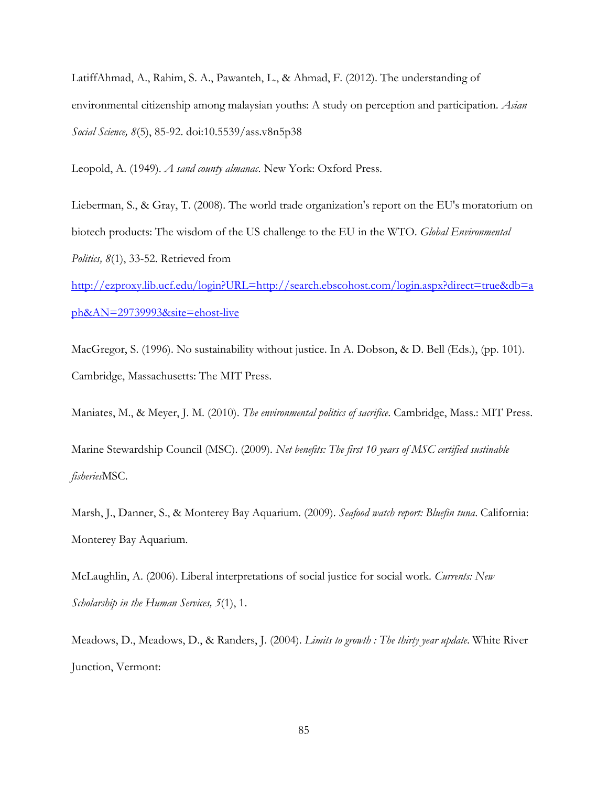LatiffAhmad, A., Rahim, S. A., Pawanteh, L., & Ahmad, F. (2012). The understanding of environmental citizenship among malaysian youths: A study on perception and participation. *Asian Social Science, 8*(5), 85-92. doi:10.5539/ass.v8n5p38

Leopold, A. (1949). *A sand county almanac*. New York: Oxford Press.

Lieberman, S., & Gray, T. (2008). The world trade organization's report on the EU's moratorium on biotech products: The wisdom of the US challenge to the EU in the WTO. *Global Environmental Politics, 8*(1), 33-52. Retrieved from

[http://ezproxy.lib.ucf.edu/login?URL=http://search.ebscohost.com/login.aspx?direct=true&db=a](http://ezproxy.lib.ucf.edu/login?URL=http://search.ebscohost.com/login.aspx?direct=true&db=aph&AN=29739993&site=ehost-live) [ph&AN=29739993&site=ehost-live](http://ezproxy.lib.ucf.edu/login?URL=http://search.ebscohost.com/login.aspx?direct=true&db=aph&AN=29739993&site=ehost-live)

MacGregor, S. (1996). No sustainability without justice. In A. Dobson, & D. Bell (Eds.), (pp. 101). Cambridge, Massachusetts: The MIT Press.

Maniates, M., & Meyer, J. M. (2010). *The environmental politics of sacrifice*. Cambridge, Mass.: MIT Press.

Marine Stewardship Council (MSC). (2009). *Net benefits: The first 10 years of MSC certified sustinable fisheries*MSC.

Marsh, J., Danner, S., & Monterey Bay Aquarium. (2009). *Seafood watch report: Bluefin tuna*. California: Monterey Bay Aquarium.

McLaughlin, A. (2006). Liberal interpretations of social justice for social work. *Currents: New Scholarship in the Human Services, 5*(1), 1.

Meadows, D., Meadows, D., & Randers, J. (2004). *Limits to growth : The thirty year update*. White River Junction, Vermont: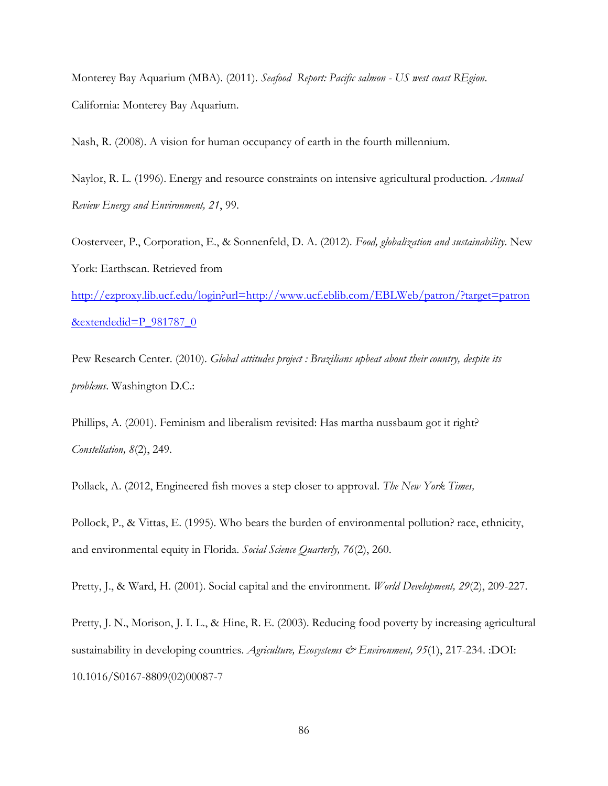Monterey Bay Aquarium (MBA). (2011). *Seafood Report: Pacific salmon - US west coast REgion*. California: Monterey Bay Aquarium.

Nash, R. (2008). A vision for human occupancy of earth in the fourth millennium.

Naylor, R. L. (1996). Energy and resource constraints on intensive agricultural production. *Annual Review Energy and Environment, 21*, 99.

Oosterveer, P., Corporation, E., & Sonnenfeld, D. A. (2012). *Food, globalization and sustainability*. New York: Earthscan. Retrieved from

[http://ezproxy.lib.ucf.edu/login?url=http://www.ucf.eblib.com/EBLWeb/patron/?target=patron](http://ezproxy.lib.ucf.edu/login?url=http://www.ucf.eblib.com/EBLWeb/patron/?target=patron&extendedid=P_981787_0) [&extendedid=P\\_981787\\_0](http://ezproxy.lib.ucf.edu/login?url=http://www.ucf.eblib.com/EBLWeb/patron/?target=patron&extendedid=P_981787_0)

Pew Research Center. (2010). *Global attitudes project : Brazilians upbeat about their country, despite its problems*. Washington D.C.:

Phillips, A. (2001). Feminism and liberalism revisited: Has martha nussbaum got it right? *Constellation, 8*(2), 249.

Pollack, A. (2012, Engineered fish moves a step closer to approval. *The New York Times,* 

Pollock, P., & Vittas, E. (1995). Who bears the burden of environmental pollution? race, ethnicity, and environmental equity in Florida. *Social Science Quarterly, 76*(2), 260.

Pretty, J., & Ward, H. (2001). Social capital and the environment. *World Development, 29*(2), 209-227.

Pretty, J. N., Morison, J. I. L., & Hine, R. E. (2003). Reducing food poverty by increasing agricultural sustainability in developing countries. *Agriculture, Ecosystems & Environment, 95*(1), 217-234. :DOI: 10.1016/S0167-8809(02)00087-7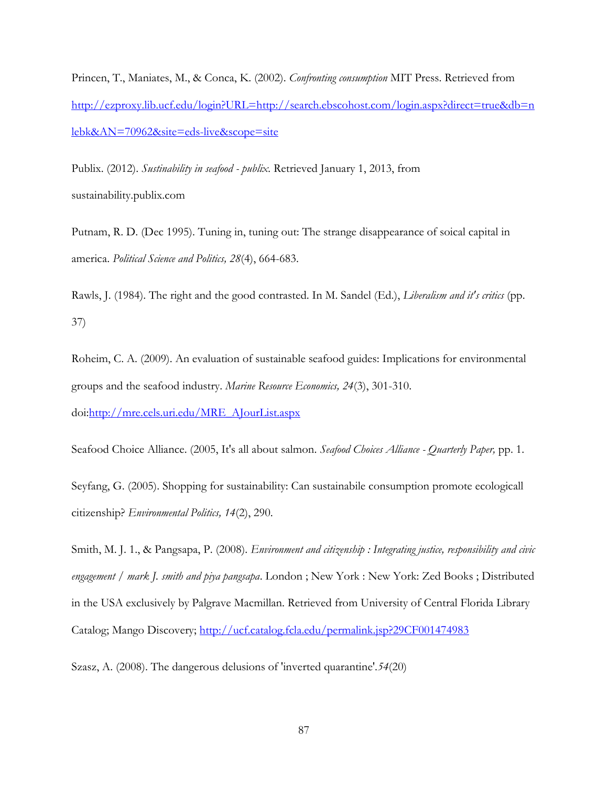Princen, T., Maniates, M., & Conca, K. (2002). *Confronting consumption* MIT Press. Retrieved from [http://ezproxy.lib.ucf.edu/login?URL=http://search.ebscohost.com/login.aspx?direct=true&db=n](http://ezproxy.lib.ucf.edu/login?URL=http://search.ebscohost.com/login.aspx?direct=true&db=nlebk&AN=70962&site=eds-live&scope=site) [lebk&AN=70962&site=eds-live&scope=site](http://ezproxy.lib.ucf.edu/login?URL=http://search.ebscohost.com/login.aspx?direct=true&db=nlebk&AN=70962&site=eds-live&scope=site)

Publix. (2012). *Sustinability in seafood - publix.* Retrieved January 1, 2013, from sustainability.publix.com

Putnam, R. D. (Dec 1995). Tuning in, tuning out: The strange disappearance of soical capital in america. *Political Science and Politics, 28*(4), 664-683.

Rawls, J. (1984). The right and the good contrasted. In M. Sandel (Ed.), *Liberalism and it's critics* (pp. 37)

Roheim, C. A. (2009). An evaluation of sustainable seafood guides: Implications for environmental groups and the seafood industry. *Marine Resource Economics, 24*(3), 301-310. doi[:http://mre.cels.uri.edu/MRE\\_AJourList.aspx](http://mre.cels.uri.edu/MRE_AJourList.aspx)

Seafood Choice Alliance. (2005, It's all about salmon. *Seafood Choices Alliance - Quarterly Paper,* pp. 1.

Seyfang, G. (2005). Shopping for sustainability: Can sustainabile consumption promote ecologicall citizenship? *Environmental Politics, 14*(2), 290.

Smith, M. J. 1., & Pangsapa, P. (2008). *Environment and citizenship : Integrating justice, responsibility and civic engagement / mark J. smith and piya pangsapa*. London ; New York : New York: Zed Books ; Distributed in the USA exclusively by Palgrave Macmillan. Retrieved from University of Central Florida Library Catalog; Mango Discovery;<http://ucf.catalog.fcla.edu/permalink.jsp?29CF001474983>

Szasz, A. (2008). The dangerous delusions of 'inverted quarantine'.*54*(20)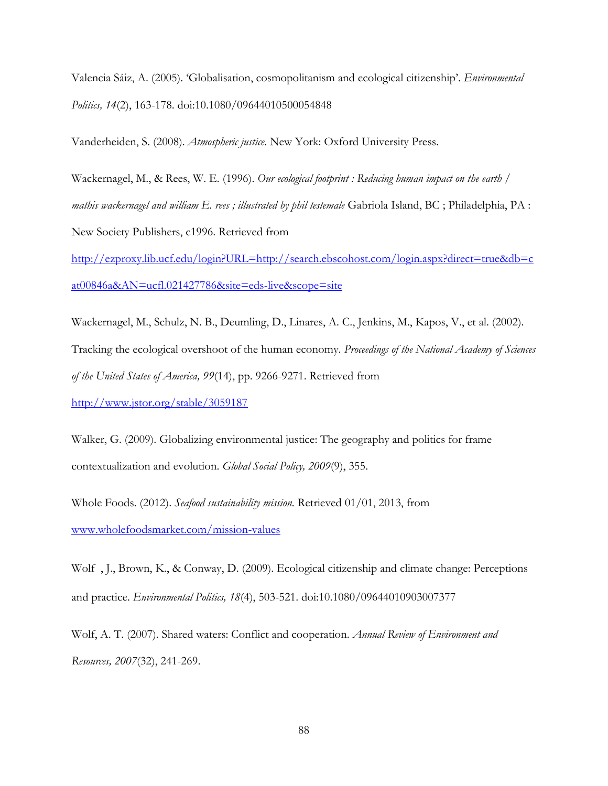Valencia Sáiz, A. (2005). 'Globalisation, cosmopolitanism and ecological citizenship'. *Environmental Politics, 14*(2), 163-178. doi:10.1080/09644010500054848

Vanderheiden, S. (2008). *Atmospheric justice*. New York: Oxford University Press.

Wackernagel, M., & Rees, W. E. (1996). *Our ecological footprint : Reducing human impact on the earth / mathis wackernagel and william E. rees ; illustrated by phil testemale* Gabriola Island, BC ; Philadelphia, PA : New Society Publishers, c1996. Retrieved from

[http://ezproxy.lib.ucf.edu/login?URL=http://search.ebscohost.com/login.aspx?direct=true&db=c](http://ezproxy.lib.ucf.edu/login?URL=http://search.ebscohost.com/login.aspx?direct=true&db=cat00846a&AN=ucfl.021427786&site=eds-live&scope=site) [at00846a&AN=ucfl.021427786&site=eds-live&scope=site](http://ezproxy.lib.ucf.edu/login?URL=http://search.ebscohost.com/login.aspx?direct=true&db=cat00846a&AN=ucfl.021427786&site=eds-live&scope=site)

Wackernagel, M., Schulz, N. B., Deumling, D., Linares, A. C., Jenkins, M., Kapos, V., et al. (2002).

Tracking the ecological overshoot of the human economy. *Proceedings of the National Academy of Sciences of the United States of America, 99*(14), pp. 9266-9271. Retrieved from

<http://www.jstor.org/stable/3059187>

Walker, G. (2009). Globalizing environmental justice: The geography and politics for frame contextualization and evolution. *Global Social Policy, 2009*(9), 355.

Whole Foods. (2012). *Seafood sustainability mission.* Retrieved 01/01, 2013, from [www.wholefoodsmarket.com/mission-values](http://www.wholefoodsmarket.com/mission-values)

Wolf , J., Brown, K., & Conway, D. (2009). Ecological citizenship and climate change: Perceptions and practice. *Environmental Politics, 18*(4), 503-521. doi:10.1080/09644010903007377

Wolf, A. T. (2007). Shared waters: Conflict and cooperation. *Annual Review of Environment and Resources, 2007*(32), 241-269.